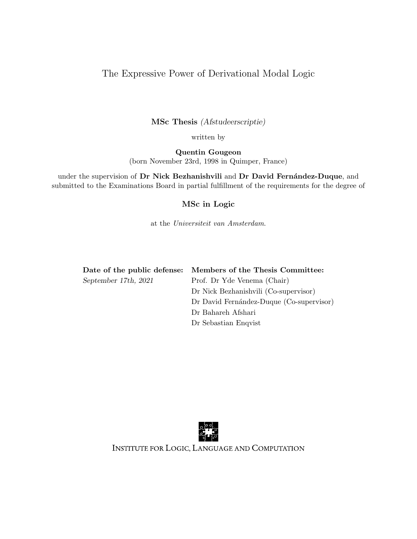#### The Expressive Power of Derivational Modal Logic

MSc Thesis (Afstudeerscriptie)

written by

Quentin Gougeon (born November 23rd, 1998 in Quimper, France)

under the supervision of Dr Nick Bezhanishvili and Dr David Fernández-Duque, and submitted to the Examinations Board in partial fulfillment of the requirements for the degree of

#### MSc in Logic

at the Universiteit van Amsterdam.

|                      | Date of the public defense: Members of the Thesis Committee: |
|----------------------|--------------------------------------------------------------|
| September 17th, 2021 | Prof. Dr Yde Venema (Chair)                                  |
|                      | Dr Nick Bezhanishvili (Co-supervisor)                        |
|                      | Dr David Fernández-Duque (Co-supervisor)                     |
|                      | Dr Bahareh Afshari                                           |
|                      |                                                              |

Dr Sebastian Enqvist



INSTITUTE FOR LOGIC, LANGUAGE AND COMPUTATION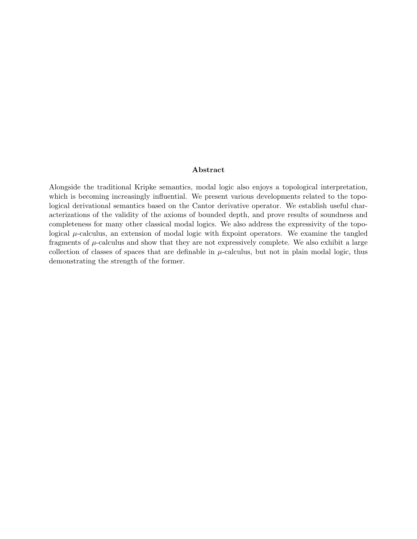#### Abstract

Alongside the traditional Kripke semantics, modal logic also enjoys a topological interpretation, which is becoming increasingly influential. We present various developments related to the topological derivational semantics based on the Cantor derivative operator. We establish useful characterizations of the validity of the axioms of bounded depth, and prove results of soundness and completeness for many other classical modal logics. We also address the expressivity of the topological  $\mu$ -calculus, an extension of modal logic with fixpoint operators. We examine the tangled fragments of  $\mu$ -calculus and show that they are not expressively complete. We also exhibit a large collection of classes of spaces that are definable in  $\mu$ -calculus, but not in plain modal logic, thus demonstrating the strength of the former.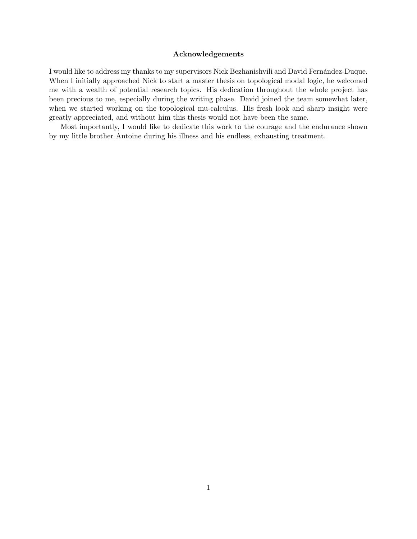#### Acknowledgements

I would like to address my thanks to my supervisors Nick Bezhanishvili and David Fernández-Duque. When I initially approached Nick to start a master thesis on topological modal logic, he welcomed me with a wealth of potential research topics. His dedication throughout the whole project has been precious to me, especially during the writing phase. David joined the team somewhat later, when we started working on the topological mu-calculus. His fresh look and sharp insight were greatly appreciated, and without him this thesis would not have been the same.

Most importantly, I would like to dedicate this work to the courage and the endurance shown by my little brother Antoine during his illness and his endless, exhausting treatment.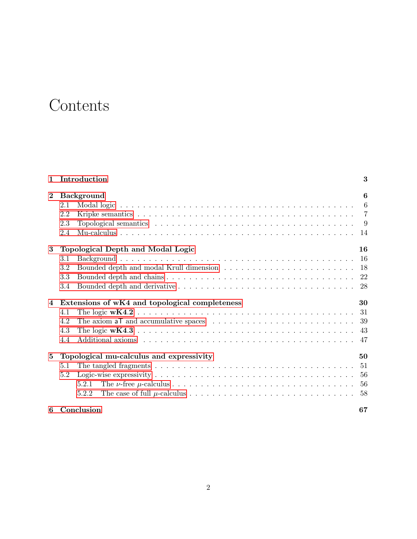### **Contents**

| $\mathbf{1}$    | Introduction                                         | 3  |  |  |  |
|-----------------|------------------------------------------------------|----|--|--|--|
| $\bf{2}$        | 6<br><b>Background</b>                               |    |  |  |  |
|                 | 2.1                                                  |    |  |  |  |
|                 | 2.2                                                  |    |  |  |  |
|                 | 2.3                                                  |    |  |  |  |
|                 | 2.4                                                  |    |  |  |  |
| 3               | Topological Depth and Modal Logic                    | 16 |  |  |  |
|                 | 3.1                                                  |    |  |  |  |
|                 | 3.2                                                  |    |  |  |  |
|                 | 3.3                                                  |    |  |  |  |
|                 | 3.4                                                  |    |  |  |  |
| 4               | 30<br>Extensions of wK4 and topological completeness |    |  |  |  |
|                 | 4.1                                                  |    |  |  |  |
|                 | 4.2                                                  |    |  |  |  |
|                 | 4.3                                                  | 43 |  |  |  |
|                 | 4.4                                                  | 47 |  |  |  |
| $5\phantom{.0}$ | 50<br>Topological mu-calculus and expressivity       |    |  |  |  |
|                 | 5.1                                                  | 51 |  |  |  |
|                 | 5.2                                                  | 56 |  |  |  |
|                 | 5.2.1                                                |    |  |  |  |
|                 | 5.2.2                                                |    |  |  |  |
| 6               | Conclusion                                           | 67 |  |  |  |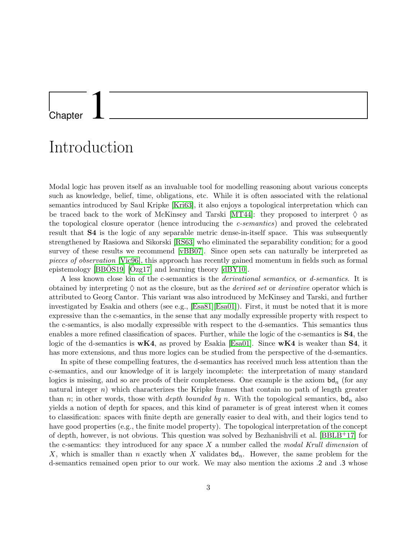#### <span id="page-4-0"></span>**Chapter**

### Introduction

Modal logic has proven itself as an invaluable tool for modelling reasoning about various concepts such as knowledge, belief, time, obligations, etc. While it is often associated with the relational semantics introduced by Saul Kripke [\[Kri63\]](#page-70-0), it also enjoys a topological interpretation which can be traced back to the work of McKinsey and Tarski [\[MT44\]](#page-70-1): they proposed to interpret  $\Diamond$  as the topological closure operator (hence introducing the c-semantics) and proved the celebrated result that S4 is the logic of any separable metric dense-in-itself space. This was subsequently strengthened by Rasiowa and Sikorski [\[RS63\]](#page-70-2) who eliminated the separability condition; for a good survey of these results we recommend [\[vBB07\]](#page-70-3). Since open sets can naturally be interpreted as pieces of observation [\[Vic96\]](#page-70-4), this approach has recently gained momentum in fields such as formal epistemology  $[BBOS19]$   $[Ozg17]$  $[Ozg17]$  and learning theory  $[dBY10]$ .

A less known close kin of the c-semantics is the derivational semantics, or d-semantics. It is obtained by interpreting  $\Diamond$  not as the closure, but as the *derived set* or *derivative* operator which is attributed to Georg Cantor. This variant was also introduced by McKinsey and Tarski, and further investigated by Esakia and others (see e.g., [\[Esa81\]](#page-70-6)[\[Esa01\]](#page-70-7)). First, it must be noted that it is more expressive than the c-semantics, in the sense that any modally expressible property with respect to the c-semantics, is also modally expressible with respect to the d-semantics. This semantics thus enables a more refined classification of spaces. Further, while the logic of the c-semantics is S4, the logic of the d-semantics is  $wK4$ , as proved by Esakia [\[Esa01\]](#page-70-7). Since  $wK4$  is weaker than S4, it has more extensions, and thus more logics can be studied from the perspective of the d-semantics.

In spite of these compelling features, the d-semantics has received much less attention than the c-semantics, and our knowledge of it is largely incomplete: the interpretation of many standard logics is missing, and so are proofs of their completeness. One example is the axiom  $bd_n$  (for any natural integer n) which characterizes the Kripke frames that contain no path of length greater than n; in other words, those with *depth bounded by n*. With the topological semantics,  $bd_n$  also yields a notion of depth for spaces, and this kind of parameter is of great interest when it comes to classification: spaces with finite depth are generally easier to deal with, and their logics tend to have good properties (e.g., the finite model property). The topological interpretation of the concept of depth, however, is not obvious. This question was solved by Bezhanishvili et al.  $[BBLB+17]$  for the c-semantics: they introduced for any space  $X$  a number called the modal Krull dimension of X, which is smaller than n exactly when X validates  $\mathsf{bd}_n$ . However, the same problem for the d-semantics remained open prior to our work. We may also mention the axioms .2 and .3 whose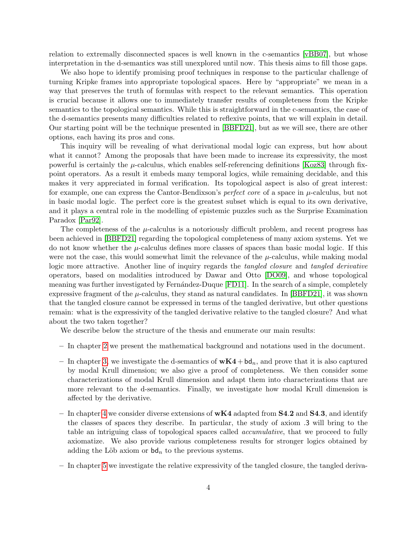relation to extremally disconnected spaces is well known in the c-semantics [\[vBB07\]](#page-70-3), but whose interpretation in the d-semantics was still unexplored until now. This thesis aims to fill those gaps.

We also hope to identify promising proof techniques in response to the particular challenge of turning Kripke frames into appropriate topological spaces. Here by "appropriate" we mean in a way that preserves the truth of formulas with respect to the relevant semantics. This operation is crucial because it allows one to immediately transfer results of completeness from the Kripke semantics to the topological semantics. While this is straightforward in the c-semantics, the case of the d-semantics presents many difficulties related to reflexive points, that we will explain in detail. Our starting point will be the technique presented in [\[BBFD21\]](#page-69-3), but as we will see, there are other options, each having its pros and cons.

This inquiry will be revealing of what derivational modal logic can express, but how about what it cannot? Among the proposals that have been made to increase its expressivity, the most powerful is certainly the  $\mu$ -calculus, which enables self-referencing definitions [\[Koz83\]](#page-70-8) through fixpoint operators. As a result it embeds many temporal logics, while remaining decidable, and this makes it very appreciated in formal verification. Its topological aspect is also of great interest: for example, one can express the Cantor-Bendixson's *perfect core* of a space in  $\mu$ -calculus, but not in basic modal logic. The perfect core is the greatest subset which is equal to its own derivative, and it plays a central role in the modelling of epistemic puzzles such as the Surprise Examination Paradox [\[Par92\]](#page-70-9).

The completeness of the  $\mu$ -calculus is a notoriously difficult problem, and recent progress has been achieved in [\[BBFD21\]](#page-69-3) regarding the topological completeness of many axiom systems. Yet we do not know whether the  $\mu$ -calculus defines more classes of spaces than basic modal logic. If this were not the case, this would somewhat limit the relevance of the  $\mu$ -calculus, while making modal logic more attractive. Another line of inquiry regards the *tangled closure* and *tangled derivative* operators, based on modalities introduced by Dawar and Otto [\[DO09\]](#page-70-10), and whose topological meaning was further investigated by Fernández-Duque [\[FD11\]](#page-70-11). In the search of a simple, completely expressive fragment of the  $\mu$ -calculus, they stand as natural candidates. In [\[BBFD21\]](#page-69-3), it was shown that the tangled closure cannot be expressed in terms of the tangled derivative, but other questions remain: what is the expressivity of the tangled derivative relative to the tangled closure? And what about the two taken together?

We describe below the structure of the thesis and enumerate our main results:

- In chapter [2](#page-7-0) we present the mathematical background and notations used in the document.
- In chapter [3,](#page-17-0) we investigate the d-semantics of  $wK4+bd_n$ , and prove that it is also captured by modal Krull dimension; we also give a proof of completeness. We then consider some characterizations of modal Krull dimension and adapt them into characterizations that are more relevant to the d-semantics. Finally, we investigate how modal Krull dimension is affected by the derivative.
- In chapter [4](#page-31-0) we consider diverse extensions of  $wK4$  adapted from **S4.2** and **S4.3**, and identify the classes of spaces they describe. In particular, the study of axiom .3 will bring to the table an intriguing class of topological spaces called *accumulative*, that we proceed to fully axiomatize. We also provide various completeness results for stronger logics obtained by adding the Löb axiom or  $\mathsf{bd}_n$  to the previous systems.
- In chapter [5](#page-51-0) we investigate the relative expressivity of the tangled closure, the tangled deriva-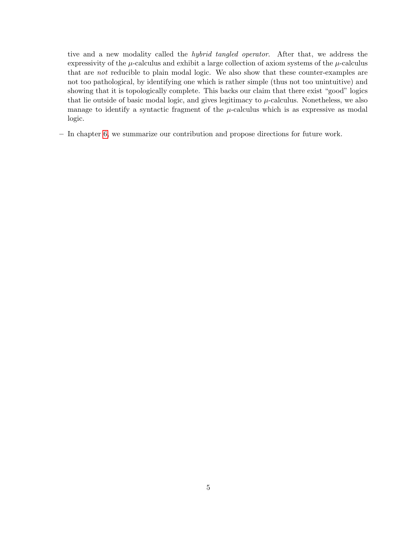tive and a new modality called the hybrid tangled operator. After that, we address the expressivity of the  $\mu$ -calculus and exhibit a large collection of axiom systems of the  $\mu$ -calculus that are not reducible to plain modal logic. We also show that these counter-examples are not too pathological, by identifying one which is rather simple (thus not too unintuitive) and showing that it is topologically complete. This backs our claim that there exist "good" logics that lie outside of basic modal logic, and gives legitimacy to  $\mu$ -calculus. Nonetheless, we also manage to identify a syntactic fragment of the  $\mu$ -calculus which is as expressive as modal logic.

– In chapter [6,](#page-68-0) we summarize our contribution and propose directions for future work.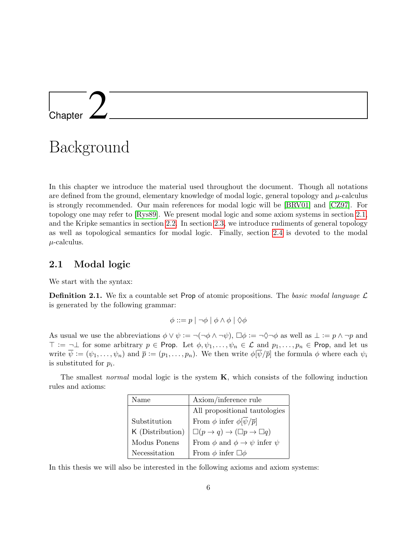## <span id="page-7-0"></span>l<br>Chapter

### Background

In this chapter we introduce the material used throughout the document. Though all notations are defined from the ground, elementary knowledge of modal logic, general topology and  $\mu$ -calculus is strongly recommended. Our main references for modal logic will be [\[BRV01\]](#page-69-4) and [\[CZ97\]](#page-69-5). For topology one may refer to [\[Rys89\]](#page-70-12). We present modal logic and some axiom systems in section [2.1,](#page-7-1) and the Kripke semantics in section [2.2.](#page-8-0) In section [2.3,](#page-10-0) we introduce rudiments of general topology as well as topological semantics for modal logic. Finally, section [2.4](#page-15-0) is devoted to the modal  $\mu$ -calculus.

#### <span id="page-7-1"></span>2.1 Modal logic

We start with the syntax:

**Definition 2.1.** We fix a countable set Prop of atomic propositions. The basic modal language  $\mathcal{L}$ is generated by the following grammar:

$$
\phi ::= p \mid \neg \phi \mid \phi \land \phi \mid \Diamond \phi
$$

As usual we use the abbreviations  $\phi \vee \psi := \neg(\neg \phi \wedge \neg \psi)$ ,  $\square \phi := \neg \Diamond \neg \phi$  as well as  $\bot := p \wedge \neg p$  and  $\top := \neg \bot$  for some arbitrary  $p \in \text{Prop}$ . Let  $\phi, \psi_1, \ldots, \psi_n \in \mathcal{L}$  and  $p_1, \ldots, p_n \in \text{Prop}$ , and let us write  $\overline{\psi} := (\psi_1, \ldots, \psi_n)$  and  $\overline{p} := (p_1, \ldots, p_n)$ . We then write  $\phi[\overline{\psi}/\overline{p}]$  the formula  $\phi$  where each  $\psi_i$ is substituted for  $p_i$ .

The smallest *normal* modal logic is the system  $\bf{K}$ , which consists of the following induction rules and axioms:

| Name             | Axiom/inference rule                                   |
|------------------|--------------------------------------------------------|
|                  | All propositional tautologies                          |
| Substitution     | From $\phi$ infer $\phi[\overline{\psi}/\overline{p}]$ |
| K (Distribution) | $\Box(p \to q) \to (\Box p \to \Box q)$                |
| Modus Ponens     | From $\phi$ and $\phi \rightarrow \psi$ infer $\psi$   |
| Necessitation    | From $\phi$ infer $\Box \phi$                          |

In this thesis we will also be interested in the following axioms and axiom systems: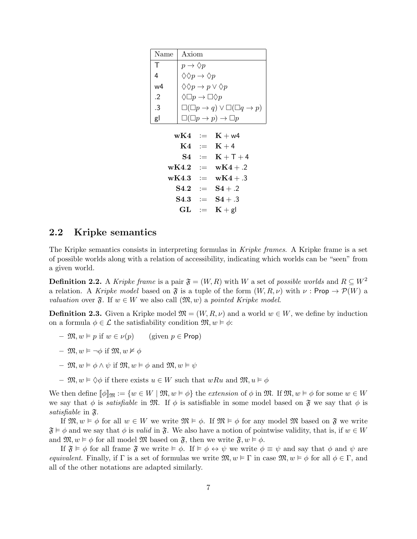| Name | Axiom                                           |
|------|-------------------------------------------------|
| т    | $p \rightarrow \Diamond p$                      |
| 4    | $\Diamond \Diamond p \to \Diamond p$            |
| w4   | $\Diamond \Diamond p \to p \lor \Diamond p$     |
| .2   | $\Diamond \Box p \rightarrow \Box \Diamond p$   |
| .3   | $\Box(\Box p \to q) \lor \Box(\Box q \to p)$    |
| gl   | $\Box(\Box p \rightarrow p) \rightarrow \Box p$ |

 $wK4 = K + w4$  $K4 := K + 4$  $S4 = K + T + 4$  $wK4.2 = wK4 + .2$  $wK4.3 := wK4 + .3$  $S4.2 = S4 + .2$  $S4.3$  :=  $S4+.3$  $GL := K + gl$ 

#### <span id="page-8-0"></span>2.2 Kripke semantics

The Kripke semantics consists in interpreting formulas in Kripke frames. A Kripke frame is a set of possible worlds along with a relation of accessibility, indicating which worlds can be "seen" from a given world.

**Definition 2.2.** A Kripke frame is a pair  $\mathfrak{F} = (W, R)$  with W a set of possible worlds and  $R \subseteq W^2$ a relation. A Kripke model based on  $\mathfrak F$  is a tuple of the form  $(W, R, \nu)$  with  $\nu : \mathsf{Prop} \to \mathcal P(W)$  a *valuation* over  $\mathfrak{F}$ . If  $w \in W$  we also call  $(\mathfrak{M}, w)$  a pointed Kripke model.

<span id="page-8-1"></span>**Definition 2.3.** Given a Kripke model  $\mathfrak{M} = (W, R, \nu)$  and a world  $w \in W$ , we define by induction on a formula  $\phi \in \mathcal{L}$  the satisfiability condition  $\mathfrak{M}, w \models \phi$ :

- $\mathfrak{M}, w \models p$  if  $w \in \nu(p)$  (given  $p \in \mathsf{Prop}$ )
- $\mathfrak{M}, w \models \neg \phi \text{ if } \mathfrak{M}, w \not\models \phi$
- $\mathfrak{M}, w \models \phi \land \psi \text{ if } \mathfrak{M}, w \models \phi \text{ and } \mathfrak{M}, w \models \psi$
- $\mathfrak{M}, w \models \Diamond \phi$  if there exists  $u \in W$  such that  $wRu$  and  $\mathfrak{M}, u \models \phi$

We then define  $\llbracket \phi \rrbracket_{\mathfrak{M}} := \{w \in W \mid \mathfrak{M}, w \models \phi\}$  the extension of  $\phi$  in  $\mathfrak{M}$ . If  $\mathfrak{M}, w \models \phi$  for some  $w \in W$ we say that  $\phi$  is satisfiable in M. If  $\phi$  is satisfiable in some model based on  $\mathfrak{F}$  we say that  $\phi$  is satisfiable in  $\mathfrak{F}.$ 

If  $\mathfrak{M}, w \models \phi$  for all  $w \in W$  we write  $\mathfrak{M} \models \phi$ . If  $\mathfrak{M} \models \phi$  for any model  $\mathfrak{M}$  based on  $\mathfrak{F}$  we write  $\mathfrak{F} \models \phi$  and we say that  $\phi$  is valid in  $\mathfrak{F}$ . We also have a notion of pointwise validity, that is, if  $w \in W$ and  $\mathfrak{M}, w \models \phi$  for all model  $\mathfrak{M}$  based on  $\mathfrak{F}$ , then we write  $\mathfrak{F}, w \models \phi$ .

If  $\mathfrak{F} \models \phi$  for all frame  $\mathfrak{F}$  we write  $\models \phi \leftrightarrow \psi$  we write  $\phi \equiv \psi$  and say that  $\phi$  and  $\psi$  are equivalent. Finally, if  $\Gamma$  is a set of formulas we write  $\mathfrak{M}, w \models \Gamma$  in case  $\mathfrak{M}, w \models \phi$  for all  $\phi \in \Gamma$ , and all of the other notations are adapted similarly.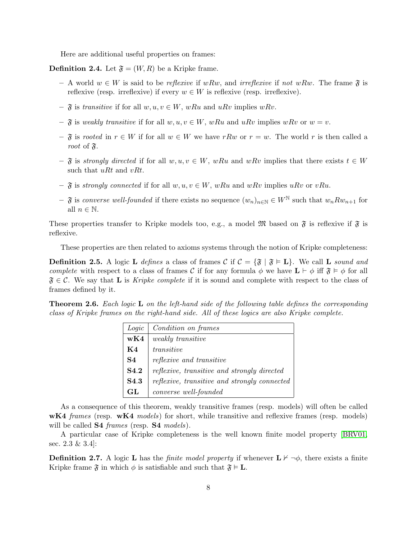Here are additional useful properties on frames:

**Definition 2.4.** Let  $\mathfrak{F} = (W, R)$  be a Kripke frame.

- A world  $w \in W$  is said to be *reflexive* if  $wRw$ , and *irreflexive* if not  $wRw$ . The frame  $\mathfrak{F}$  is reflexive (resp. irreflexive) if every  $w \in W$  is reflexive (resp. irreflexive).
- $\tilde{\mathfrak{F}}$  is transitive if for all  $w, u, v \in W$ , wRu and uRv implies wRv.
- $\mathfrak{F}$  is weakly transitive if for all  $w, u, v \in W$ , wRu and uRv implies wRv or  $w = v$ .
- $\mathfrak F$  is rooted in  $r \in W$  if for all  $w \in W$  we have rRw or  $r = w$ . The world r is then called a root of  $\mathfrak{F}.$
- $-\mathfrak{F}$  is strongly directed if for all  $w, u, v \in W$ , wRu and wRv implies that there exists  $t \in W$ such that  $uRt$  and  $vRt$ .
- $\mathfrak{F}$  is strongly connected if for all  $w, u, v \in W$ , wRu and wRv implies uRv or vRu.
- $-\mathfrak{F}$  is converse well-founded if there exists no sequence  $(w_n)_{n\in\mathbb{N}}\in W^{\mathbb{N}}$  such that  $w_n R w_{n+1}$  for all  $n \in \mathbb{N}$ .

These properties transfer to Kripke models too, e.g., a model  $\mathfrak{M}$  based on  $\mathfrak{F}$  is reflexive if  $\mathfrak{F}$  is reflexive.

These properties are then related to axioms systems through the notion of Kripke completeness:

<span id="page-9-0"></span>**Definition 2.5.** A logic **L** defines a class of frames C if  $C = \{\mathfrak{F} \mid \mathfrak{F} \models L\}$ . We call **L** sound and complete with respect to a class of frames C if for any formula  $\phi$  we have  $\mathbf{L} \vdash \phi$  iff  $\mathfrak{F} \models \phi$  for all  $\mathfrak{F} \in \mathcal{C}$ . We say that **L** is Kripke complete if it is sound and complete with respect to the class of frames defined by it.

<span id="page-9-1"></span>Theorem 2.6. Each logic L on the left-hand side of the following table defines the corresponding class of Kripke frames on the right-hand side. All of these logics are also Kripke complete.

| Logic            | Condition on frames                          |  |
|------------------|----------------------------------------------|--|
| wK4              | <i>weakly transitive</i>                     |  |
| K4               | transitive                                   |  |
| S4               | <i>reflexive and transitive</i>              |  |
| S4.2             | reflexive, transitive and strongly directed  |  |
| S <sub>4.3</sub> | reflexive, transitive and strongly connected |  |
| GL               | converse well-founded                        |  |

As a consequence of this theorem, weakly transitive frames (resp. models) will often be called wK4 frames (resp. wK4 models) for short, while transitive and reflexive frames (resp. models) will be called **S4** frames (resp. **S4** models).

A particular case of Kripke completeness is the well known finite model property [\[BRV01,](#page-69-4) sec. 2.3 & 3.4]:

**Definition 2.7.** A logic **L** has the *finite model property* if whenever  $\mathbf{L} \nvdash \neg \phi$ , there exists a finite Kripke frame  $\mathfrak{F}$  in which  $\phi$  is satisfiable and such that  $\mathfrak{F} \models L$ .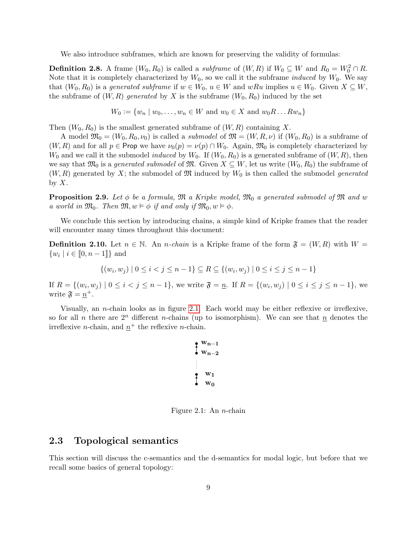We also introduce subframes, which are known for preserving the validity of formulas:

**Definition 2.8.** A frame  $(W_0, R_0)$  is called a *subframe* of  $(W, R)$  if  $W_0 \subseteq W$  and  $R_0 = W_0^2 \cap R$ . Note that it is completely characterized by  $W_0$ , so we call it the subframe *induced* by  $W_0$ . We say that  $(W_0, R_0)$  is a generated subframe if  $w \in W_0$ ,  $u \in W$  and  $wRu$  implies  $u \in W_0$ . Given  $X \subseteq W$ , the subframe of  $(W, R)$  generated by X is the subframe  $(W_0, R_0)$  induced by the set

$$
W_0 := \{w_n \mid w_0, \dots, w_n \in W \text{ and } w_0 \in X \text{ and } w_0 R \dots R w_n\}
$$

Then  $(W_0, R_0)$  is the smallest generated subframe of  $(W, R)$  containing X.

A model  $\mathfrak{M}_0 = (W_0, R_0, \nu_0)$  is called a *submodel* of  $\mathfrak{M} = (W, R, \nu)$  if  $(W_0, R_0)$  is a subframe of  $(W, R)$  and for all  $p \in \text{Prop}$  we have  $\nu_0(p) = \nu(p) \cap W_0$ . Again,  $\mathfrak{M}_0$  is completely characterized by  $W_0$  and we call it the submodel *induced* by  $W_0$ . If  $(W_0, R_0)$  is a generated subframe of  $(W, R)$ , then we say that  $\mathfrak{M}_0$  is a *generated submodel* of  $\mathfrak{M}$ . Given  $X \subseteq W$ , let us write  $(W_0, R_0)$  the subframe of  $(W, R)$  generated by X; the submodel of M induced by  $W_0$  is then called the submodel generated by  $X$ .

<span id="page-10-2"></span>**Proposition 2.9.** Let  $\phi$  be a formula, M a Kripke model, M<sub>0</sub> a generated submodel of M and w a world in  $\mathfrak{M}_0$ . Then  $\mathfrak{M}, w \models \phi$  if and only if  $\mathfrak{M}_0, w \models \phi$ .

We conclude this section by introducing chains, a simple kind of Kripke frames that the reader will encounter many times throughout this document:

**Definition 2.10.** Let  $n \in \mathbb{N}$ . An *n*-chain is a Kripke frame of the form  $\mathfrak{F} = (W, R)$  with  $W =$  $\{w_i \mid i \in [0, n-1]\}$  and

 $\{(w_i, w_j) \mid 0 \leq i < j \leq n-1\} \subseteq R \subseteq \{(w_i, w_j) \mid 0 \leq i \leq j \leq n-1\}$ 

If  $R = \{(w_i, w_j) \mid 0 \le i < j \le n-1\}$ , we write  $\mathfrak{F} = \underline{n}$ . If  $R = \{(w_i, w_j) \mid 0 \le i \le j \le n-1\}$ , we write  $\mathfrak{F} = \underline{n}^+$ .

Visually, an *n*-chain looks as in figure [2.1.](#page-10-1) Each world may be either reflexive or irreflexive, so for all n there are  $2^n$  different n-chains (up to isomorphism). We can see that n denotes the irreflexive *n*-chain, and  $n^+$  the reflexive *n*-chain.

$$
\begin{array}{c}\n\bullet & w_{n-1} \\
\bullet & w_{n-2} \\
\bullet & w_1 \\
\bullet & w_0\n\end{array}
$$

<span id="page-10-1"></span>Figure 2.1: An  $n$ -chain

#### <span id="page-10-0"></span>2.3 Topological semantics

This section will discuss the c-semantics and the d-semantics for modal logic, but before that we recall some basics of general topology: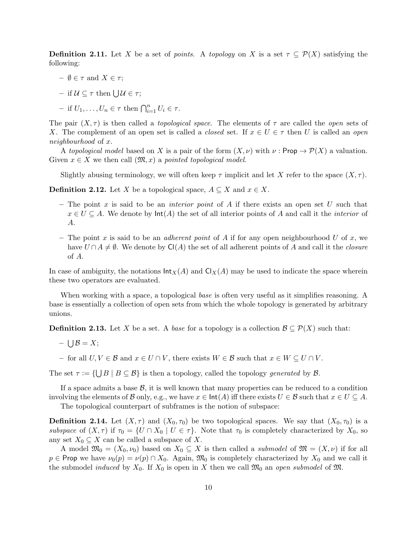**Definition 2.11.** Let X be a set of points. A topology on X is a set  $\tau \subseteq \mathcal{P}(X)$  satisfying the following:

- $-\emptyset \in \tau$  and  $X \in \tau$ ;
- $-$  if  $\mathcal{U} \subseteq \tau$  then  $\bigcup \mathcal{U} \in \tau$ ;
- if  $U_1, \ldots, U_n \in \tau$  then  $\bigcap_{i=1}^n U_i \in \tau$ .

The pair  $(X, \tau)$  is then called a *topological space*. The elements of  $\tau$  are called the *open* sets of X. The complement of an open set is called a *closed* set. If  $x \in U \in \tau$  then U is called an *open* neighbourhood of x.

A topological model based on X is a pair of the form  $(X, \nu)$  with  $\nu : \mathsf{Prop} \to \mathcal{P}(X)$  a valuation. Given  $x \in X$  we then call  $(\mathfrak{M},x)$  a pointed topological model.

Slightly abusing terminology, we will often keep  $\tau$  implicit and let X refer to the space  $(X, \tau)$ .

**Definition 2.12.** Let X be a topological space,  $A \subseteq X$  and  $x \in X$ .

- The point x is said to be an *interior point* of A if there exists an open set U such that  $x \in U \subseteq A$ . We denote by  $\text{Int}(A)$  the set of all interior points of A and call it the *interior* of A.
- The point x is said to be an *adherent point* of A if for any open neighbourhood U of x, we have  $U \cap A \neq \emptyset$ . We denote by Cl(A) the set of all adherent points of A and call it the closure of A.

In case of ambiguity, the notations  $\text{Int}_X(A)$  and  $\text{Cl}_X(A)$  may be used to indicate the space wherein these two operators are evaluated.

When working with a space, a topological base is often very useful as it simplifies reasoning. A base is essentially a collection of open sets from which the whole topology is generated by arbitrary unions.

**Definition 2.13.** Let X be a set. A base for a topology is a collection  $\mathcal{B} \subseteq \mathcal{P}(X)$  such that:

- $\bigcup \mathcal{B} = X;$
- for all  $U, V \in \mathcal{B}$  and  $x \in U \cap V$ , there exists  $W \in \mathcal{B}$  such that  $x \in W \subseteq U \cap V$ .

The set  $\tau := \{ \bigcup B \mid B \subseteq \mathcal{B} \}$  is then a topology, called the topology generated by  $\mathcal{B}$ .

If a space admits a base  $\mathcal{B}$ , it is well known that many properties can be reduced to a condition involving the elements of B only, e.g., we have  $x \in \text{Int}(A)$  iff there exists  $U \in \mathcal{B}$  such that  $x \in U \subseteq A$ .

The topological counterpart of subframes is the notion of subspace:

**Definition 2.14.** Let  $(X, \tau)$  and  $(X_0, \tau_0)$  be two topological spaces. We say that  $(X_0, \tau_0)$  is a subspace of  $(X, \tau)$  if  $\tau_0 = \{U \cap X_0 \mid U \in \tau\}$ . Note that  $\tau_0$  is completely characterized by  $X_0$ , so any set  $X_0 \subseteq X$  can be called a subspace of X.

A model  $\mathfrak{M}_0 = (X_0, \nu_0)$  based on  $X_0 \subseteq X$  is then called a *submodel* of  $\mathfrak{M} = (X, \nu)$  if for all  $p \in \text{Prop we have } \nu_0(p) = \nu(p) \cap X_0.$  Again,  $\mathfrak{M}_0$  is completely characterized by  $X_0$  and we call it the submodel *induced* by  $X_0$ . If  $X_0$  is open in X then we call  $\mathfrak{M}_0$  an open submodel of  $\mathfrak{M}$ .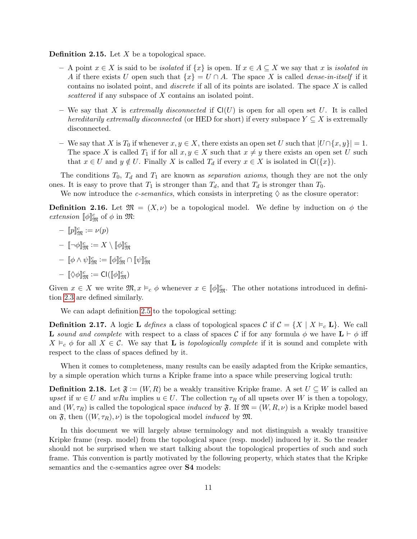<span id="page-12-3"></span>**Definition 2.15.** Let  $X$  be a topological space.

- A point  $x \in X$  is said to be *isolated* if  $\{x\}$  is open. If  $x \in A \subseteq X$  we say that x is *isolated in* A if there exists U open such that  $\{x\} = U \cap A$ . The space X is called *dense-in-itself* if it contains no isolated point, and *discrete* if all of its points are isolated. The space  $X$  is called scattered if any subspace of X contains an isolated point.
- We say that X is extremally disconnected if  $Cl(U)$  is open for all open set U. It is called hereditarily extremally disconnected (or HED for short) if every subspace  $Y \subseteq X$  is extremally disconnected.
- We say that X is  $T_0$  if whenever  $x, y \in X$ , there exists an open set U such that  $|U \cap \{x, y\}| = 1$ . The space X is called  $T_1$  if for all  $x, y \in X$  such that  $x \neq y$  there exists an open set U such that  $x \in U$  and  $y \notin U$ . Finally X is called  $T_d$  if every  $x \in X$  is isolated in  $\mathsf{Cl}(\{x\})$ .

The conditions  $T_0$ ,  $T_d$  and  $T_1$  are known as *separation axioms*, though they are not the only ones. It is easy to prove that  $T_1$  is stronger than  $T_d$ , and that  $T_d$  is stronger than  $T_0$ .

We now introduce the *c-semantics*, which consists in interpreting  $\Diamond$  as the closure operator:

<span id="page-12-0"></span>**Definition 2.16.** Let  $\mathfrak{M} = (X, \nu)$  be a topological model. We define by induction on  $\phi$  the extension  $[\![\phi]\!]_{\mathfrak{M}}^{c}$  of  $\phi$  in  $\mathfrak{M}$ :

$$
-\ [p]_{\mathfrak{M}}^c:=\nu(p)
$$

$$
-\,\, \llbracket \neg \phi \rrbracket^c_\mathfrak{M} := X \setminus \llbracket \phi \rrbracket^c_\mathfrak{M}
$$

 $- \llbracket \phi \wedge \psi \rrbracket^c_{\mathfrak{M}} \mathrel{\mathop:}= \llbracket \phi \rrbracket^c_{\mathfrak{M}} \cap \llbracket \psi \rrbracket^c_{\mathfrak{M}}$ 

$$
-\ [\![\Diamond\phi]\!]_{\mathfrak{M}}^{c}:=\mathrm{Cl}([\![\phi]\!]_{\mathfrak{M}}^{c})
$$

Given  $x \in X$  we write  $\mathfrak{M}, x \vDash_c \phi$  whenever  $x \in [\![\phi]\!]_{\mathfrak{M}}^c$ . The other notations introduced in definition [2.3](#page-8-1) are defined similarly.

We can adapt definition [2.5](#page-9-0) to the topological setting:

<span id="page-12-1"></span>**Definition 2.17.** A logic **L** defines a class of topological spaces C if  $C = \{X \mid X \models_c \mathbf{L}\}\$ . We call **L** sound and complete with respect to a class of spaces C if for any formula  $\phi$  we have  $\mathbf{L} \vdash \phi$  iff  $X \vDash_{c} \phi$  for all  $X \in \mathcal{C}$ . We say that **L** is topologically complete if it is sound and complete with respect to the class of spaces defined by it.

When it comes to completeness, many results can be easily adapted from the Kripke semantics, by a simple operation which turns a Kripke frame into a space while preserving logical truth:

<span id="page-12-2"></span>**Definition 2.18.** Let  $\mathfrak{F} := (W, R)$  be a weakly transitive Kripke frame. A set  $U \subseteq W$  is called an upset if  $w \in U$  and wRu implies  $u \in U$ . The collection  $\tau_R$  of all upsets over W is then a topology, and  $(W, \tau_R)$  is called the topological space *induced* by  $\mathfrak{F}$ . If  $\mathfrak{M} = (W, R, \nu)$  is a Kripke model based on  $\mathfrak{F}$ , then  $((W, \tau_R), \nu)$  is the topological model *induced* by  $\mathfrak{M}$ .

In this document we will largely abuse terminology and not distinguish a weakly transitive Kripke frame (resp. model) from the topological space (resp. model) induced by it. So the reader should not be surprised when we start talking about the topological properties of such and such frame. This convention is partly motivated by the following property, which states that the Kripke semantics and the c-semantics agree over **S4** models: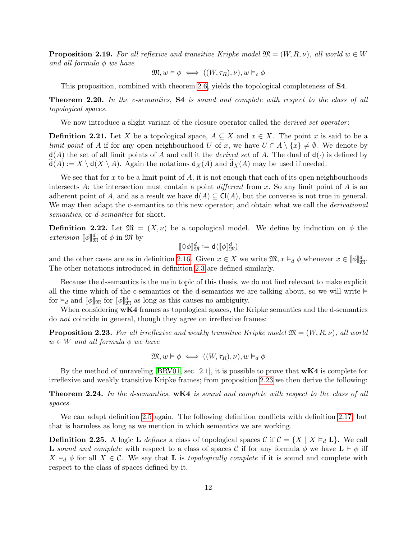**Proposition 2.19.** For all reflexive and transitive Kripke model  $\mathfrak{M} = (W, R, \nu)$ , all world  $w \in W$ and all formula  $\phi$  we have

$$
\mathfrak{M},w\vDash\phi\iff((W,\tau_R),\nu),w\vDash_c\phi
$$

This proposition, combined with theorem [2.6,](#page-9-1) yields the topological completeness of S4.

Theorem 2.20. In the c-semantics, S4 is sound and complete with respect to the class of all topological spaces.

We now introduce a slight variant of the closure operator called the *derived set operator*:

**Definition 2.21.** Let X be a topological space,  $A \subseteq X$  and  $x \in X$ . The point x is said to be a limit point of A if for any open neighbourhood U of x, we have  $U \cap A \setminus \{x\} \neq \emptyset$ . We denote by  $d(A)$  the set of all limit points of A and call it the *derived set* of A. The dual of  $d(\cdot)$  is defined by  $d(A) := X \setminus d(X \setminus A)$ . Again the notations  $d_X(A)$  and  $d_X(A)$  may be used if needed.

We see that for x to be a limit point of A, it is not enough that each of its open neighbourhoods intersects A: the intersection must contain a point different from x. So any limit point of A is an adherent point of A, and as a result we have  $d(A) \subseteq C(A)$ , but the converse is not true in general. We may then adapt the c-semantics to this new operator, and obtain what we call the *derivational* semantics, or *d*-semantics for short.

**Definition 2.22.** Let  $\mathfrak{M} = (X, \nu)$  be a topological model. We define by induction on  $\phi$  the *extension*  $[\![\phi]\!]_{\mathfrak{M}}^d$  of  $\phi$  in  $\mathfrak{M}$  by

$$
[\![\Diamond\phi]\!]_{\mathfrak{M}}^d:=\mathrm{d}([\![\phi]\!]_{\mathfrak{M}}^d)
$$

and the other cases are as in definition [2.16.](#page-12-0) Given  $x \in X$  we write  $\mathfrak{M}, x \vDash_d \phi$  whenever  $x \in [\![\phi]\!]_{\mathfrak{M}}^d$ . The other notations introduced in definition [2.3](#page-8-1) are defined similarly.

Because the d-semantics is the main topic of this thesis, we do not find relevant to make explicit all the time which of the c-semantics or the d-semantics we are talking about, so we will write  $\models$ for  $\vdash_d$  and  $[\![\phi]\!]_{\mathfrak{M}}^d$  for  $[\![\phi]\!]_{\mathfrak{M}}^d$  as long as this causes no ambiguity.

When considering  $wK4$  frames as topological spaces, the Kripke semantics and the d-semantics do not coincide in general, though they agree on irreflexive frames:

<span id="page-13-0"></span>**Proposition 2.23.** For all irreflexive and weakly transitive Kripke model  $\mathfrak{M} = (W, R, \nu)$ , all world  $w \in W$  and all formula  $\phi$  we have

$$
\mathfrak{M}, w \vDash \phi \iff ((W, \tau_R), \nu), w \vDash_d \phi
$$

By the method of unraveling  $\text{BRVO1}$ , sec. 2.1, it is possible to prove that  $wK4$  is complete for irreflexive and weakly transitive Kripke frames; from proposition [2.23](#page-13-0) we then derive the following:

Theorem 2.24. In the d-semantics, wK4 is sound and complete with respect to the class of all spaces.

We can adapt definition [2.5](#page-9-0) again. The following definition conflicts with definition [2.17,](#page-12-1) but that is harmless as long as we mention in which semantics we are working.

<span id="page-13-1"></span>**Definition 2.25.** A logic **L** defines a class of topological spaces C if  $C = \{X \mid X \models_d \mathbf{L}\}\$ . We call **L** sound and complete with respect to a class of spaces C if for any formula  $\phi$  we have  $\mathbf{L} \vdash \phi$  iff  $X \vDash_d \phi$  for all  $X \in \mathcal{C}$ . We say that **L** is topologically complete if it is sound and complete with respect to the class of spaces defined by it.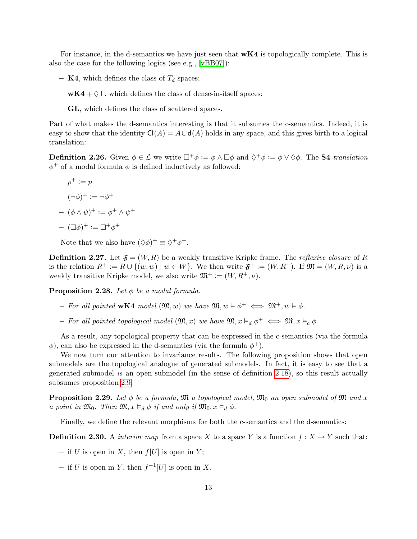For instance, in the d-semantics we have just seen that  $wK4$  is topologically complete. This is also the case for the following logics (see e.g., [\[vBB07\]](#page-70-3)):

- **K4**, which defines the class of  $T_d$  spaces;
- $wK4 + \Diamond T$ , which defines the class of dense-in-itself spaces;
- GL, which defines the class of scattered spaces.

Part of what makes the d-semantics interesting is that it subsumes the c-semantics. Indeed, it is easy to show that the identity  $Cl(A) = A \cup d(A)$  holds in any space, and this gives birth to a logical translation:

**Definition 2.26.** Given  $\phi \in \mathcal{L}$  we write  $\Box^+\phi := \phi \land \Box \phi$  and  $\Diamond^+\phi := \phi \lor \Diamond \phi$ . The **S4**-translation  $\phi^+$  of a modal formula  $\phi$  is defined inductively as followed:

 $- p^+ := p$  $-(-\phi)^{+} := -\phi^{+}$  $(\phi \wedge \psi)^+ := \phi^+ \wedge \psi^+$  $- (\Box \phi)^+ := \Box^+ \phi^+$ 

Note that we also have  $(\Diamond \phi)^+ \equiv \Diamond^+ \phi^+.$ 

**Definition 2.27.** Let  $\mathfrak{F} = (W, R)$  be a weakly transitive Kripke frame. The *reflexive closure* of R is the relation  $R^+ := R \cup \{(w, w) \mid w \in W\}$ . We then write  $\mathfrak{F}^+ := (W, R^+)$ . If  $\mathfrak{M} = (W, R, \nu)$  is a weakly transitive Kripke model, we also write  $\mathfrak{M}^+ := (W, R^+, \nu)$ .

<span id="page-14-0"></span>**Proposition 2.28.** Let  $\phi$  be a modal formula.

- For all pointed wK4 model  $(\mathfrak{M}, w)$  we have  $\mathfrak{M}, w \models \phi^+ \iff \mathfrak{M}^+, w \models \phi$ .
- For all pointed topological model  $(\mathfrak{M},x)$  we have  $\mathfrak{M}, x \vDash_d \phi^+ \iff \mathfrak{M}, x \vDash_c \phi$

As a result, any topological property that can be expressed in the c-semantics (via the formula  $\phi$ ), can also be expressed in the d-semantics (via the formula  $\phi^+$ ).

We now turn our attention to invariance results. The following proposition shows that open submodels are the topological analogue of generated submodels. In fact, it is easy to see that a generated submodel is an open submodel (in the sense of definition [2.18\)](#page-12-2), so this result actually subsumes proposition [2.9.](#page-10-2)

**Proposition 2.29.** Let  $\phi$  be a formula,  $\mathfrak{M}$  a topological model,  $\mathfrak{M}_0$  an open submodel of  $\mathfrak{M}$  and x a point in  $\mathfrak{M}_0$ . Then  $\mathfrak{M}, x \vDash_d \phi$  if and only if  $\mathfrak{M}_0, x \vDash_d \phi$ .

Finally, we define the relevant morphisms for both the c-semantics and the d-semantics:

**Definition 2.30.** A *interior map* from a space X to a space Y is a function  $f : X \to Y$  such that:

- if U is open in X, then  $f[U]$  is open in Y;
- if U is open in Y, then  $f^{-1}[U]$  is open in X.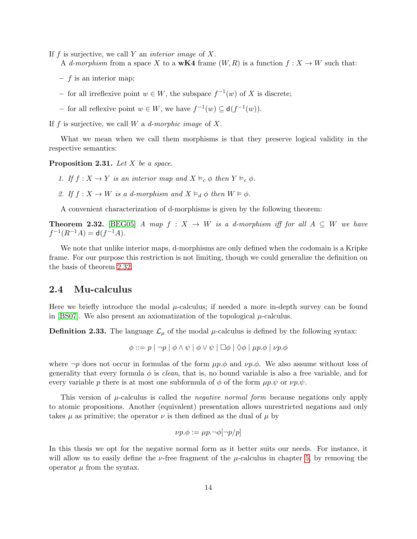If  $f$  is surjective, we call  $Y$  an *interior image* of  $X$ .

- A d-morphism from a space X to a wK4 frame  $(W, R)$  is a function  $f: X \to W$  such that:
- $f$  is an interior map;
- − for all irreflexive point  $w \in W$ , the subspace  $f^{-1}(w)$  of X is discrete;
- − for all reflexive point  $w \in W$ , we have  $f^{-1}(w) \subseteq d(f^{-1}(w))$ .

If f is surjective, we call W a d-morphic image of X.

What we mean when we call them morphisms is that they preserve logical validity in the respective semantics:

<span id="page-15-2"></span>**Proposition 2.31.** Let  $X$  be a space.

- 1. If  $f: X \to Y$  is an interior map and  $X \vDash_{c} \phi$  then  $Y \vDash_{c} \phi$ .
- 2. If  $f: X \to W$  is a d-morphism and  $X \vDash_d \phi$  then  $W \vDash \phi$ .

A convenient characterization of d-morphisms is given by the following theorem:

<span id="page-15-1"></span>**Theorem 2.32.** [\[BEG05\]](#page-69-6) A map  $f : X \to W$  is a d-morphism iff for all  $A \subseteq W$  we have  $f^{-1}(R^{-1}A) = d(f^{-1}A).$ 

We note that unlike interior maps, d-morphisms are only defined when the codomain is a Kripke frame. For our purpose this restriction is not limiting, though we could generalize the definition on the basis of theorem [2.32.](#page-15-1)

#### <span id="page-15-0"></span>2.4 Mu-calculus

Here we briefly introduce the modal  $\mu$ -calculus; if needed a more in-depth survey can be found in [\[BS07\]](#page-69-7). We also present an axiomatization of the topological  $\mu$ -calculus.

**Definition 2.33.** The language  $\mathcal{L}_{\mu}$  of the modal  $\mu$ -calculus is defined by the following syntax:

$$
\phi ::= p | \neg p | \phi \land \psi | \phi \lor \psi | \Box \phi | \Diamond \phi | \mu p. \phi | \nu p. \phi
$$

where  $\neg p$  does not occur in formulas of the form  $\mu p.\phi$  and  $\nu p.\phi$ . We also assume without loss of generality that every formula  $\phi$  is *clean*, that is, no bound variable is also a free variable, and for every variable p there is at most one subformula of  $\phi$  of the form  $\mu p.\psi$  or  $\nu p.\psi$ .

This version of  $\mu$ -calculus is called the *negative normal form* because negations only apply to atomic propositions. Another (equivalent) presentation allows unrestricted negations and only takes  $\mu$  as primitive; the operator  $\nu$  is then defined as the dual of  $\mu$  by

$$
\nu p.\phi := \mu p.\neg \phi[\neg p/p]
$$

In this thesis we opt for the negative normal form as it better suits our needs. For instance, it will allow us to easily define the  $\nu$ -free fragment of the  $\mu$ -calculus in chapter [5,](#page-51-0) by removing the operator  $\mu$  from the syntax.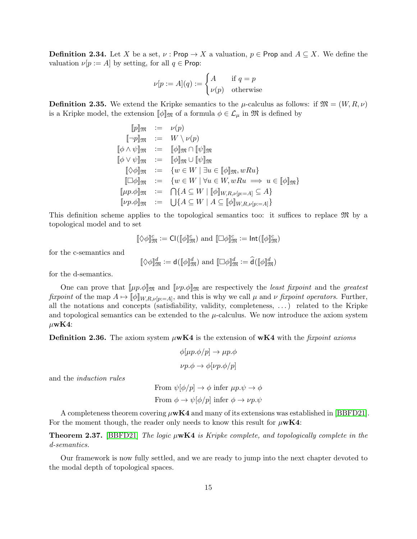**Definition 2.34.** Let X be a set,  $\nu$ : Prop  $\rightarrow X$  a valuation,  $p \in \text{Prop}$  and  $A \subseteq X$ . We define the valuation  $\nu[p := A]$  by setting, for all  $q \in \text{Prop}$ :

$$
\nu[p := A](q) := \begin{cases} A & \text{if } q = p \\ \nu(p) & \text{otherwise} \end{cases}
$$

**Definition 2.35.** We extend the Kripke semantics to the  $\mu$ -calculus as follows: if  $\mathfrak{M} = (W, R, \nu)$ is a Kripke model, the extension  $[\![\phi]\!]_{\mathfrak{M}}$  of a formula  $\phi \in \mathcal{L}_{\mu}$  in  $\mathfrak{M}$  is defined by

$$
[p]_{\mathfrak{M}} := \nu(p)
$$
  
\n
$$
[\neg p]_{\mathfrak{M}} := W \setminus \nu(p)
$$
  
\n
$$
[\![\phi \land \psi]\!]_{\mathfrak{M}} := [\![\phi]\!]_{\mathfrak{M}} \cap [\![\psi]\!]_{\mathfrak{M}}
$$
  
\n
$$
[\![\phi \lor \psi]\!]_{\mathfrak{M}} := [\![\phi]\!]_{\mathfrak{M}} \cup [\![\psi]\!]_{\mathfrak{M}}
$$
  
\n
$$
[\![\Diamond \phi]\!]_{\mathfrak{M}} := \{w \in W \mid \exists u \in [\![\phi]\!]_{\mathfrak{M}}, wRu\}
$$
  
\n
$$
[\![\Box \phi]\!]_{\mathfrak{M}} := \{w \in W \mid \forall u \in W, wRu \implies u \in [\![\phi]\!]_{\mathfrak{M}}\}
$$
  
\n
$$
[\![\mu p.\phi]\!]_{\mathfrak{M}} := \bigcap\{A \subseteq W \mid [\![\phi]\!]_{W,R,\nu[p:=A]}\subseteq A\}
$$
  
\n
$$
[\![\nu p.\phi]\!]_{\mathfrak{M}} := \bigcup\{A \subseteq W \mid A \subseteq [\![\phi]\!]_{W,R,\nu[p:=A]}\}
$$

This definition scheme applies to the topological semantics too: it suffices to replace M by a topological model and to set

$$
[\![\Diamond \phi]\!]_{\mathfrak{M}}^{c}:=\text{Cl}([\![\phi]\!]_{\mathfrak{M}}^{c}) \text{ and } [\![\Box \phi]\!]_{\mathfrak{M}}^{c}:=\text{Int}([\![\phi]\!]_{\mathfrak{M}}^{c})
$$

for the c-semantics and

$$
[\![\Diamond \phi]\!]_{\mathfrak{M}}^d := \mathsf{d}([\![\phi]\!]_{\mathfrak{M}}^d) \text{ and } [\![\Box \phi]\!]_{\mathfrak{M}}^d := \widehat{\mathsf{d}}([\![\phi]\!]_{\mathfrak{M}}^d)
$$

for the d-semantics.

One can prove that  $[\![\mu p.\phi]\!]_{\mathfrak{M}}$  and  $[\![\nu p.\phi]\!]_{\mathfrak{M}}$  are respectively the *least fixpoint* and the *greatest* fixpoint of the map  $A \mapsto [\![\phi]\!]_{W,R,\nu[p:=A]},$  and this is why we call  $\mu$  and  $\nu$  fixpoint operators. Further, all the notations and concepts (satisfiability, validity, completeness, . . . ) related to the Kripke and topological semantics can be extended to the  $\mu$ -calculus. We now introduce the axiom system  $\mu$ wK4:

**Definition 2.36.** The axiom system  $\mu$ **wK4** is the extension of **wK4** with the fixpoint axioms

$$
\phi[\mu p.\phi/p] \to \mu p.\phi
$$
  

$$
\nu p.\phi \to \phi[\nu p.\phi/p]
$$

and the induction rules

From 
$$
\psi[\phi/p] \to \phi
$$
 infer  $\mu p.\psi \to \phi$   
From  $\phi \to \psi[\phi/p]$  infer  $\phi \to \nu p.\psi$ 

A completeness theorem covering  $\mu$ wK4 and many of its extensions was established in [\[BBFD21\]](#page-69-3). For the moment though, the reader only needs to know this result for  $\mu$ wK4:

<span id="page-16-0"></span>**Theorem 2.37.** [\[BBFD21\]](#page-69-3) The logic  $\mu$ **wK4** is Kripke complete, and topologically complete in the d-semantics.

Our framework is now fully settled, and we are ready to jump into the next chapter devoted to the modal depth of topological spaces.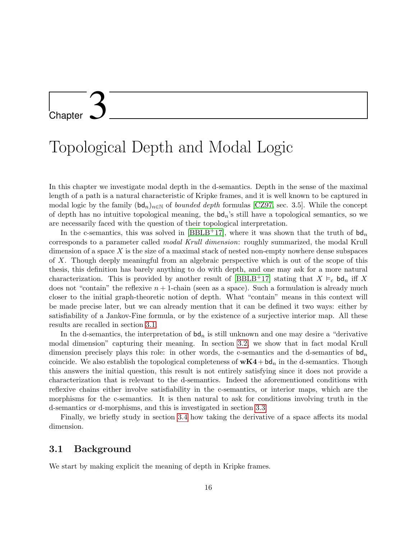## <span id="page-17-0"></span>**Chapter**

### Topological Depth and Modal Logic

In this chapter we investigate modal depth in the d-semantics. Depth in the sense of the maximal length of a path is a natural characteristic of Kripke frames, and it is well known to be captured in modal logic by the family  $(\mathsf{bd}_n)_{n\in\mathbb{N}}$  of *bounded depth* formulas [\[CZ97,](#page-69-5) sec. 3.5]. While the concept of depth has no intuitive topological meaning, the  $bd_n$ 's still have a topological semantics, so we are necessarily faced with the question of their topological interpretation.

In the c-semantics, this was solved in [\[BBLB](#page-69-2)+17], where it was shown that the truth of  $bd_n$ corresponds to a parameter called modal Krull dimension: roughly summarized, the modal Krull dimension of a space  $X$  is the size of a maximal stack of nested non-empty nowhere dense subspaces of X. Though deeply meaningful from an algebraic perspective which is out of the scope of this thesis, this definition has barely anything to do with depth, and one may ask for a more natural characterization. This is provided by another result of [\[BBLB](#page-69-2)+17] stating that  $X \vDash_c \mathsf{bd}_n$  iff X does not "contain" the reflexive  $n + 1$ -chain (seen as a space). Such a formulation is already much closer to the initial graph-theoretic notion of depth. What "contain" means in this context will be made precise later, but we can already mention that it can be defined it two ways: either by satisfiability of a Jankov-Fine formula, or by the existence of a surjective interior map. All these results are recalled in section [3.1.](#page-17-1)

In the d-semantics, the interpretation of  $bd_n$  is still unknown and one may desire a "derivative" modal dimension" capturing their meaning. In section [3.2,](#page-19-0) we show that in fact modal Krull dimension precisely plays this role: in other words, the c-semantics and the d-semantics of  $bd_n$ coincide. We also establish the topological completeness of  $wK4+bd_n$  in the d-semantics. Though this answers the initial question, this result is not entirely satisfying since it does not provide a characterization that is relevant to the d-semantics. Indeed the aforementioned conditions with reflexive chains either involve satisfiability in the c-semantics, or interior maps, which are the morphisms for the c-semantics. It is then natural to ask for conditions involving truth in the d-semantics or d-morphisms, and this is investigated in section [3.3.](#page-23-0)

<span id="page-17-1"></span>Finally, we briefly study in section [3.4](#page-28-0) how taking the derivative of a space affects its modal dimension.

#### 3.1 Background

We start by making explicit the meaning of depth in Kripke frames.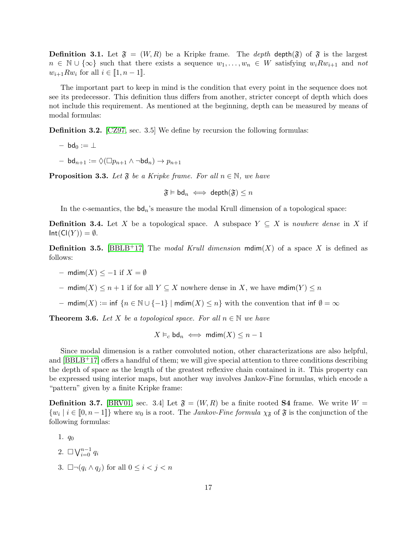**Definition 3.1.** Let  $\mathfrak{F} = (W, R)$  be a Kripke frame. The *depth* depth( $\mathfrak{F}$ ) of  $\mathfrak{F}$  is the largest  $n \in \mathbb{N} \cup \{\infty\}$  such that there exists a sequence  $w_1, \ldots, w_n \in W$  satisfying  $w_i R w_{i+1}$  and not  $w_{i+1}Rw_i$  for all  $i \in [1, n-1]$ .

The important part to keep in mind is the condition that every point in the sequence does not see its predecessor. This definition thus differs from another, stricter concept of depth which does not include this requirement. As mentioned at the beginning, depth can be measured by means of modal formulas:

Definition 3.2. [\[CZ97,](#page-69-5) sec. 3.5] We define by recursion the following formulas:

 $-$  bd<sub>0</sub> :=  $\perp$ 

 $-$  bd<sub>n+1</sub> :=  $\Diamond(\Box p_{n+1} \land \neg \mathrm{bd}_n) \rightarrow p_{n+1}$ 

**Proposition 3.3.** Let  $\mathfrak{F}$  be a Kripke frame. For all  $n \in \mathbb{N}$ , we have

 $\mathfrak{F} \models \mathsf{bd}_n \iff \mathsf{depth}(\mathfrak{F}) \leq n$ 

In the c-semantics, the  $bd_n$ 's measure the modal Krull dimension of a topological space:

**Definition 3.4.** Let X be a topological space. A subspace  $Y \subseteq X$  is nowhere dense in X if  $Int(Cl(Y)) = \emptyset.$ 

**Definition 3.5.** [\[BBLB](#page-69-2)<sup>+</sup>17] The modal Krull dimension  $\text{mdim}(X)$  of a space X is defined as follows:

– mdim $(X)$  < -1 if  $X = \emptyset$ 

– mdim $(X) \leq n+1$  if for all  $Y \subseteq X$  nowhere dense in X, we have mdim $(Y) \leq n$ 

– mdim(X) := inf  $\{n \in \mathbb{N} \cup \{-1\} \mid \text{mdim}(X) \leq n\}$  with the convention that inf  $\emptyset = \infty$ 

<span id="page-18-0"></span>**Theorem 3.6.** Let X be a topological space. For all  $n \in \mathbb{N}$  we have

$$
X \vDash_c \mathsf{bd}_n \iff \mathsf{mdim}(X) \leq n - 1
$$

Since modal dimension is a rather convoluted notion, other characterizations are also helpful, and  $[BBLB<sup>+</sup>17]$  offers a handful of them; we will give special attention to three conditions describing the depth of space as the length of the greatest reflexive chain contained in it. This property can be expressed using interior maps, but another way involves Jankov-Fine formulas, which encode a "pattern" given by a finite Kripke frame:

**Definition 3.7.** [\[BRV01,](#page-69-4) sec. 3.4] Let  $\mathfrak{F} = (W, R)$  be a finite rooted **S4** frame. We write  $W =$  $\{w_i \mid i \in [0, n-1]\}$  where  $w_0$  is a root. The *Jankov-Fine formula*  $\chi_{\mathfrak{F}}$  of  $\mathfrak{F}$  is the conjunction of the following formulas:

- 1.  $q_0$
- 2.  $\Box \bigvee_{i=0}^{n-1} q_i$
- 3.  $\Box \neg (q_i \land q_j)$  for all  $0 \leq i < j < n$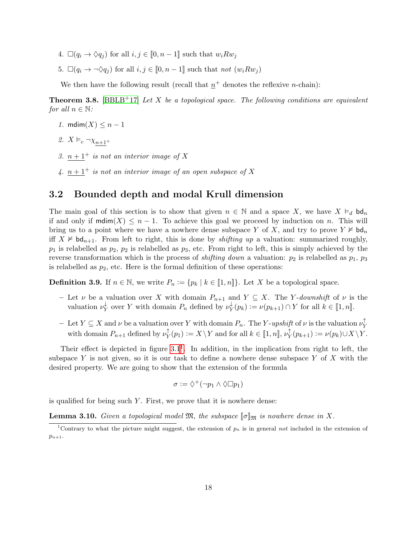- 4.  $\Box(q_i \rightarrow \Diamond q_j)$  for all  $i, j \in [0, n-1]$  such that  $w_i R w_j$
- 5.  $\Box(q_i \rightarrow \neg \Diamond q_j)$  for all  $i, j \in [0, n-1]$  such that not  $(w_i R w_j)$

We then have the following result (recall that  $n^+$  denotes the reflexive *n*-chain):

<span id="page-19-3"></span>**Theorem 3.8.** [\[BBLB](#page-69-2)+17] Let X be a topological space. The following conditions are equivalent for all  $n \in \mathbb{N}$ :

- 1. mdim $(X) \leq n-1$
- <span id="page-19-4"></span>2.  $X \vDash_c \neg \chi_{n+1^+}$
- <span id="page-19-5"></span>3.  $n + 1^+$  is not an interior image of X
- <span id="page-19-6"></span>4.  $n + 1^+$  is not an interior image of an open subspace of X

#### <span id="page-19-0"></span>3.2 Bounded depth and modal Krull dimension

The main goal of this section is to show that given  $n \in \mathbb{N}$  and a space X, we have  $X \vDash_d \mathsf{bd}_n$ if and only if  $\text{mdim}(X) \leq n-1$ . To achieve this goal we proceed by induction on n. This will bring us to a point where we have a nowhere dense subspace Y of X, and try to prove  $Y \not\vDash \mathsf{bd}_n$ iff  $X \not\vDash \mathsf{bd}_{n+1}$ . From left to right, this is done by *shifting up* a valuation: summarized roughly,  $p_1$  is relabelled as  $p_2$ ,  $p_2$  is relabelled as  $p_3$ , etc. From right to left, this is simply achieved by the reverse transformation which is the process of *shifting down* a valuation:  $p_2$  is relabelled as  $p_1$ ,  $p_3$ is relabelled as  $p_2$ , etc. Here is the formal definition of these operations:

**Definition 3.9.** If  $n \in \mathbb{N}$ , we write  $P_n := \{p_k \mid k \in [1, n]\}\$ . Let X be a topological space.

- Let  $\nu$  be a valuation over X with domain  $P_{n+1}$  and  $Y \subseteq X$ . The Y-downshift of  $\nu$  is the valuation  $\nu_{\mathbf{v}}^{\downarrow}$  $_{Y}^{\downarrow}$  over Y with domain  $P_n$  defined by  $\nu_{Y}^{\downarrow}$  $Y_Y^{\downarrow}(p_k) := \nu(p_{k+1}) \cap Y$  for all  $k \in [1, n]$ .
- $\text{ Let } Y \subseteq X \text{ and } \nu \text{ be a valuation over } Y \text{ with domain } P_n.$  The Y-upshift of  $\nu$  is the valuation  $\nu_Y^{\uparrow}$ Y with domain  $P_{n+1}$  defined by  $\nu_Y^{\uparrow}$  $Y(Y \mid Y(p_1) := X \setminus Y \text{ and for all } k \in [\![1, n]\!], \nu_Y^{\uparrow}$  $Y_Y^{\top}(p_{k+1}) := \nu(p_k) \cup X \backslash Y.$

Their effect is depicted in figure  $3.1<sup>1</sup>$  $3.1<sup>1</sup>$  $3.1<sup>1</sup>$ . In addition, in the implication from right to left, the subspace Y is not given, so it is our task to define a nowhere dense subspace Y of X with the desired property. We are going to show that the extension of the formula

$$
\sigma := \Diamond^+(\neg p_1 \wedge \Diamond \Box p_1)
$$

is qualified for being such  $Y$ . First, we prove that it is nowhere dense:

<span id="page-19-2"></span>**Lemma 3.10.** Given a topological model  $\mathfrak{M}$ , the subspace  $[\![\sigma]\!]_{\mathfrak{M}}$  is nowhere dense in X.

<span id="page-19-1"></span><sup>&</sup>lt;sup>1</sup>Contrary to what the picture might suggest, the extension of  $p_n$  is in general not included in the extension of  $p_{n+1}$ .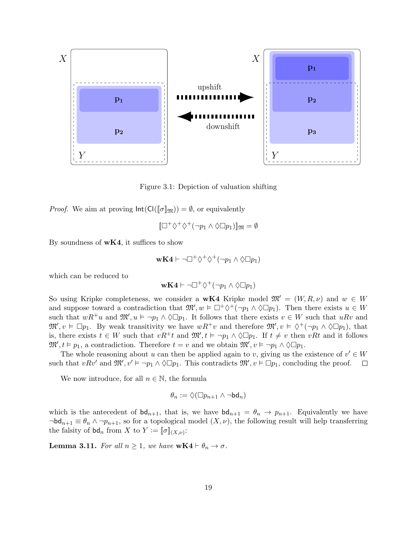

<span id="page-20-0"></span>Figure 3.1: Depiction of valuation shifting

*Proof.* We aim at proving  $Int(Cl([\![\sigma]\!]_{\mathfrak{M}})) = \emptyset$ , or equivalently

$$
[\Box^+\Diamond^+\Diamond^+(\neg p_1 \wedge \Diamond \Box p_1)]_{\mathfrak{M}} = \emptyset
$$

By soundness of  $wK4$ , it suffices to show

$$
{\bf wK4}\vdash \neg\Box^{+}\Diamond^{+}\Diamond^{+}(\neg p_{1}\wedge \Diamond\Box p_{1})
$$

which can be reduced to

$$
\mathbf{wK4} \vdash \neg \Box^{+} \Diamond^{+} (\neg p_1 \land \Diamond \Box p_1)
$$

So using Kripke completeness, we consider a **wK4** Kripke model  $\mathfrak{M}' = (W, R, \nu)$  and  $w \in W$ and suppose toward a contradiction that  $\mathfrak{M}'$ ,  $w \in \Box^+ \Diamond^+ (\neg p_1 \land \Diamond \Box p_1)$ . Then there exists  $u \in W$ such that  $wR^+u$  and  $\mathfrak{M}', u \models \neg p_1 \land \Diamond \Box p_1$ . It follows that there exists  $v \in W$  such that  $uRv$  and  $\mathfrak{M}', v \models \Box p_1$ . By weak transitivity we have  $wR^+v$  and therefore  $\mathfrak{M}', v \models \Diamond^+(\neg p_1 \land \Diamond \Box p_1)$ , that is, there exists  $t \in W$  such that  $vR^+t$  and  $\mathfrak{M}', t \models \neg p_1 \land \Diamond \Box p_1$ . If  $t \neq v$  then  $vRt$  and it follows  $\mathfrak{M}', t \models p_1$ , a contradiction. Therefore  $t = v$  and we obtain  $\mathfrak{M}', v \models \neg p_1 \land \Diamond \Box p_1$ .

The whole reasoning about u can then be applied again to v, giving us the existence of  $v' \in W$ such that  $vRv'$  and  $\mathfrak{M}', v' \vDash \neg p_1 \land \Diamond \Box p_1$ . This contradicts  $\mathfrak{M}', v \vDash \Box p_1$ , concluding the proof.  $\Box$ 

We now introduce, for all  $n \in \mathbb{N}$ , the formula

$$
\theta_n:=\Diamond(\Box p_{n+1}\wedge \neg \mathsf{bd}_n)
$$

which is the antecedent of  $\mathsf{bd}_{n+1}$ , that is, we have  $\mathsf{bd}_{n+1} = \theta_n \to p_{n+1}$ . Equivalently we have  $\neg bd_{n+1} \equiv \theta_n \wedge \neg p_{n+1}$ , so for a topological model  $(X, \nu)$ , the following result will help transferring the falsity of  $\mathsf{bd}_n$  from X to  $Y := [\![\sigma]\!]_{(X,\nu)}$ :

<span id="page-20-1"></span>**Lemma 3.11.** For all  $n \geq 1$ , we have  $wK4 \vdash \theta_n \rightarrow \sigma$ .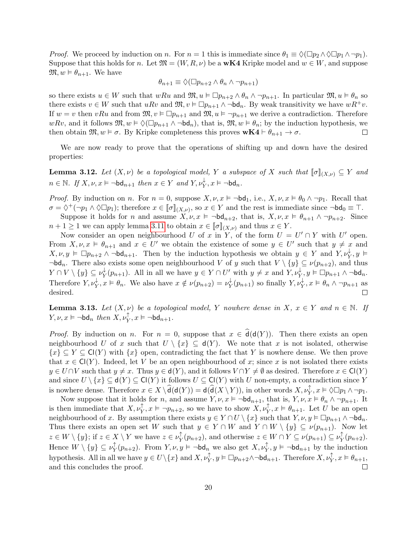*Proof.* We proceed by induction on n. For  $n = 1$  this is immediate since  $\theta_1 \equiv \Diamond(\Box p_2 \land \Diamond \Box p_1 \land \neg p_1)$ . Suppose that this holds for n. Let  $\mathfrak{M} = (W, R, \nu)$  be a **wK4** Kripke model and  $w \in W$ , and suppose  $\mathfrak{M}, w \models \theta_{n+1}$ . We have

$$
\theta_{n+1} \equiv \Diamond (\Box p_{n+2} \land \theta_n \land \neg p_{n+1})
$$

so there exists  $u \in W$  such that  $wRu$  and  $\mathfrak{M}, u \models \Box p_{n+2} \land \theta_n \land \neg p_{n+1}$ . In particular  $\mathfrak{M}, u \models \theta_n$  so there exists  $v \in W$  such that  $u R v$  and  $\mathfrak{M}, v \models \Box p_{n+1} \land \neg \mathsf{bd}_n$ . By weak transitivity we have  $w R^+ v$ . If  $w = v$  then vRu and from  $\mathfrak{M}, v \vDash \Box p_{n+1}$  and  $\mathfrak{M}, u \vDash \neg p_{n+1}$  we derive a contradiction. Therefore wRv, and it follows  $\mathfrak{M}, w \models \Diamond(\Box p_{n+1} \land \neg \mathsf{bd}_n)$ , that is,  $\mathfrak{M}, w \models \theta_n$ ; by the induction hypothesis, we then obtain  $\mathfrak{M}, w \models \sigma$ . By Kripke completeness this proves  $wK4 \vdash \theta_{n+1} \rightarrow \sigma$ .  $\Box$ 

We are now ready to prove that the operations of shifting up and down have the desired properties:

<span id="page-21-1"></span>**Lemma 3.12.** Let  $(X, \nu)$  be a topological model, Y a subspace of X such that  $[\![\sigma]\!]_{(X, \nu)} \subseteq Y$  and  $n \in \mathbb{N}$ . If  $X, \nu, x \models \neg \mathsf{bd}_{n+1}$  then  $x \in Y$  and  $Y, \nu_Y^{\downarrow}, x \models \neg \mathsf{bd}_n$ .

*Proof.* By induction on n. For  $n = 0$ , suppose  $X, \nu, x \models \neg \mathsf{bd}_1$ , i.e.,  $X, \nu, x \models \theta_0 \land \neg p_1$ . Recall that  $\sigma = \Diamond^+(\neg p_1 \land \Diamond \Box p_1)$ ; therefore  $x \in [\![\sigma]\!]_{(X,\nu)}$ , so  $x \in Y$  and the rest is immediate since  $\neg \mathsf{bd}_0 \equiv \top$ .

Suppose it holds for n and assume  $X, \nu, x \models \neg \mathsf{bd}_{n+2}$ , that is,  $X, \nu, x \models \theta_{n+1} \land \neg p_{n+2}$ . Since  $n+1 \geq 1$  we can apply lemma [3.11](#page-20-1) to obtain  $x \in [\![\sigma]\!]_{(X,\nu)}$  and thus  $x \in Y$ .

Now consider an open neighbourhood U of x in Y, of the form  $U = U' \cap Y$  with U' open. From  $X, \nu, x \models \theta_{n+1}$  and  $x \in U'$  we obtain the existence of some  $y \in U'$  such that  $y \neq x$  and  $X, \nu, y \vDash \Box p_{n+2} \land \neg \mathsf{bd}_{n+1}$ . Then by the induction hypothesis we obtain  $y \in Y$  and  $Y, \nu_Y^{\downarrow}, y \vDash$  $\neg bd_n$ . There also exists some open neighbourhood V of y such that  $V \setminus \{y\} \subseteq \nu(p_{n+2})$ , and thus  $Y \cap V \setminus \{y\} \subseteq \nu_Y^{\downarrow}$  $Y_Y^{\downarrow}(p_{n+1})$ . All in all we have  $y \in Y \cap U'$  with  $y \neq x$  and  $Y, \nu_Y^{\downarrow}, y \models \Box p_{n+1} \land \neg \mathsf{bd}_n$ . Therefore  $Y, \nu_Y^{\downarrow}, x \vDash \theta_n$ . We also have  $x \notin \nu(p_{n+2}) = \nu_Y^{\downarrow}$  $_Y^{\downarrow}(p_{n+1})$  so finally  $Y, \nu_Y^{\downarrow}, x \vDash \theta_n \wedge \neg p_{n+1}$  as desired.  $\Box$ 

<span id="page-21-0"></span>**Lemma 3.13.** Let  $(X, \nu)$  be a topological model, Y nowhere dense in X,  $x \in Y$  and  $n \in \mathbb{N}$ . If  $Y, \nu, x \vDash \neg \mathsf{bd}_n \ then \ X, \nu_Y^{\uparrow}, x \vDash \neg \mathsf{bd}_{n+1}.$ 

*Proof.* By induction on n. For  $n = 0$ , suppose that  $x \in \hat{\mathsf{d}}(\mathsf{d}(Y))$ . Then there exists an open neighbourhood U of x such that  $U \setminus \{x\} \subseteq d(Y)$ . We note that x is not isolated, otherwise  ${x \in Y \subseteq Cl(Y)}$  with  ${x}$  open, contradicting the fact that Y is nowhere dense. We then prove that  $x \in \mathsf{Cl}(Y)$ . Indeed, let V be an open neighbourhood of x; since x is not isolated there exists  $y \in U \cap V$  such that  $y \neq x$ . Thus  $y \in d(Y)$ , and it follows  $V \cap Y \neq \emptyset$  as desired. Therefore  $x \in Cl(Y)$ and since  $U \setminus \{x\} \subseteq d(Y) \subseteq Cl(Y)$  it follows  $U \subseteq Cl(Y)$  with U non-empty, a contradiction since Y is nowhere dense. Therefore  $x \in X \setminus \widehat{d}(d(Y)) = d(\widehat{d}(X \setminus Y)),$  in other words  $X, \nu_Y^{\uparrow}, x \models \Diamond \Box p_1 \land \neg p_1$ .

Now suppose that it holds for n, and assume  $Y, \nu, x \models \neg \mathsf{bd}_{n+1}$ , that is,  $Y, \nu, x \models \theta_n \land \neg p_{n+1}$ . It is then immediate that  $X, \nu_Y^{\uparrow}, x \vDash \neg p_{n+2}$ , so we have to show  $X, \nu_Y^{\uparrow}, x \vDash \theta_{n+1}$ . Let U be an open neighbourhood of x. By assumption there exists  $y \in Y \cap U \setminus \{x\}$  such that  $Y, \nu, y \models \Box p_{n+1} \land \neg \text{bd}_n$ . Thus there exists an open set W such that  $y \in Y \cap W$  and  $Y \cap W \setminus \{y\} \subseteq \nu(p_{n+1})$ . Now let  $z \in W \setminus \{y\};$  if  $z \in X \setminus Y$  we have  $z \in \nu_{\mathcal{X}}^{\uparrow}$  $\mathcal{Y}_Y^{\uparrow}(p_{n+2}),$  and otherwise  $z \in W \cap Y \subseteq \nu(p_{n+1}) \subseteq \nu_Y^{\uparrow}$  $_Y^{\perp}(p_{n+2}).$ Hence  $W \setminus \{y\} \subseteq \nu_Y^{\uparrow}$  $\int_Y^{\uparrow}(p_{n+2})$ . From  $Y, \nu, y \models \neg \mathsf{bd}_n$  we also get  $X, \nu_Y^{\uparrow}, y \models \neg \mathsf{bd}_{n+1}$  by the induction hypothesis. All in all we have  $y \in U \setminus \{x\}$  and  $X, \nu_Y^{\uparrow}$ ,  $y \vDash \Box p_{n+2} \land \neg \mathsf{bd}_{n+1}$ . Therefore  $X, \nu_Y^{\uparrow}$ ,  $x \vDash \theta_{n+1}$ , and this concludes the proof. П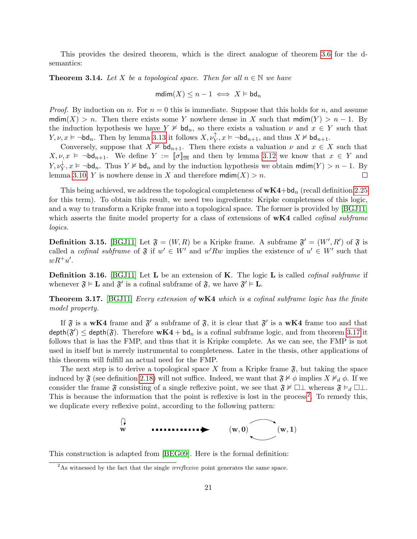This provides the desired theorem, which is the direct analogue of theorem [3.6](#page-18-0) for the dsemantics:

<span id="page-22-2"></span>**Theorem 3.14.** Let X be a topological space. Then for all  $n \in \mathbb{N}$  we have

$$
\mathsf{mdim}(X) \leq n-1 \iff X \vDash \mathsf{bd}_n
$$

*Proof.* By induction on n. For  $n = 0$  this is immediate. Suppose that this holds for n, and assume mdim(X) > n. Then there exists some Y nowhere dense in X such that  $\text{mdim}(Y) > n - 1$ . By the induction hypothesis we have  $Y \not\vDash \mathsf{bd}_n$ , so there exists a valuation  $\nu$  and  $x \in Y$  such that  $Y, \nu, x \models \neg \mathsf{bd}_n$ . Then by lemma [3.13](#page-21-0) it follows  $X, \nu_Y^{\uparrow}, x \models \neg \mathsf{bd}_{n+1}$ , and thus  $X \not\vDash \mathsf{bd}_{n+1}$ .

Conversely, suppose that  $X \not\vDash \mathsf{bd}_{n+1}$ . Then there exists a valuation  $\nu$  and  $x \in X$  such that  $X, \nu, x \models \neg \mathsf{bd}_{n+1}$ . We define  $Y := [\![\sigma]\!]_{\mathfrak{M}}$  and then by lemma [3.12](#page-21-1) we know that  $x \in Y$  and  $Y, \nu_Y^{\downarrow}, x \models \neg \mathsf{bd}_n$ . Thus  $Y \not\vDash \mathsf{bd}_n$  and by the induction hypothesis we obtain  $\mathsf{mdim}(Y) > n-1$ . By lemma [3.10,](#page-19-2) Y is nowhere dense in X and therefore  $\text{mdim}(X) > n$ .  $\Box$ 

This being achieved, we address the topological completeness of  $wK4+bd_n$  (recall definition [2.25](#page-13-1) for this term). To obtain this result, we need two ingredients: Kripke completeness of this logic, and a way to transform a Kripke frame into a topological space. The former is provided by [\[BGJ11\]](#page-69-8) which asserts the finite model property for a class of extensions of  $wK4$  called *cofinal subframe* logics.

<span id="page-22-3"></span>**Definition 3.15.** [\[BGJ11\]](#page-69-8) Let  $\mathfrak{F} = (W, R)$  be a Kripke frame. A subframe  $\mathfrak{F}' = (W', R')$  of  $\mathfrak{F}$  is called a *cofinal subframe* of  $\mathfrak{F}$  if  $w' \in W'$  and  $w' R w$  implies the existence of  $u' \in W'$  such that  $wR^+u'.$ 

<span id="page-22-4"></span>**Definition 3.16.** [\[BGJ11\]](#page-69-8) Let **L** be an extension of **K**. The logic **L** is called *cofinal subframe* if whenever  $\mathfrak{F} \models L$  and  $\mathfrak{F}'$  is a cofinal subframe of  $\mathfrak{F}$ , we have  $\mathfrak{F}' \models L$ .

<span id="page-22-0"></span>**Theorem 3.17.** [\[BGJ11\]](#page-69-8) Every extension of  $wK4$  which is a cofinal subframe logic has the finite model property.

If  $\mathfrak F$  is a wK4 frame and  $\mathfrak F'$  a subframe of  $\mathfrak F$ , it is clear that  $\mathfrak F'$  is a wK4 frame too and that depth $(\mathfrak{F}') \leq$  depth $(\mathfrak{F})$ . Therefore  $wK4 + bd_n$  is a cofinal subframe logic, and from theorem [3.17](#page-22-0) it follows that is has the FMP, and thus that it is Kripke complete. As we can see, the FMP is not used in itself but is merely instrumental to completeness. Later in the thesis, other applications of this theorem will fulfill an actual need for the FMP.

The next step is to derive a topological space X from a Kripke frame  $\mathfrak{F}$ , but taking the space induced by  $\mathfrak F$  (see definition [2.18\)](#page-12-2) will not suffice. Indeed, we want that  $\mathfrak F\not\vDash\phi$  implies  $X\nvDash_d\phi$ . If we consider the frame  $\mathfrak{F}$  consisting of a single reflexive point, we see that  $\mathfrak{F} \not\vDash \Box \bot$  whereas  $\mathfrak{F} \models_d \Box \bot$ . This is because the information that the point is reflexive is lost in the process<sup>[2](#page-22-1)</sup>. To remedy this, we duplicate every reflexive point, according to the following pattern:

$$
\begin{array}{ccc}\n\updownarrow & & \cdots & \cdots & \cdots & \cdots \\
\downarrow & & & \cdots & \cdots & \cdots & \cdots \\
\downarrow & & & & \cdots & \cdots & \cdots & \cdots\n\end{array}
$$

This construction is adapted from [\[BEG09\]](#page-69-9). Here is the formal definition:

<span id="page-22-1"></span><sup>&</sup>lt;sup>2</sup>As witnessed by the fact that the single *irreflexive* point generates the same space.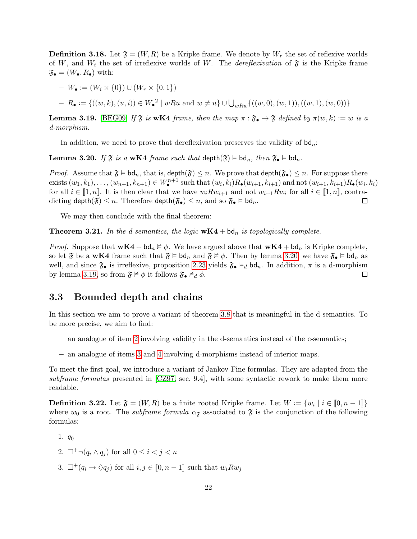<span id="page-23-3"></span>**Definition 3.18.** Let  $\mathfrak{F} = (W, R)$  be a Kripke frame. We denote by  $W_r$  the set of reflexive worlds of W, and  $W_i$  the set of irreflexive worlds of W. The *dereflexivation* of  $\mathfrak{F}$  is the Kripke frame  $\mathfrak{F}_{\bullet} = (W_{\bullet}, R_{\bullet})$  with:

- $-W_{\bullet} := (W_i \times \{0\}) \cup (W_r \times \{0,1\})$
- $R \bullet := \{ ((w, k), (u, i)) \in W \bullet^2 \mid wRu \text{ and } w \neq u \} \cup \bigcup_{wRw} \{ ((w, 0), (w, 1)), ((w, 1), (w, 0)) \}$

<span id="page-23-2"></span>**Lemma 3.19.** [\[BEG09\]](#page-69-9) If  $\mathfrak{F}$  is wK4 frame, then the map  $\pi : \mathfrak{F}_{\bullet} \to \mathfrak{F}$  defined by  $\pi(w, k) := w$  is a d-morphism.

In addition, we need to prove that dereflexivation preserves the validity of  $\mathsf{bd}_n$ :

<span id="page-23-1"></span>**Lemma 3.20.** If  $\mathfrak{F}$  is a wK4 frame such that depth $(\mathfrak{F}) \models bd_n$ , then  $\mathfrak{F}_\bullet \models bd_n$ .

*Proof.* Assume that  $\mathfrak{F} \models \mathsf{bd}_n$ , that is,  $\mathsf{depth}(\mathfrak{F}) \leq n$ . We prove that  $\mathsf{depth}(\mathfrak{F}_\bullet) \leq n$ . For suppose there exists  $(w_1, k_1), \ldots, (w_{n+1}, k_{n+1}) \in W^{n+1}$  such that  $(w_i, k_i) R_{\bullet}(w_{i+1}, k_{i+1})$  and not  $(w_{i+1}, k_{i+1}) R_{\bullet}(w_i, k_i)$ for all  $i \in [1, n]$ . It is then clear that we have  $w_i R w_{i+1}$  and not  $w_{i+1} R w_i$  for all  $i \in [1, n]$ , contradicting depth $(\mathfrak{F}) \leq n$ . Therefore depth $(\mathfrak{F}_{\bullet}) \leq n$ , and so  $\mathfrak{F}_{\bullet} \models \mathsf{bd}_n$ .  $\Box$ 

We may then conclude with the final theorem:

**Theorem 3.21.** In the d-semantics, the logic  $wK4 + bd_n$  is topologically complete.

*Proof.* Suppose that  $wK4 + bd_n \nvDash \phi$ . We have argued above that  $wK4 + bd_n$  is Kripke complete, so let  $\mathfrak{F}$  be a wK4 frame such that  $\mathfrak{F} \models \mathsf{bd}_n$  and  $\mathfrak{F} \not\vDash \phi$ . Then by lemma [3.20,](#page-23-1) we have  $\mathfrak{F}_\bullet \models \mathsf{bd}_n$  as well, and since  $\mathfrak{F}_\bullet$  is irreflexive, proposition [2.23](#page-13-0) yields  $\mathfrak{F}_\bullet \vDash_d \mathsf{bd}_n$ . In addition,  $\pi$  is a d-morphism by lemma [3.19,](#page-23-2) so from  $\mathfrak{F} \not\vDash \phi$  it follows  $\mathfrak{F}_{\bullet} \not\vDash_d \phi$ .  $\Box$ 

#### <span id="page-23-0"></span>3.3 Bounded depth and chains

In this section we aim to prove a variant of theorem [3.8](#page-19-3) that is meaningful in the d-semantics. To be more precise, we aim to find:

- an analogue of item [2](#page-19-4) involving validity in the d-semantics instead of the c-semantics;
- an analogue of items [3](#page-19-5) and [4](#page-19-6) involving d-morphisms instead of interior maps.

To meet the first goal, we introduce a variant of Jankov-Fine formulas. They are adapted from the subframe formulas presented in [\[CZ97,](#page-69-5) sec. 9.4], with some syntactic rework to make them more readable.

**Definition 3.22.** Let  $\mathfrak{F} = (W, R)$  be a finite rooted Kripke frame. Let  $W := \{w_i \mid i \in [0, n-1]\}$ where  $w_0$  is a root. The *subframe formula*  $\alpha_{\tilde{\mathbf{x}}}$  associated to  $\tilde{\mathbf{y}}$  is the conjunction of the following formulas:

- 1.  $q_0$
- 2.  $\Box^+ \neg (q_i \wedge q_j)$  for all  $0 \leq i < j < n$
- 3.  $\Box^+(q_i \to \Diamond q_i)$  for all  $i, j \in [0, n-1]$  such that  $w_i R w_j$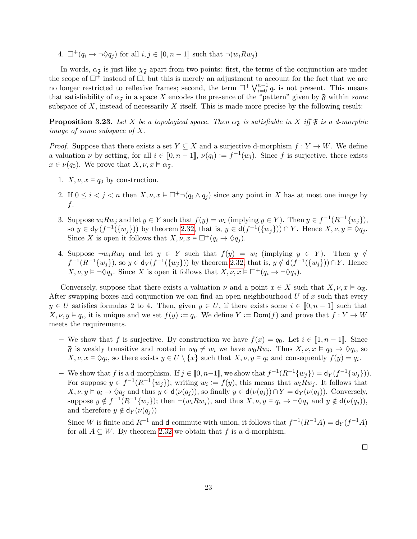4.  $\Box^+(q_i \to \neg \Diamond q_j)$  for all  $i, j \in [0, n-1]$  such that  $\neg(w_i R w_j)$ 

In words,  $\alpha_{\mathfrak{F}}$  is just like  $\chi_{\mathfrak{F}}$  apart from two points: first, the terms of the conjunction are under the scope of  $\Box^+$  instead of  $\Box$ , but this is merely an adjustment to account for the fact that we are no longer restricted to reflexive frames; second, the term  $\Box^+ \bigvee_{i=0}^{n-1} q_i$  is not present. This means that satisfiability of  $\alpha_{\mathfrak{F}}$  in a space X encodes the presence of the "pattern" given by  $\mathfrak{F}$  within some subspace of  $X$ , instead of necessarily  $X$  itself. This is made more precise by the following result:

<span id="page-24-0"></span>**Proposition 3.23.** Let X be a topological space. Then  $\alpha_{\tilde{s}}$  is satisfiable in X iff  $\tilde{s}$  is a d-morphic image of some subspace of X.

*Proof.* Suppose that there exists a set  $Y \subseteq X$  and a surjective d-morphism  $f: Y \to W$ . We define a valuation  $\nu$  by setting, for all  $i \in [0, n-1]$ ,  $\nu(q_i) := f^{-1}(w_i)$ . Since f is surjective, there exists  $x \in \nu(q_0)$ . We prove that  $X, \nu, x \vDash \alpha_{\mathfrak{F}}$ .

- 1.  $X, \nu, x \models q_0$  by construction.
- 2. If  $0 \leq i \leq j \leq n$  then  $X, \nu, x \models \Box^+ \neg (q_i \land q_j)$  since any point in X has at most one image by f.
- 3. Suppose  $w_i R w_j$  and let  $y \in Y$  such that  $f(y) = w_i$  (implying  $y \in Y$ ). Then  $y \in f^{-1}(R^{-1}\{w_j\})$ , so  $y \in d_Y(f^{-1}(\{w_j\}))$  by theorem [2.32,](#page-15-1) that is,  $y \in d(f^{-1}(\{w_j\})) \cap Y$ . Hence  $X, \nu, y \models \Diamond q_j$ . Since X is open it follows that  $X, \nu, x \models \Box^+(q_i \to \Diamond q_i)$ .
- 4. Suppose  $\neg w_i R w_j$  and let  $y \in Y$  such that  $f(y) = w_i$  (implying  $y \in Y$ ). Then  $y \notin Y$  $f^{-1}(R^{-1}{w_j}),$  so  $y \in d_Y(f^{-1}({w_j})))$  by theorem [2.32,](#page-15-1) that is,  $y \notin d(f^{-1}({w_j}))) \cap Y$ . Hence  $X, \nu, y \vDash \neg \Diamond q_j$ . Since X is open it follows that  $X, \nu, x \vDash \Box^+(q_i \to \neg \Diamond q_j)$ .

Conversely, suppose that there exists a valuation  $\nu$  and a point  $x \in X$  such that  $X, \nu, x \models \alpha_{\tilde{x}}$ . After swapping boxes and conjunction we can find an open neighbourhood  $U$  of x such that every  $y \in U$  satisfies formulas 2 to 4. Then, given  $y \in U$ , if there exists some  $i \in [0, n-1]$  such that  $X, \nu, y \models q_i$ , it is unique and we set  $f(y) := q_i$ . We define  $Y := \text{Dom}(f)$  and prove that  $f: Y \to W$ meets the requirements.

- We show that f is surjective. By construction we have  $f(x) = q_0$ . Let  $i \in [1, n-1]$ . Since  $\mathfrak F$  is weakly transitive and rooted in  $w_0 \neq w_i$  we have  $w_0 R w_i$ . Thus  $X, \nu, x \models q_0 \to \Diamond q_i$ , so  $X, \nu, x \models \Diamond q_i$ , so there exists  $y \in U \setminus \{x\}$  such that  $X, \nu, y \models q_i$  and consequently  $f(y) = q_i$ .
- We show that f is a d-morphism. If  $j \in [0, n-1]$ , we show that  $f^{-1}(R^{-1}{w_j}) = d_Y(f^{-1}{w_j})$ . For suppose  $y \in f^{-1}(R^{-1}\{w_j\})$ ; writing  $w_i := f(y)$ , this means that  $w_i R w_j$ . It follows that  $X, \nu, y \vDash q_i \rightarrow \Diamond q_i$  and thus  $y \in d(\nu(q_i))$ , so finally  $y \in d(\nu(q_i)) \cap Y = d_Y(\nu(q_i))$ . Conversely, suppose  $y \notin f^{-1}(R^{-1}\{w_j\})$ ; then  $\neg(w_i R w_j)$ , and thus  $X, \nu, y \models q_i \rightarrow \neg \Diamond q_j$  and  $y \notin d(\nu(q_j))$ , and therefore  $y \notin d_Y(\nu(q_i))$

Since W is finite and  $R^{-1}$  and d commute with union, it follows that  $f^{-1}(R^{-1}A) = d_Y(f^{-1}A)$ for all  $A \subseteq W$ . By theorem [2.32](#page-15-1) we obtain that f is a d-morphism.

 $\Box$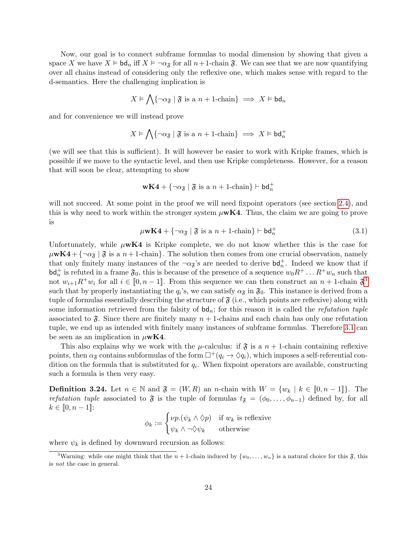Now, our goal is to connect subframe formulas to modal dimension by showing that given a space X we have  $X \models \mathsf{bd}_n$  iff  $X \models \neg \alpha_{\mathfrak{F}}$  for all  $n+1$ -chain  $\mathfrak{F}$ . We can see that we are now quantifying over all chains instead of considering only the reflexive one, which makes sense with regard to the d-semantics. Here the challenging implication is

$$
X \models \bigwedge \{ \neg \alpha_{\mathfrak{F}} \mid \mathfrak{F} \text{ is a } n+1 \text{-chain} \} \implies X \models \mathsf{bd}_n
$$

and for convenience we will instead prove

$$
X \vDash \bigwedge \{ \neg \alpha_{\mathfrak{F}} \mid \mathfrak{F} \text{ is a } n+1 \text{-chain} \} \implies X \vDash \mathsf{bd}_{n}^{+}
$$

(we will see that this is sufficient). It will however be easier to work with Kripke frames, which is possible if we move to the syntactic level, and then use Kripke completeness. However, for a reason that will soon be clear, attempting to show

$$
\mathbf{wK4} + \{\neg \alpha_{\mathfrak{F}} \mid \mathfrak{F}\text{ is a }n+1\text{-chain}\} \vdash \mathsf{bd}^+_n
$$

will not succeed. At some point in the proof we will need fixpoint operators (see section [2.4\)](#page-15-0), and this is why need to work within the stronger system  $\mu \mathbf{w} \mathbf{K} 4$ . Thus, the claim we are going to prove is

<span id="page-25-1"></span>
$$
\mu \mathbf{w} \mathbf{K} \mathbf{4} + \{ \neg \alpha_{\mathfrak{F}} \mid \mathfrak{F} \text{ is a } n+1 \text{-chain} \} \vdash \mathsf{bd}_{n}^{+}
$$
(3.1)

Unfortunately, while  $\mu$ wK4 is Kripke complete, we do not know whether this is the case for  $\mu$ **wK4** +  $\{\neg \alpha_{\tilde{s}} \mid \tilde{s} \text{ is a } n+1\}$ -chain. The solution then comes from one crucial observation, namely that only finitely many instances of the  $\neg \alpha_{\tilde{\sigma}}$ 's are needed to derive  $\mathsf{bd}_n^+$ . Indeed we know that if  $\mathsf{bd}^+_n$  is refuted in a frame  $\mathfrak{F}_0$ , this is because of the presence of a sequence  $w_0R^+ \dots R^+w_n$  such that not  $w_{i+1}R^+w_i$  for all  $i \in [0, n-1]$ . From this sequence we can then construct an  $n+1$ -chain  $\mathfrak{F}^3$  $\mathfrak{F}^3$ such that by properly instantiating the  $q_i$ 's, we can satisfy  $\alpha_{\tilde{\mathbf{x}}}$  in  $\tilde{\mathbf{y}}_0$ . This instance is derived from a tuple of formulas essentially describing the structure of  $\mathfrak{F}$  (i.e., which points are reflexive) along with some information retrieved from the falsity of  $bd_n$ ; for this reason it is called the *refutation tuple* associated to  $\mathfrak{F}$ . Since there are finitely many  $n+1$ -chains and each chain has only one refutation tuple, we end up as intended with finitely many instances of subframe formulas. Therefore [3.1](#page-25-1) can be seen as an implication in  $\mu$ **wK4**.

This also explains why we work with the  $\mu$ -calculus: if  $\mathfrak{F}$  is a  $n + 1$ -chain containing reflexive points, then  $\alpha_{\mathfrak{F}}$  contains subformulas of the form  $\Box^+(q_i \to \Diamond q_i)$ , which imposes a self-referential condition on the formula that is substituted for  $q_i$ . When fixpoint operators are available, constructing such a formula is then very easy.

**Definition 3.24.** Let  $n \in \mathbb{N}$  and  $\mathfrak{F} = (W, R)$  an *n*-chain with  $W = \{w_k \mid k \in [0, n-1]\}.$  The refutation tuple associated to  $\mathfrak{F}$  is the tuple of formulas  $t_{\mathfrak{F}} = (\phi_0, \ldots, \phi_{n-1})$  defined by, for all  $k \in [0, n-1]$ :

$$
\phi_k := \begin{cases} \nu p.(\psi_k \wedge \Diamond p) & \text{if } w_k \text{ is reflexive} \\ \psi_k \wedge \neg \Diamond \psi_k & \text{otherwise} \end{cases}
$$

where  $\psi_k$  is defined by downward recursion as follows:

<span id="page-25-0"></span><sup>&</sup>lt;sup>3</sup>Warning: while one might think that the  $n + 1$ -chain induced by  $\{w_0, \ldots, w_n\}$  is a natural choice for this  $\mathfrak{F}$ , this is not the case in general.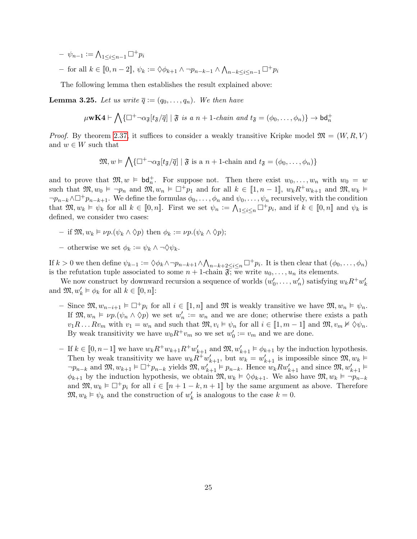- $\psi_{n-1} := \bigwedge_{1 \leq i \leq n-1} \Box^+ p_i$
- $-$  for all  $k \in [0, n-2]$ ,  $\psi_k := \Diamond \phi_{k+1} \land \neg p_{n-k-1} \land \bigwedge_{n-k \leq i \leq n-1} \Box^+ p_i$

The following lemma then establishes the result explained above:

<span id="page-26-0"></span>**Lemma 3.25.** Let us write  $\overline{q} := (q_0, \ldots, q_n)$ . We then have

$$
\mu \mathbf{w} \mathbf{K} \mathbf{4} \vdash \bigwedge \{ \Box^+ \neg \alpha_{\mathfrak{F}}[t_{\mathfrak{F}}/\overline{q}] \mid \mathfrak{F} \text{ is a } n+1\text{-}chain and t_{\mathfrak{F}} = (\phi_0, \dots, \phi_n) \} \rightarrow \mathsf{bd}_n^+
$$

*Proof.* By theorem [2.37,](#page-16-0) it suffices to consider a weakly transitive Kripke model  $\mathfrak{M} = (W, R, V)$ and  $w \in W$  such that

$$
\mathfrak{M}, w \vDash \bigwedge \{ \Box^+ \neg \alpha_{\mathfrak{F}}[t_{\mathfrak{F}}/\overline{q}] \mid \mathfrak{F} \text{ is a } n+1 \text{-chain and } t_{\mathfrak{F}} = (\phi_0, \dots, \phi_n) \}
$$

and to prove that  $\mathfrak{M}, w \models \mathsf{bd}_n^+$ . For suppose not. Then there exist  $w_0, \ldots, w_n$  with  $w_0 = w$ such that  $\mathfrak{M}, w_0 \models \neg p_n$  and  $\mathfrak{M}, w_n \models \Box^+ p_1$  and for all  $k \in [1, n-1]$ ,  $w_k R^+ w_{k+1}$  and  $\mathfrak{M}, w_k \models$  $\neg p_{n-k} \wedge \Box^+ p_{n-k+1}$ . We define the formulas  $\phi_0, \ldots, \phi_n$  and  $\psi_0, \ldots, \psi_n$  recursively, with the condition that  $\mathfrak{M}, w_k \models \psi_k$  for all  $k \in [0, n]$ . First we set  $\psi_n := \bigwedge_{1 \leq i \leq n} \Box^+ p_i$ , and if  $k \in [0, n]$  and  $\psi_k$  is defined, we consider two cases:

- if  $\mathfrak{M}, w_k \models \nu p.(\psi_k \land \Diamond p)$  then  $\phi_k := \nu p.(\psi_k \land \Diamond p)$ ;
- otherwise we set  $\phi_k := \psi_k \wedge \neg \Diamond \psi_k$ .

If  $k > 0$  we then define  $\psi_{k-1} := \Diamond \phi_k \land \neg p_{n-k+1} \land \bigwedge_{n-k+2 \leq i \leq n} \Box^+ p_i$ . It is then clear that  $(\phi_0, \ldots, \phi_n)$ is the refutation tuple associated to some  $n + 1$ -chain  $\mathfrak{F}$ ; we write  $u_0, \ldots, u_n$  its elements.

We now construct by downward recursion a sequence of worlds  $(w'_0, \ldots, w'_n)$  satisfying  $w_k R^+ w'_k$ and  $\mathfrak{M}, w'_{k} \models \phi_{k}$  for all  $k \in [0, n]$ :

- Since  $\mathfrak{M}, w_{n-i+1} \models \Box^+ p_i$  for all  $i \in [1, n]$  and  $\mathfrak{M}$  is weakly transitive we have  $\mathfrak{M}, w_n \models \psi_n$ . If  $\mathfrak{M}, w_n \models \nu p.(\psi_n \wedge \Diamond p)$  we set  $w'_n := w_n$  and we are done; otherwise there exists a path  $v_1R \dots Rv_m$  with  $v_1 = w_n$  and such that  $\mathfrak{M}, v_i \models \psi_n$  for all  $i \in [1, m-1]$  and  $\mathfrak{M}, v_m \nvDash \Diamond \psi_n$ . By weak transitivity we have  $w_0 R^+ v_m$  so we set  $w'_0 := v_m$  and we are done.
- $-$  If  $k \in [0, n-1]$  we have  $w_k R^+ w_{k+1} R^+ w'_{k+1}$  and  $\mathfrak{M}, w'_{k+1} \models \phi_{k+1}$  by the induction hypothesis. Then by weak transitivity we have  $w_k \tilde{R}^+ w'_{k+1}$ , but  $w_k = w'_{k+1}$  is impossible since  $\mathfrak{M}, w_k \models$  $\neg p_{n-k}$  and  $\mathfrak{M}, w_{k+1} \models \Box^+ p_{n-k}$  yields  $\mathfrak{M}, w'_{k+1} \models p_{n-k}$ . Hence  $w_k R w'_{k+1}$  and since  $\mathfrak{M}, w'_{k+1} \models$  $\phi_{k+1}$  by the induction hypothesis, we obtain  $\mathfrak{M}, w_k \models \Diamond \phi_{k+1}$ . We also have  $\mathfrak{M}, w_k \models \neg p_{n-k}$ and  $\mathfrak{M}, w_k \models \Box^+ p_i$  for all  $i \in [n+1-k, n+1]$  by the same argument as above. Therefore  $\mathfrak{M}, w_k \models \psi_k$  and the construction of  $w'_k$  is analogous to the case  $k = 0$ .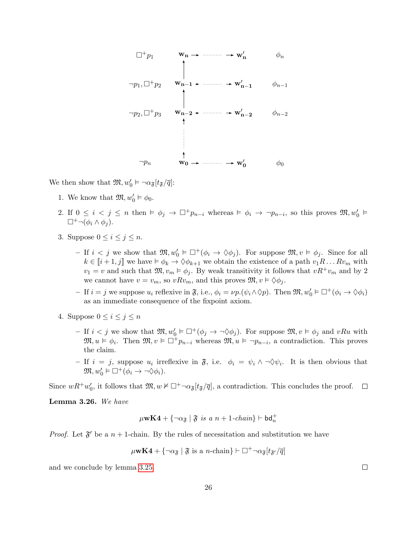

We then show that  $\mathfrak{M}, w'_0 \vDash \neg \alpha_{\mathfrak{F}}[t_{\mathfrak{F}}/\overline{q}]$ :

- 1. We know that  $\mathfrak{M}, w'_0 \vDash \phi_0$ .
- 2. If  $0 \le i \le j \le n$  then  $\models \phi_j \to \Box^+ p_{n-i}$  whereas  $\models \phi_i \to \neg p_{n-i}$ , so this proves  $\mathfrak{M}, w'_0 \models$  $\Box^+ \neg (\phi_i \wedge \phi_i).$
- 3. Suppose  $0 \leq i \leq j \leq n$ .
	- $-$  If  $i < j$  we show that  $\mathfrak{M}, w'_0 \models \Box^+(\phi_i \to \Diamond \phi_j)$ . For suppose  $\mathfrak{M}, v \models \phi_j$ . Since for all  $k \in [i+1, j]$  we have  $\models \phi_k \rightarrow \Diamond \phi_{k+1}$  we obtain the existence of a path  $v_1R \dots Rv_m$  with  $v_1 = v$  and such that  $\mathfrak{M}, v_m \models \phi_j$ . By weak transitivity it follows that  $vR^+v_m$  and by 2 we cannot have  $v = v_m$ , so  $vRv_m$ , and this proves  $\mathfrak{M}, v \models \Diamond \phi_j$ .
	- $-$  If  $i = j$  we suppose  $u_i$  reflexive in  $\mathfrak{F}$ , i.e.,  $\phi_i = \nu p \cdot (\psi_i \wedge \Diamond p)$ . Then  $\mathfrak{M}, w'_0 \models \Box^+(\phi_i \to \Diamond \phi_i)$ as an immediate consequence of the fixpoint axiom.
- 4. Suppose  $0 \leq i \leq j \leq n$ 
	- If  $i < j$  we show that  $\mathfrak{M}, w'_0 \models \Box^+(\phi_j \to \neg \Diamond \phi_j)$ . For suppose  $\mathfrak{M}, v \models \phi_j$  and  $vRu$  with  $\mathfrak{M}, u \models \phi_i$ . Then  $\mathfrak{M}, v \models \Box^+ p_{n-i}$  whereas  $\mathfrak{M}, u \models \neg p_{n-i}$ , a contradiction. This proves the claim.
	- If  $i = j$ , suppose  $u_i$  irreflexive in  $\mathfrak{F}$ , i.e.  $\phi_i = \psi_i \wedge \neg \Diamond \psi_i$ . It is then obvious that  $\mathfrak{M}, w'_0 \models \Box^+(\phi_i \rightarrow \neg \Diamond \phi_i).$

Since  $wR^+w_0'$ , it follows that  $\mathfrak{M}, w \nvDash \Box^+ \neg \alpha_{\mathfrak{F}}[t_{\mathfrak{F}}/\overline{q}]$ , a contradiction. This concludes the proof.  $\Box$ 

<span id="page-27-0"></span>Lemma 3.26. We have

$$
\mu\mathbf{wK4}+\{\neg\alpha_{\mathfrak{F}}\mid \mathfrak{F}\ is\ a\ n+1\text{-}chain\}\vdash\mathsf{bd}^+_n
$$

*Proof.* Let  $\mathfrak{F}'$  be a  $n + 1$ -chain. By the rules of necessitation and substitution we have

$$
\mu
$$
**wK4** + { $\neg \alpha_{\mathfrak{F}}$  |  $\mathfrak{F}$  is a *n*-chain}  $\vdash \Box^{+} \neg \alpha_{\mathfrak{F}}[t_{\mathfrak{F}}/\overline{q}]$ 

and we conclude by lemma [3.25.](#page-26-0)

 $\Box$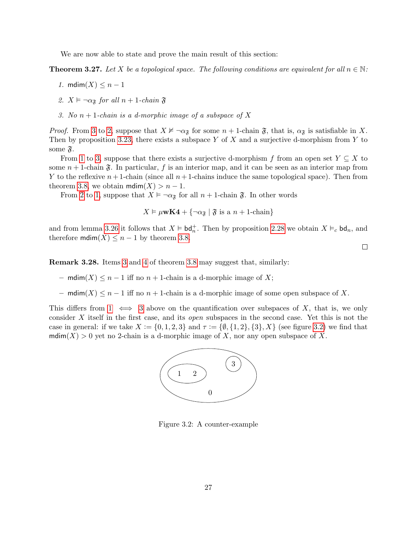We are now able to state and prove the main result of this section:

<span id="page-28-3"></span>**Theorem 3.27.** Let X be a topological space. The following conditions are equivalent for all  $n \in \mathbb{N}$ :

- 1. mdim $(X) \leq n-1$
- <span id="page-28-2"></span>2.  $X \vDash \neg \alpha_{\mathfrak{F}}$  for all  $n + 1$ -chain  $\mathfrak{F}$
- <span id="page-28-1"></span>3. No  $n + 1$ -chain is a d-morphic image of a subspace of X

*Proof.* From [3](#page-28-1) to [2,](#page-28-2) suppose that  $X \nvDash \neg \alpha_{\mathfrak{F}}$  for some  $n + 1$ -chain  $\mathfrak{F}$ , that is,  $\alpha_{\mathfrak{F}}$  is satisfiable in X. Then by proposition [3.23,](#page-24-0) there exists a subspace Y of X and a surjective d-morphism from Y to some  $\mathfrak{F}.$ 

From [1](#page-28-3) to [3,](#page-28-1) suppose that there exists a surjective d-morphism f from an open set  $Y \subseteq X$  to some  $n + 1$ -chain  $\mathfrak{F}$ . In particular, f is an interior map, and it can be seen as an interior map from Y to the reflexive  $n+1$ -chain (since all  $n+1$ -chains induce the same topological space). Then from theorem [3.8,](#page-19-3) we obtain  $\text{mdim}(X) > n - 1$ .

From [2](#page-28-2) to [1,](#page-28-3) suppose that  $X \models \neg \alpha_{\mathfrak{F}}$  for all  $n + 1$ -chain  $\mathfrak{F}$ . In other words

$$
X \vDash \mu \mathbf{wK4} + {\neg \alpha_{\mathfrak{F}} | \mathfrak{F} \text{ is a } n+1\text{-chain}}
$$

and from lemma [3.26](#page-27-0) it follows that  $X \models bd_n^+$ . Then by proposition [2.28](#page-14-0) we obtain  $X \models_c bd_n$ , and therefore  $\text{mdim}(X) \leq n-1$  by theorem [3.8.](#page-19-3)

 $\Box$ 

Remark 3.28. Items [3](#page-19-5) and [4](#page-19-6) of theorem [3.8](#page-19-3) may suggest that, similarly:

- mdim(X) ≤ n − 1 iff no n + 1-chain is a d-morphic image of X;
- mdim(X) ≤ n − 1 iff no n + 1-chain is a d-morphic image of some open subspace of X.

This differs from  $1 \iff 3$  $1 \iff 3$  above on the quantification over subspaces of X, that is, we only consider X itself in the first case, and its open subspaces in the second case. Yet this is not the case in general: if we take  $X := \{0, 1, 2, 3\}$  and  $\tau := \{0, \{1, 2\}, \{3\}, X\}$  (see figure [3.2\)](#page-28-4) we find that mdim(X) > 0 yet no 2-chain is a d-morphic image of X, nor any open subspace of X.



<span id="page-28-4"></span><span id="page-28-0"></span>Figure 3.2: A counter-example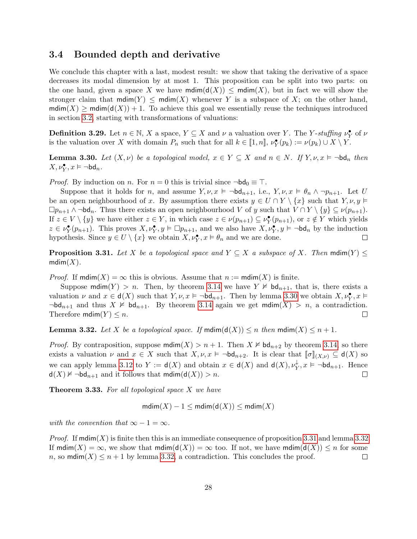#### 3.4 Bounded depth and derivative

We conclude this chapter with a last, modest result: we show that taking the derivative of a space decreases its modal dimension by at most 1. This proposition can be split into two parts: on the one hand, given a space X we have  $\text{mdim}(\mathsf{d}(X)) \leq \text{mdim}(X)$ , but in fact we will show the stronger claim that  $\text{mdim}(Y) \le \text{mdim}(X)$  whenever Y is a subspace of X; on the other hand,  $\text{mdim}(X) \ge \text{mdim}(d(X)) + 1$ . To achieve this goal we essentially reuse the techniques introduced in section [3.2,](#page-19-0) starting with transformations of valuations:

**Definition 3.29.** Let  $n \in \mathbb{N}$ , X a space,  $Y \subseteq X$  and  $\nu$  a valuation over Y. The Y-stuffing  $\nu_Y^{\bullet}$  of  $\nu$ is the valuation over X with domain  $P_n$  such that for all  $k \in [1, n]$ ,  $\nu_Y^{\bullet}(p_k) := \nu(p_k) \cup X \setminus Y$ .

<span id="page-29-0"></span>**Lemma 3.30.** Let  $(X, \nu)$  be a topological model,  $x \in Y \subseteq X$  and  $n \in N$ . If  $Y, \nu, x \models \neg \mathsf{bd}_n$  then  $X, \nu_Y^{\bullet}, x \vDash \neg \mathsf{bd}_n.$ 

*Proof.* By induction on *n*. For  $n = 0$  this is trivial since  $\neg bd_0 \equiv \top$ .

Suppose that it holds for n, and assume  $Y, \nu, x \models \neg \mathsf{bd}_{n+1}$ , i.e.,  $Y, \nu, x \models \theta_n \land \neg p_{n+1}$ . Let U be an open neighbourhood of x. By assumption there exists  $y \in U \cap Y \setminus \{x\}$  such that  $Y, \nu, y \models$  $\Box p_{n+1} \wedge \neg \mathrm{bd}_n$ . Thus there exists an open neighbourhood V of y such that  $V \cap Y \setminus \{y\} \subseteq \nu(p_{n+1})$ . If  $z \in V \setminus \{y\}$  we have either  $z \in Y$ , in which case  $z \in \nu(p_{n+1}) \subseteq \nu_Y^{\bullet}(p_{n+1})$ , or  $z \notin Y$  which yields  $z \in \nu_Y^{\bullet}(p_{n+1})$ . This proves  $X, \nu_Y^{\bullet}, y \vDash \Box p_{n+1}$ , and we also have  $X, \nu_Y^{\bullet}, y \vDash \neg \mathsf{bd}_n$  by the induction hypothesis. Since  $y \in U \setminus \{x\}$  we obtain  $X, \nu_Y^{\bullet}, x \vDash \theta_n$  and we are done.  $\perp$ 

<span id="page-29-1"></span>**Proposition 3.31.** Let X be a topological space and  $Y \subseteq X$  a subspace of X. Then  $\text{mdim}(Y) \leq$  $mdim(X)$ .

*Proof.* If  $\text{mdim}(X) = \infty$  this is obvious. Assume that  $n := \text{mdim}(X)$  is finite.

Suppose  $\text{mdim}(Y) > n$ . Then, by theorem [3.14](#page-22-2) we have  $Y \not\vDash \text{bd}_{n+1}$ , that is, there exists a valuation  $\nu$  and  $x \in d(X)$  such that  $Y, \nu, x \models \neg bd_{n+1}$ . Then by lemma [3.30](#page-29-0) we obtain  $X, \nu_Y^{\bullet}, x \models$  $\neg bd_{n+1}$  and thus  $X \not\vDash bd_{n+1}$ . By theorem [3.14](#page-22-2) again we get mdim $(X) > n$ , a contradiction. Therefore  $\text{mdim}(Y) \leq n$ .  $\Box$ 

<span id="page-29-2"></span>**Lemma 3.32.** Let X be a topological space. If  $\text{mdim}(d(X)) \leq n$  then  $\text{mdim}(X) \leq n+1$ .

*Proof.* By contraposition, suppose  $\text{mdim}(X) > n+1$ . Then  $X \not\vDash \text{bd}_{n+2}$  by theorem [3.14,](#page-22-2) so there exists a valuation  $\nu$  and  $x \in X$  such that  $X, \nu, x \models \neg \mathsf{bd}_{n+2}$ . It is clear that  $[\![\sigma]\!]_{(X,\nu)} \subseteq \mathsf{d}(X)$  so we can apply lemma [3.12](#page-21-1) to  $Y := \mathsf{d}(X)$  and obtain  $x \in \mathsf{d}(X)$  and  $\mathsf{d}(X), \nu_Y^{\downarrow}$  $\psi_Y$ ,  $x \models \neg \mathsf{bd}_{n+1}$ . Hence  $d(X) \not\vDash \neg bd_{n+1}$  and it follows that  $mdim(d(X)) > n$ .  $\Box$ 

**Theorem 3.33.** For all topological space  $X$  we have

 $mdim(X) - 1 \leq mdim(d(X)) \leq mdim(X)$ 

with the convention that  $\infty - 1 = \infty$ .

*Proof.* If mdim(X) is finite then this is an immediate consequence of proposition [3.31](#page-29-1) and lemma [3.32.](#page-29-2) If  $mdim(X) = \infty$ , we show that  $mdim(d(X)) = \infty$  too. If not, we have  $mdim(d(X)) \leq n$  for some n, so mdim $(X) \leq n+1$  by lemma [3.32,](#page-29-2) a contradiction. This concludes the proof.  $\Box$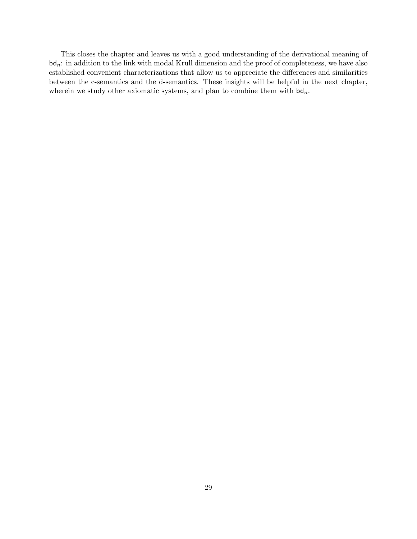This closes the chapter and leaves us with a good understanding of the derivational meaning of  $bd_n$ : in addition to the link with modal Krull dimension and the proof of completeness, we have also established convenient characterizations that allow us to appreciate the differences and similarities between the c-semantics and the d-semantics. These insights will be helpful in the next chapter, wherein we study other axiomatic systems, and plan to combine them with  $\mathsf{bd}_n$ .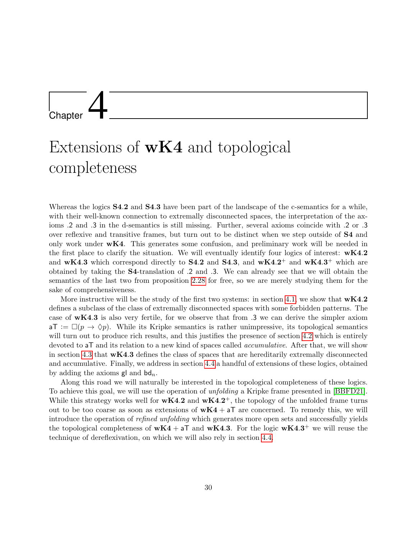## <span id="page-31-0"></span>**Chapter**

### Extensions of  $wK4$  and topological completeness

Whereas the logics **S4.2** and **S4.3** have been part of the landscape of the c-semantics for a while, with their well-known connection to extremally disconnected spaces, the interpretation of the axioms .2 and .3 in the d-semantics is still missing. Further, several axioms coincide with .2 or .3 over reflexive and transitive frames, but turn out to be distinct when we step outside of S4 and only work under  $wK4$ . This generates some confusion, and preliminary work will be needed in the first place to clarify the situation. We will eventually identify four logics of interest:  $wK4.2$ and wK4.3 which correspond directly to S4.2 and S4.3, and wK4.2<sup>+</sup> and wK4.3<sup>+</sup> which are obtained by taking the S4-translation of .2 and .3. We can already see that we will obtain the semantics of the last two from proposition [2.28](#page-14-0) for free, so we are merely studying them for the sake of comprehensiveness.

More instructive will be the study of the first two systems: in section [4.1,](#page-31-1) we show that  $\mathbf{wK4.2}$ defines a subclass of the class of extremally disconnected spaces with some forbidden patterns. The case of wK4.3 is also very fertile, for we observe that from .3 we can derive the simpler axiom  $aT := \Box(p \to \Diamond p)$ . While its Kripke semantics is rather unimpressive, its topological semantics will turn out to produce rich results, and this justifies the presence of section [4.2](#page-39-0) which is entirely devoted to **aT** and its relation to a new kind of spaces called *accumulative*. After that, we will show in section [4.3](#page-44-0) that wK4.3 defines the class of spaces that are hereditarily extremally disconnected and accumulative. Finally, we address in section [4.4](#page-48-0) a handful of extensions of these logics, obtained by adding the axioms  $\mathsf{gl}$  and  $\mathsf{bd}_n$ .

<span id="page-31-1"></span>Along this road we will naturally be interested in the topological completeness of these logics. To achieve this goal, we will use the operation of unfolding a Kripke frame presented in [\[BBFD21\]](#page-69-3). While this strategy works well for  $wK4.2$  and  $wK4.2^+$ , the topology of the unfolded frame turns out to be too coarse as soon as extensions of  $wK4 + aT$  are concerned. To remedy this, we will introduce the operation of refined unfolding which generates more open sets and successfully yields the topological completeness of  $wK4 + aT$  and  $wK4.3$ . For the logic  $wK4.3^+$  we will reuse the technique of dereflexivation, on which we will also rely in section [4.4.](#page-48-0)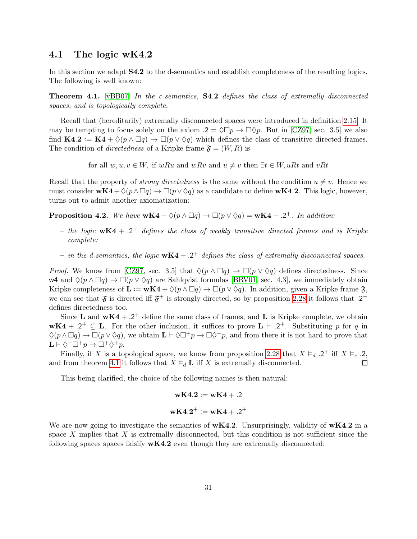#### 4.1 The logic wK4.2

In this section we adapt S4.2 to the d-semantics and establish completeness of the resulting logics. The following is well known:

<span id="page-32-0"></span>Theorem 4.1. [\[vBB07\]](#page-70-3) In the c-semantics, S4.2 defines the class of extremally disconnected spaces, and is topologically complete.

Recall that (hereditarily) extremally disconnected spaces were introduced in definition [2.15.](#page-12-3) It may be tempting to focus solely on the axiom  $.2 = \Diamond \Box p \rightarrow \Box \Diamond p$ . But in [\[CZ97,](#page-69-5) sec. 3.5] we also find  $K4.2 := K4 + \Diamond (p \land \Box q) \rightarrow \Box (p \lor \Diamond q)$  which defines the class of transitive directed frames. The condition of *directedness* of a Kripke frame  $\mathfrak{F} = (W, R)$  is

for all  $w, u, v \in W$ , if  $wRu$  and  $wRv$  and  $u \neq v$  then  $\exists t \in W$ ,  $uRt$  and  $vRt$ 

Recall that the property of *strong directedness* is the same without the condition  $u \neq v$ . Hence we must consider  $wK4+\Diamond(p\land \Box q)\rightarrow \Box(p\lor \Diamond q)$  as a candidate to define  $wK4.2$ . This logic, however, turns out to admit another axiomatization:

<span id="page-32-1"></span>**Proposition 4.2.** We have  $wK4 + \Diamond(p \land \Box q) \rightarrow \Box(p \lor \Diamond q) = wK4 + .2^+$ . In addition:

- the logic  $wK4 + .2^+$  defines the class of weakly transitive directed frames and is Kripke complete;
- in the d-semantics, the logic  $wK4 + .2^+$  defines the class of extremally disconnected spaces.

*Proof.* We know from [\[CZ97,](#page-69-5) sec. 3.5] that  $\Diamond(p \land \Box q) \rightarrow \Box(p \lor \Diamond q)$  defines directedness. Since w4 and  $\Diamond(p \land \Box q) \rightarrow \Box(p \lor \Diamond q)$  are Sahlqvist formulas [\[BRV01,](#page-69-4) sec. 4.3], we immediately obtain Kripke completeness of  $\mathbf{L} := \mathbf{wK4} + \Diamond(p \wedge \Box q) \rightarrow \Box(p \vee \Diamond q)$ . In addition, given a Kripke frame  $\mathfrak{F}$ . we can see that  $\mathfrak{F}$  is directed iff  $\mathfrak{F}^+$  is strongly directed, so by proposition [2.28](#page-14-0) it follows that .2<sup>+</sup> defines directedness too.

Since L and  $wK4 + .2^+$  define the same class of frames, and L is Kripke complete, we obtain  $wK4 + .2^+ \subseteq L$ . For the other inclusion, it suffices to prove  $L \vdash .2^+$ . Substituting p for q in  $\Diamond(p \wedge \Box q) \rightarrow \Box(p \vee \Diamond q)$ , we obtain  $\mathbf{L} \vdash \Diamond \Box^+ p \rightarrow \Box \Diamond^+ p$ , and from there it is not hard to prove that  $\mathbf{L} \vdash \Diamond^+ \Box^+ p \to \Box^+ \Diamond^+ p.$ 

Finally, if X is a topological space, we know from proposition [2.28](#page-14-0) that  $X \models_d .2^+$  iff  $X \models_c .2$ , and from theorem [4.1](#page-32-0) it follows that  $X \vDash_d \mathbf{L}$  iff X is extremally disconnected. П

This being clarified, the choice of the following names is then natural:

$$
wK4.2 := wK4 + .2
$$

$$
wK4.2^+ := wK4 + .2^+
$$

We are now going to investigate the semantics of  $wK4.2$ . Unsurprisingly, validity of  $wK4.2$  in a space  $X$  implies that  $X$  is extremally disconnected, but this condition is not sufficient since the following spaces spaces falsify  $wK4.2$  even though they are extremally disconnected: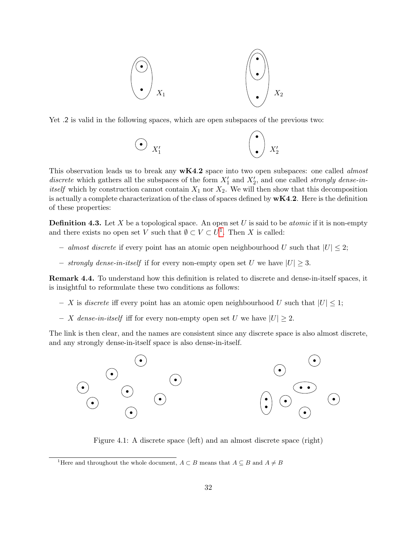

Yet .2 is valid in the following spaces, which are open subspaces of the previous two:

$$
\bigodot \, X_1' \qquad \qquad \bigodot \, X_2'
$$

This observation leads us to break any  $wK4.2$  space into two open subspaces: one called *almost* discrete which gathers all the subspaces of the form  $X'_1$  and  $X'_2$ , and one called strongly dense-in*itself* which by construction cannot contain  $X_1$  nor  $X_2$ . We will then show that this decomposition is actually a complete characterization of the class of spaces defined by  $wK4.2$ . Here is the definition of these properties:

**Definition 4.3.** Let X be a topological space. An open set U is said to be *atomic* if it is non-empty and there exists no open set V such that  $\emptyset \subset V \subset U^1$  $\emptyset \subset V \subset U^1$ . Then X is called:

- almost discrete if every point has an atomic open neighbourhood U such that  $|U| \leq 2$ ;
- strongly dense-in-itself if for every non-empty open set U we have  $|U| \geq 3$ .

Remark 4.4. To understand how this definition is related to discrete and dense-in-itself spaces, it is insightful to reformulate these two conditions as follows:

- X is discrete iff every point has an atomic open neighbourhood U such that  $|U| \leq 1$ ;
- X dense-in-itself iff for every non-empty open set U we have  $|U| \geq 2$ .

The link is then clear, and the names are consistent since any discrete space is also almost discrete, and any strongly dense-in-itself space is also dense-in-itself.



Figure 4.1: A discrete space (left) and an almost discrete space (right)

<span id="page-33-0"></span><sup>&</sup>lt;sup>1</sup>Here and throughout the whole document,  $A \subset B$  means that  $A \subseteq B$  and  $A \neq B$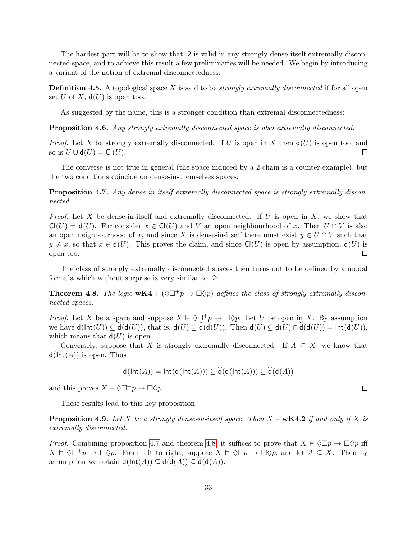The hardest part will be to show that .2 is valid in any strongly dense-itself extremally disconnected space, and to achieve this result a few preliminaries will be needed. We begin by introducing a variant of the notion of extremal disconnectedness:

**Definition 4.5.** A topological space X is said to be *strongly extremally disconnected* if for all open set U of X,  $d(U)$  is open too.

As suggested by the name, this is a stronger condition than extremal disconnectedness:

Proposition 4.6. Any strongly extremally disconnected space is also extremally disconnected.

*Proof.* Let X be strongly extremally disconnected. If U is open in X then  $d(U)$  is open too, and so is  $U \cup d(U) = Cl(U)$ .  $\Box$ 

The converse is not true in general (the space induced by a 2-chain is a counter-example), but the two conditions coincide on dense-in-themselves spaces:

<span id="page-34-0"></span>Proposition 4.7. Any dense-in-itself extremally disconnected space is strongly extremally disconnected.

*Proof.* Let X be dense-in-itself and extremally disconnected. If U is open in X, we show that  $Cl(U) = d(U)$ . For consider  $x \in Cl(U)$  and V an open neighbourhood of x. Then  $U \cap V$  is also an open neighbourhood of x, and since X is dense-in-itself there must exist  $y \in U \cap V$  such that  $y \neq x$ , so that  $x \in d(U)$ . This proves the claim, and since Cl(U) is open by assumption,  $d(U)$  is open too.  $\Box$ 

The class of strongly extremally disconnected spaces then turns out to be defined by a modal formula which without surprise is very similar to .2:

<span id="page-34-1"></span>**Theorem 4.8.** The logic  $wK4 + (\Diamond \Box^{+}p \rightarrow \Box \Diamond p)$  defines the class of strongly extremally disconnected spaces.

*Proof.* Let X be a space and suppose  $X \models \Diamond \Box^+ p \rightarrow \Box \Diamond p$ . Let U be open in X. By assumption we have  $d(\text{Int}(U)) \subseteq d(d(U))$ , that is,  $d(U) \subseteq d(d(U))$ . Then  $d(U) \subseteq d(U) \cap d(d(U)) = \text{Int}(d(U)),$ which means that  $d(U)$  is open.

Conversely, suppose that X is strongly extremally disconnected. If  $A \subseteq X$ , we know that  $d(\text{Int}(A))$  is open. Thus

$$
\mathsf{d}(\mathsf{Int}(A)) = \mathsf{Int}(\mathsf{d}(\mathsf{Int}(A))) \subseteq \mathsf{\tilde{d}}(\mathsf{d}(\mathsf{Int}(A))) \subseteq \mathsf{\tilde{d}}(\mathsf{d}(A))
$$

and this proves  $X \models \Diamond \Box^+ p \rightarrow \Box \Diamond p$ .

These results lead to this key proposition:

<span id="page-34-2"></span>**Proposition 4.9.** Let X be a strongly dense-in-itself space. Then  $X \models wK4.2$  if and only if X is extremally disconnected.

*Proof.* Combining proposition [4.7](#page-34-0) and theorem [4.8,](#page-34-1) it suffices to prove that  $X \models \Diamond \Box p \rightarrow \Box \Diamond p$  iff  $X \models \Diamond \Box^+ p \to \Box \Diamond p$ . From left to right, suppose  $X \models \Diamond \Box p \to \Box \Diamond p$ , and let  $A \subseteq X$ . Then by assumption we obtain  $d(\text{Int}(A)) \subseteq d(d(A)) \subseteq d(d(A)).$ 

 $\Box$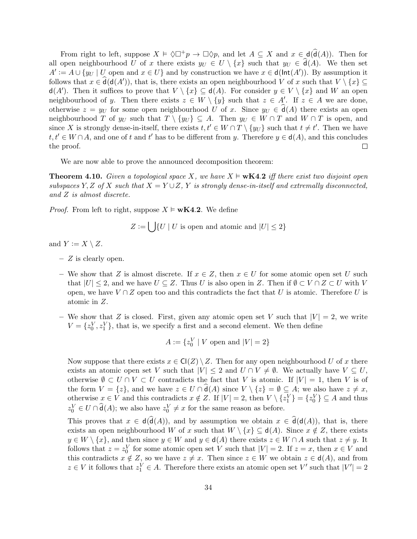From right to left, suppose  $X \models \Diamond \Box^+ p \rightarrow \Box \Diamond p$ , and let  $A \subseteq X$  and  $x \in d(\hat{d}(A))$ . Then for all open neighbourhood U of x there exists  $y_U \in U \setminus \{x\}$  such that  $y_U \in \hat{d}(A)$ . We then set  $A' := A \cup \{y_{U} \mid U$  open and  $x \in U\}$  and by construction we have  $x \in d(\text{Int}(A'))$ . By assumption it follows that  $x \in \hat{\mathsf{d}}(\mathsf{d}(A'))$ , that is, there exists an open neighbourhood V of x such that  $V \setminus \{x\} \subseteq$  $d(A')$ . Then it suffices to prove that  $V \setminus \{x\} \subseteq d(A)$ . For consider  $y \in V \setminus \{x\}$  and W an open neighbourhood of y. Then there exists  $z \in W \setminus \{y\}$  such that  $z \in A'$ . If  $z \in A$  we are done, otherwise  $z = y_U$  for some open neighbourhood U of x. Since  $y_U \in \mathsf{d}(A)$  there exists an open neighbourhood T of  $y_U$  such that  $T \setminus \{y_U\} \subseteq A$ . Then  $y_U \in W \cap T$  and  $W \cap T$  is open, and since X is strongly dense-in-itself, there exists  $t, t' \in W \cap T \setminus \{y_U\}$  such that  $t \neq t'$ . Then we have  $t, t' \in W \cap A$ , and one of t and t' has to be different from y. Therefore  $y \in d(A)$ , and this concludes the proof.  $\Box$ 

We are now able to prove the announced decomposition theorem:

<span id="page-35-0"></span>**Theorem 4.10.** Given a topological space X, we have  $X \models wK4.2$  iff there exist two disjoint open subspaces Y, Z of X such that  $X = Y \cup Z$ , Y is strongly dense-in-itself and extremally disconnected, and Z is almost discrete.

*Proof.* From left to right, suppose  $X \models wK4.2$ . We define

$$
Z := \bigcup \{ U \mid U \text{ is open and atomic and } |U| \le 2 \}
$$

and  $Y := X \setminus Z$ .

- $-$  Z is clearly open.
- We show that Z is almost discrete. If  $x \in Z$ , then  $x \in U$  for some atomic open set U such that  $|U| \leq 2$ , and we have  $U \subseteq Z$ . Thus U is also open in Z. Then if  $\emptyset \subset V \cap Z \subset U$  with V open, we have  $V \cap Z$  open too and this contradicts the fact that U is atomic. Therefore U is atomic in Z.
- We show that Z is closed. First, given any atomic open set V such that  $|V| = 2$ , we write  $V = \{z_0^V, z_1^V\}$ , that is, we specify a first and a second element. We then define

$$
A := \{z_0^V \mid V \text{ open and } |V| = 2\}
$$

Now suppose that there exists  $x \in \mathsf{Cl}(Z) \setminus Z$ . Then for any open neighbourhood U of x there exists an atomic open set V such that  $|V| \leq 2$  and  $U \cap V \neq \emptyset$ . We actually have  $V \subseteq U$ , otherwise  $\emptyset \subset U \cap V \subset U$  contradicts the fact that V is atomic. If  $|V| = 1$ , then V is of the form  $V = \{z\}$ , and we have  $z \in U \cap \hat{d}(A)$  since  $V \setminus \{z\} = \emptyset \subseteq A$ ; we also have  $z \neq x$ , otherwise  $x \in V$  and this contradicts  $x \notin Z$ . If  $|V| = 2$ , then  $V \setminus \{z_1^V\} = \{z_0^V\} \subseteq A$  and thus  $z_0^V \in U \cap \hat{d}(A)$ ; we also have  $z_0^V \neq x$  for the same reason as before.

This proves that  $x \in d(d(A))$ , and by assumption we obtain  $x \in d(d(A))$ , that is, there exists an open neighbourhood W of x such that  $W \setminus \{x\} \subseteq d(A)$ . Since  $x \notin Z$ , there exists  $y \in W \setminus \{x\}$ , and then since  $y \in W$  and  $y \in d(A)$  there exists  $z \in W \cap A$  such that  $z \neq y$ . It follows that  $z = z_0^V$  for some atomic open set V such that  $|V| = 2$ . If  $z = x$ , then  $x \in V$  and this contradicts  $x \notin Z$ , so we have  $z \neq x$ . Then since  $z \in W$  we obtain  $z \in d(A)$ , and from  $z \in V$  it follows that  $z_1^V \in A$ . Therefore there exists an atomic open set V' such that  $|V'| = 2$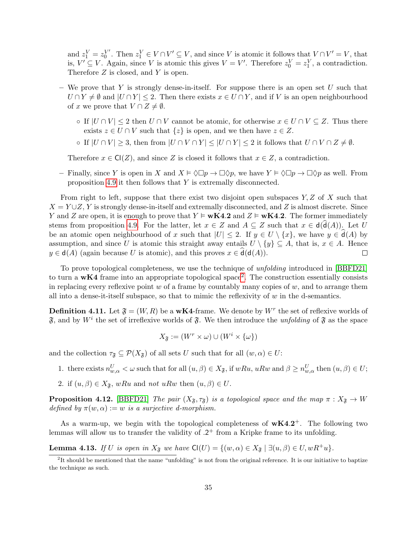and  $z_1^V = z_0^{V'}$  $V'$ . Then  $z_1^V$  ∈  $V \cap V' \subseteq V$ , and since V is atomic it follows that  $V \cap V' = V$ , that is,  $V' \subseteq V$ . Again, since V is atomic this gives  $V = V'$ . Therefore  $z_0^V = z_1^V$ , a contradiction. Therefore  $Z$  is closed, and  $Y$  is open.

- We prove that Y is strongly dense-in-itself. For suppose there is an open set U such that  $U \cap Y \neq \emptyset$  and  $|U \cap Y| \leq 2$ . Then there exists  $x \in U \cap Y$ , and if V is an open neighbourhood of x we prove that  $V \cap Z \neq \emptyset$ .
	- ∘ If  $|U \cap V|$  ≤ 2 then  $U \cap V$  cannot be atomic, for otherwise  $x \in U \cap V \subseteq Z$ . Thus there exists  $z \in U \cap V$  such that  $\{z\}$  is open, and we then have  $z \in Z$ .
	- ∘ If  $|U \cap V| \geq 3$ , then from  $|U \cap V \cap Y| \leq |U \cap Y| \leq 2$  it follows that  $U \cap V \cap Z \neq \emptyset$ .

Therefore  $x \in \mathsf{C}(Z)$ , and since Z is closed it follows that  $x \in Z$ , a contradiction.

– Finally, since Y is open in X and  $X \models \Diamond \Box p \rightarrow \Box \Diamond p$ , we have  $Y \models \Diamond \Box p \rightarrow \Box \Diamond p$  as well. From proposition [4.9](#page-34-2) it then follows that Y is extremally disconnected.

From right to left, suppose that there exist two disjoint open subspaces  $Y, Z$  of X such that  $X = Y \cup Z$ , Y is strongly dense-in-itself and extremally disconnected, and Z is almost discrete. Since Y and Z are open, it is enough to prove that  $Y \models wK4.2$  and  $Z \models wK4.2$ . The former immediately stems from proposition [4.9.](#page-34-2) For the latter, let  $x \in Z$  and  $A \subseteq Z$  such that  $x \in d(d(A))$ . Let U be an atomic open neighbourhood of x such that  $|U| \leq 2$ . If  $y \in U \setminus \{x\}$ , we have  $y \in \mathfrak{d}(A)$  by assumption, and since U is atomic this straight away entails  $U \setminus \{y\} \subseteq A$ , that is,  $x \in A$ . Hence  $y \in d(A)$  (again because U is atomic), and this proves  $x \in d(d(A))$ .  $\Box$ 

To prove topological completeness, we use the technique of unfolding introduced in [\[BBFD21\]](#page-69-3) to turn a  $wK4$  frame into an appropriate topological space<sup>[2](#page-36-0)</sup>. The construction essentially consists in replacing every reflexive point  $w$  of a frame by countably many copies of  $w$ , and to arrange them all into a dense-it-itself subspace, so that to mimic the reflexivity of  $w$  in the d-semantics.

**Definition 4.11.** Let  $\mathfrak{F} = (W, R)$  be a wK4-frame. We denote by  $W^r$  the set of reflexive worlds of  $\mathfrak{F}$ , and by  $W^i$  the set of irreflexive worlds of  $\mathfrak{F}$ . We then introduce the *unfolding* of  $\mathfrak{F}$  as the space

$$
X_{\mathfrak{F}} := (W^r \times \omega) \cup (W^i \times \{\omega\})
$$

and the collection  $\tau_{\mathfrak{F}} \subseteq \mathcal{P}(X_{\mathfrak{F}})$  of all sets U such that for all  $(w, \alpha) \in U$ :

- 1. there exists  $n_{w,\alpha}^U < \omega$  such that for all  $(u,\beta) \in X_{\mathfrak{F}}$ , if  $wRu, uRw$  and  $\beta \geq n_{w,\alpha}^U$  then  $(u,\beta) \in U$ ;
- 2. if  $(u, \beta) \in X_{\mathfrak{F}}$ , wRu and not uRw then  $(u, \beta) \in U$ .

**Proposition 4.12.** [\[BBFD21\]](#page-69-3) The pair  $(X_{\mathfrak{F}}, \tau_{\mathfrak{F}})$  is a topological space and the map  $\pi : X_{\mathfrak{F}} \to W$ defined by  $\pi(w, \alpha) := w$  is a surjective d-morphism.

As a warm-up, we begin with the topological completeness of  $wK4.2^+$ . The following two lemmas will allow us to transfer the validity of  $.2<sup>+</sup>$  from a Kripke frame to its unfolding.

<span id="page-36-1"></span>**Lemma 4.13.** If U is open in  $X_{\mathfrak{F}}$  we have  $\text{Cl}(U) = \{(w, \alpha) \in X_{\mathfrak{F}} \mid \exists (u, \beta) \in U, wR^+u\}.$ 

<span id="page-36-0"></span><sup>&</sup>lt;sup>2</sup>It should be mentioned that the name "unfolding" is not from the original reference. It is our initiative to baptize the technique as such.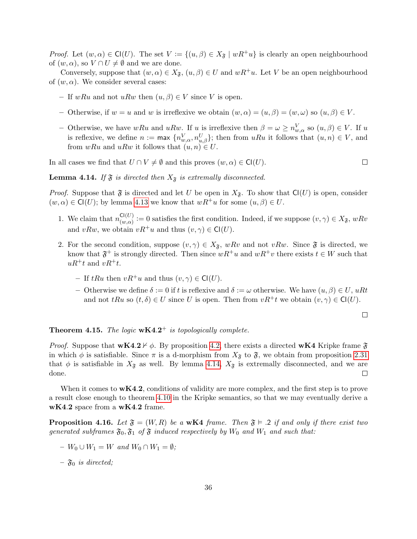*Proof.* Let  $(w, \alpha) \in \mathsf{Cl}(U)$ . The set  $V := \{(u, \beta) \in X_{\mathfrak{F}} \mid wR^+u\}$  is clearly an open neighbourhood of  $(w, \alpha)$ , so  $V \cap U \neq \emptyset$  and we are done.

Conversely, suppose that  $(w, \alpha) \in X_{\mathfrak{F}}$ ,  $(u, \beta) \in U$  and  $wR^+u$ . Let V be an open neighbourhood of  $(w, \alpha)$ . We consider several cases:

- If wRu and not uRw then  $(u, \beta) \in V$  since V is open.
- Otherwise, if  $w = u$  and w is irreflexive we obtain  $(w, \alpha) = (u, \beta) = (w, \omega)$  so  $(u, \beta) \in V$ .
- Otherwise, we have  $wRu$  and  $uRw$ . If u is irreflexive then  $\beta = \omega \geq n_{w,\alpha}^V$  so  $(u,\beta) \in V$ . If u is reflexive, we define  $n := \max \{n_{w,\alpha}^V, n_{u,\beta}^U\}$ ; then from  $uRu$  it follows that  $(u,n) \in V$ , and from  $wRu$  and  $uRw$  it follows that  $(u, n) \in U$ .

In all cases we find that  $U \cap V \neq \emptyset$  and this proves  $(w, \alpha) \in \mathsf{Cl}(U)$ .

 $\Box$ 

<span id="page-37-0"></span>**Lemma 4.14.** If  $\mathfrak{F}$  is directed then  $X_{\mathfrak{F}}$  is extremally disconnected.

*Proof.* Suppose that  $\mathfrak F$  is directed and let U be open in  $X_{\mathfrak F}$ . To show that  $\mathsf{Cl}(U)$  is open, consider  $(w, \alpha) \in \mathsf{Cl}(U)$ ; by lemma [4.13](#page-36-1) we know that  $wR^+u$  for some  $(u, \beta) \in U$ .

- 1. We claim that  $n_{(w,\alpha)}^{\mathsf{Cl}(U)}$  $C^{(U)}(w,\alpha) := 0$  satisfies the first condition. Indeed, if we suppose  $(v, \gamma) \in X_{\mathfrak{F}}$ ,  $wRv$ and  $vRw$ , we obtain  $vR^+u$  and thus  $(v, \gamma) \in \mathsf{Cl}(U)$ .
- 2. For the second condition, suppose  $(v, \gamma) \in X_{\mathfrak{F}}$ , wRv and not vRw. Since  $\mathfrak{F}$  is directed, we know that  $\mathfrak{F}^+$  is strongly directed. Then since  $wR^+u$  and  $wR^+v$  there exists  $t \in W$  such that  $uR^+t$  and  $vR^+t$ .
	- If  $tRu$  then  $vR^+u$  and thus  $(v, \gamma) \in \mathsf{Cl}(U)$ .
	- Otherwise we define  $\delta := 0$  if t is reflexive and  $\delta := \omega$  otherwise. We have  $(u, \beta) \in U$ , uRt and not  $tRu$  so  $(t, \delta) \in U$  since U is open. Then from  $vR^+t$  we obtain  $(v, \gamma) \in Cl(U)$ .

 $\Box$ 

#### **Theorem 4.15.** The logic  $wK4.2^+$  is topologically complete.

*Proof.* Suppose that  $wK4.2 \nvdash \phi$ . By proposition [4.2,](#page-32-1) there exists a directed  $wK4$  Kripke frame  $\mathfrak{F}$ in which  $\phi$  is satisfiable. Since  $\pi$  is a d-morphism from  $X_{\mathfrak{F}}$  to  $\mathfrak{F}$ , we obtain from proposition [2.31](#page-15-2) that  $\phi$  is satisfiable in  $X_{\mathfrak{F}}$  as well. By lemma [4.14,](#page-37-0)  $X_{\mathfrak{F}}$  is extremally disconnected, and we are done.  $\Box$ 

When it comes to  $wK4.2$ , conditions of validity are more complex, and the first step is to prove a result close enough to theorem [4.10](#page-35-0) in the Kripke semantics, so that we may eventually derive a wK4.2 space from a wK4.2 frame.

<span id="page-37-1"></span>**Proposition 4.16.** Let  $\mathfrak{F} = (W, R)$  be a wK4 frame. Then  $\mathfrak{F} \models .2$  if and only if there exist two generated subframes  $\mathfrak{F}_0$ ,  $\mathfrak{F}_1$  of  $\mathfrak{F}$  induced respectively by  $W_0$  and  $W_1$  and such that:

- $-V_0 \cup W_1 = W$  and  $W_0 \cap W_1 = \emptyset$ ;
- $\mathfrak{F}_0$  is directed;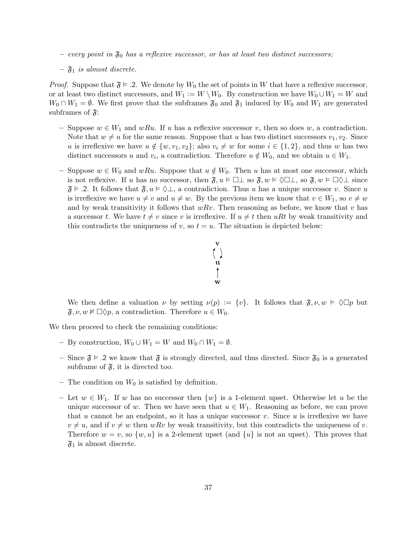- every point in  $\mathfrak{F}_0$  has a reflexive successor, or has at least two distinct successors;
- $\mathfrak{F}_1$  is almost discrete.

*Proof.* Suppose that  $\mathfrak{F} \models 2$ . We denote by  $W_0$  the set of points in W that have a reflexive successor, or at least two distinct successors, and  $W_1 := W \setminus W_0$ . By construction we have  $W_0 \cup W_1 = W$  and  $W_0 \cap W_1 = \emptyset$ . We first prove that the subframes  $\mathfrak{F}_0$  and  $\mathfrak{F}_1$  induced by  $W_0$  and  $W_1$  are generated subframes of  $\mathfrak{F}$ :

- Suppose  $w \in W_1$  and  $wRu$ . If u has a reflexive successor v, then so does w, a contradiction. Note that  $w \neq u$  for the same reason. Suppose that u has two distinct successors  $v_1, v_2$ . Since u is irreflexive we have  $u \notin \{w, v_1, v_2\}$ ; also  $v_i \neq w$  for some  $i \in \{1, 2\}$ , and thus w has two distinct successors u and  $v_i$ , a contradiction. Therefore  $u \notin W_0$ , and we obtain  $u \in W_1$ .
- Suppose  $w \in W_0$  and  $wRu$ . Suppose that  $u \notin W_0$ . Then u has at most one successor, which is not reflexive. If u has no successor, then  $\mathfrak{F}, u \models \Box \bot$  so  $\mathfrak{F}, w \models \Diamond \Box \bot$ , so  $\mathfrak{F}, w \models \Box \Diamond \bot$  since  $\mathfrak{F} \models$  2. It follows that  $\mathfrak{F}, u \models \Diamond \bot$ , a contradiction. Thus u has a unique successor v. Since u is irreflexive we have  $u \neq v$  and  $u \neq w$ . By the previous item we know that  $v \in W_1$ , so  $v \neq w$ and by weak transitivity it follows that  $wRv$ . Then reasoning as before, we know that v has a successor t. We have  $t \neq v$  since v is irreflexive. If  $u \neq t$  then uRt by weak transitivity and this contradicts the uniqueness of v, so  $t = u$ . The situation is depicted below:



We then define a valuation  $\nu$  by setting  $\nu(p) := \{v\}$ . It follows that  $\mathfrak{F}, \nu, w \models \Diamond \Box p$  but  $\mathfrak{F}, \nu, w \nvDash \Box \Diamond p$ , a contradiction. Therefore  $u \in W_0$ .

We then proceed to check the remaining conditions:

- By construction,  $W_0 \cup W_1 = W$  and  $W_0 \cap W_1 = \emptyset$ .
- Since  $\mathfrak{F} \models 0.2$  we know that  $\mathfrak{F}$  is strongly directed, and thus directed. Since  $\mathfrak{F}_0$  is a generated subframe of  $\mathfrak{F}$ , it is directed too.
- The condition on  $W_0$  is satisfied by definition.
- Let  $w \in W_1$ . If w has no successor then  $\{w\}$  is a 1-element upset. Otherwise let u be the unique successor of w. Then we have seen that  $u \in W_1$ . Reasoning as before, we can prove that u cannot be an endpoint, so it has a unique successor v. Since u is irreflexive we have  $v \neq u$ , and if  $v \neq w$  then wRv by weak transitivity, but this contradicts the uniqueness of v. Therefore  $w = v$ , so  $\{w, u\}$  is a 2-element upset (and  $\{u\}$  is not an upset). This proves that  $\mathfrak{F}_1$  is almost discrete.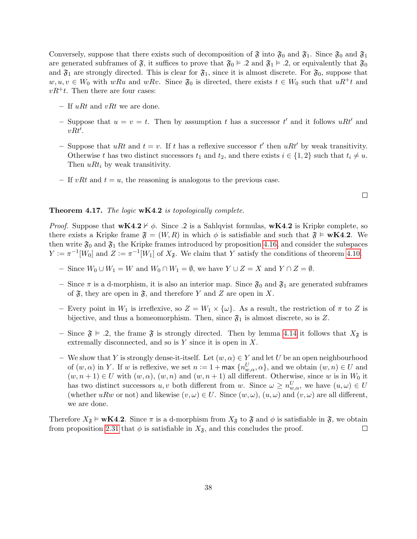Conversely, suppose that there exists such of decomposition of  $\mathfrak{F}$  into  $\mathfrak{F}_0$  and  $\mathfrak{F}_1$ . Since  $\mathfrak{F}_0$  and  $\mathfrak{F}_1$ are generated subframes of  $\mathfrak{F}$ , it suffices to prove that  $\mathfrak{F}_0 \models .2$  and  $\mathfrak{F}_1 \models .2$ , or equivalently that  $\mathfrak{F}_0$ and  $\mathfrak{F}_1$  are strongly directed. This is clear for  $\mathfrak{F}_1$ , since it is almost discrete. For  $\mathfrak{F}_0$ , suppose that  $w, u, v \in W_0$  with wRu and wRv. Since  $\mathfrak{F}_0$  is directed, there exists  $t \in W_0$  such that  $uR^+t$  and  $vR^+t$ . Then there are four cases:

- If  $uRt$  and  $vRt$  we are done.
- Suppose that  $u = v = t$ . Then by assumption t has a successor t' and it follows uRt' and  $vRt'.$
- Suppose that uRt and  $t = v$ . If t has a reflexive successor t' then uRt' by weak transitivity. Otherwise t has two distinct successors  $t_1$  and  $t_2$ , and there exists  $i \in \{1,2\}$  such that  $t_i \neq u$ . Then  $uRt_i$  by weak transitivity.
- If vRt and  $t = u$ , the reasoning is analogous to the previous case.

 $\Box$ 

#### Theorem 4.17. The logic wK4.2 is topologically complete.

*Proof.* Suppose that  $wK4.2 \nvdash \phi$ . Since .2 is a Sahlqvist formulas,  $wK4.2$  is Kripke complete, so there exists a Kripke frame  $\mathfrak{F} = (W, R)$  in which  $\phi$  is satisfiable and such that  $\mathfrak{F} \models wK4.2$ . We then write  $\mathfrak{F}_0$  and  $\mathfrak{F}_1$  the Kripke frames introduced by proposition [4.16,](#page-37-1) and consider the subspaces  $Y := \pi^{-1}[W_0]$  and  $Z := \pi^{-1}[W_1]$  of  $X_{\mathfrak{F}}$ . We claim that Y satisfy the conditions of theorem [4.10.](#page-35-0)

- Since  $W_0 \cup W_1 = W$  and  $W_0 \cap W_1 = \emptyset$ , we have  $Y \cup Z = X$  and  $Y \cap Z = \emptyset$ .
- Since  $\pi$  is a d-morphism, it is also an interior map. Since  $\mathfrak{F}_0$  and  $\mathfrak{F}_1$  are generated subframes of  $\mathfrak{F}$ , they are open in  $\mathfrak{F}$ , and therefore Y and Z are open in X.
- Every point in  $W_1$  is irreflexive, so  $Z = W_1 \times \{\omega\}$ . As a result, the restriction of  $\pi$  to Z is bijective, and thus a homeomorphism. Then, since  $\mathfrak{F}_1$  is almost discrete, so is Z.
- Since  $\mathfrak{F} \models .2$ , the frame  $\mathfrak{F}$  is strongly directed. Then by lemma [4.14](#page-37-0) it follows that  $X_{\mathfrak{F}}$  is extremally disconnected, and so is  $Y$  since it is open in  $X$ .
- We show that Y is strongly dense-it-itself. Let  $(w, \alpha) \in Y$  and let U be an open neighbourhood of  $(w, \alpha)$  in Y. If w is reflexive, we set  $n := 1 + \max\{n_{w,\alpha}^U, \alpha\}$ , and we obtain  $(w, n) \in U$  and  $(w, n+1) \in U$  with  $(w, \alpha)$ ,  $(w, n)$  and  $(w, n+1)$  all different. Otherwise, since w is in  $W_0$  it has two distinct successors  $u, v$  both different from w. Since  $\omega \geq n_{w,\alpha}^U$ , we have  $(u,\omega) \in U$ (whether uRw or not) and likewise  $(v, \omega) \in U$ . Since  $(w, \omega)$ ,  $(u, \omega)$  and  $(v, \omega)$  are all different, we are done.

<span id="page-39-0"></span>Therefore  $X_{\tilde{\sigma}} \models \mathbf{wK4.2}$ . Since  $\pi$  is a d-morphism from  $X_{\tilde{\sigma}}$  to  $\tilde{\sigma}$  and  $\phi$  is satisfiable in  $\tilde{\sigma}$ , we obtain from proposition [2.31](#page-15-2) that  $\phi$  is satisfiable in  $X_{\mathfrak{F}}$ , and this concludes the proof.  $\Box$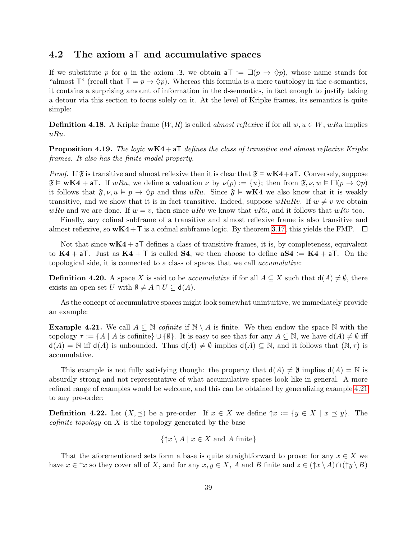#### 4.2 The axiom aT and accumulative spaces

If we substitute p for q in the axiom .3, we obtain  $\mathsf{a} \mathsf{T} := \Box(p \to \Diamond p)$ , whose name stands for "almost T" (recall that  $T = p \rightarrow \Diamond p$ ). Whereas this formula is a mere tautology in the c-semantics, it contains a surprising amount of information in the d-semantics, in fact enough to justify taking a detour via this section to focus solely on it. At the level of Kripke frames, its semantics is quite simple:

**Definition 4.18.** A Kripke frame  $(W, R)$  is called *almost reflexive* if for all  $w, u \in W$ , wRu implies uRu.

<span id="page-40-1"></span>**Proposition 4.19.** The logic  $wK4 + aT$  defines the class of transitive and almost reflexive Kripke frames. It also has the finite model property.

*Proof.* If  $\mathfrak{F}$  is transitive and almost reflexive then it is clear that  $\mathfrak{F} \models \mathbf{wK4} + \mathbf{aT}$ . Conversely, suppose  $\mathfrak{F} \models \mathbf{wK4} + \mathsf{aT}$ . If  $wRu$ , we define a valuation  $\nu$  by  $\nu(p) := \{u\}$ ; then from  $\mathfrak{F}, \nu, w \models \Box(p \to \Diamond p)$ it follows that  $\mathfrak{F}, \nu, u \vDash p \rightarrow \Diamond p$  and thus uRu. Since  $\mathfrak{F} \vDash wK4$  we also know that it is weakly transitive, and we show that it is in fact transitive. Indeed, suppose  $wRuRv$ . If  $w \neq v$  we obtain wRv and we are done. If  $w = v$ , then since uRv we know that vRv, and it follows that wRv too.

Finally, any cofinal subframe of a transitive and almost reflexive frame is also transitive and almost reflexive, so  $wK4+T$  is a cofinal subframe logic. By theorem [3.17,](#page-22-0) this yields the FMP.  $\Box$ 

Not that since  $wK4 + aT$  defines a class of transitive frames, it is, by completeness, equivalent to  $K4 + aT$ . Just as  $K4 + T$  is called **S4**, we then choose to define  $aS4 := K4 + aT$ . On the topological side, it is connected to a class of spaces that we call accumulative:

**Definition 4.20.** A space X is said to be accumulative if for all  $A \subseteq X$  such that  $d(A) \neq \emptyset$ , there exists an open set U with  $\emptyset \neq A \cap U \subseteq d(A)$ .

As the concept of accumulative spaces might look somewhat unintuitive, we immediately provide an example:

<span id="page-40-0"></span>**Example 4.21.** We call  $A \subseteq \mathbb{N}$  cofinite if  $\mathbb{N} \setminus A$  is finite. We then endow the space  $\mathbb{N}$  with the topology  $\tau := \{A \mid A \text{ is cofinite}\} \cup \{\emptyset\}.$  It is easy to see that for any  $A \subseteq \mathbb{N}$ , we have  $d(A) \neq \emptyset$  iff  $d(A) = N$  iff  $d(A)$  is unbounded. Thus  $d(A) \neq \emptyset$  implies  $d(A) \subseteq N$ , and it follows that  $(N, \tau)$  is accumulative.

This example is not fully satisfying though: the property that  $d(A) \neq \emptyset$  implies  $d(A) = \mathbb{N}$  is absurdly strong and not representative of what accumulative spaces look like in general. A more refined range of examples would be welcome, and this can be obtained by generalizing example [4.21](#page-40-0) to any pre-order:

**Definition 4.22.** Let  $(X, \preceq)$  be a pre-order. If  $x \in X$  we define  $\uparrow x := \{y \in X \mid x \preceq y\}$ . The *cofinite topology* on  $X$  is the topology generated by the base

$$
\{\uparrow x \setminus A \mid x \in X \text{ and } A \text{ finite}\}\
$$

That the aforementioned sets form a base is quite straightforward to prove: for any  $x \in X$  we have  $x \in \uparrow x$  so they cover all of X, and for any  $x, y \in X$ , A and B finite and  $z \in (\uparrow x \setminus A) \cap (\uparrow y \setminus B)$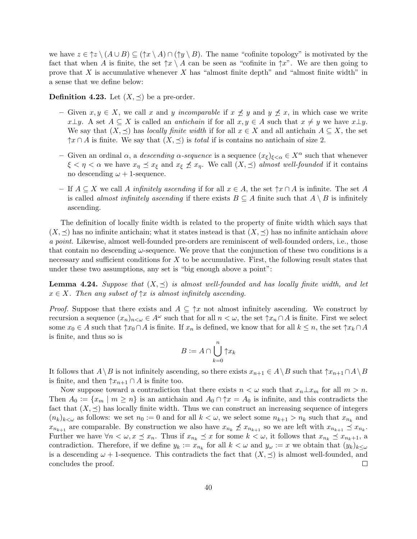we have  $z \in \uparrow z \setminus (A \cup B) \subseteq (\uparrow x \setminus A) \cap (\uparrow y \setminus B)$ . The name "cofinite topology" is motivated by the fact that when A is finite, the set  $\uparrow x \setminus A$  can be seen as "cofinite in  $\uparrow x$ ". We are then going to prove that  $X$  is accumulative whenever  $X$  has "almost finite depth" and "almost finite width" in a sense that we define below:

**Definition 4.23.** Let  $(X, \preceq)$  be a pre-order.

- Given  $x, y \in X$ , we call x and y incomparable if  $x \npreceq y$  and  $y \npreceq x$ , in which case we write x $\perp y$ . A set  $A \subseteq X$  is called an *antichain* if for all  $x, y \in A$  such that  $x \neq y$  we have  $x \perp y$ . We say that  $(X, \preceq)$  has locally finite width if for all  $x \in X$  and all antichain  $A \subseteq X$ , the set  $\uparrow x \cap A$  is finite. We say that  $(X, \preceq)$  is *total* if is contains no antichain of size 2.
- Given an ordinal  $\alpha$ , a *descending*  $\alpha$ -sequence is a sequence  $(x_{\xi})_{\xi<\alpha} \in X^{\alpha}$  such that whenever  $\xi < \eta < \alpha$  we have  $x_{\eta} \preceq x_{\xi}$  and  $x_{\xi} \not\preceq x_{\eta}$ . We call  $(X, \preceq)$  almost well-founded if it contains no descending  $\omega + 1$ -sequence.
- If  $A \subseteq X$  we call A *infinitely ascending* if for all  $x \in A$ , the set  $\uparrow x \cap A$  is infinite. The set A is called *almost infinitely ascending* if there exists  $B \subseteq A$  finite such that  $A \setminus B$  is infinitely ascending.

The definition of locally finite width is related to the property of finite width which says that  $(X, \preceq)$  has no infinite antichain; what it states instead is that  $(X, \preceq)$  has no infinite antichain above a point. Likewise, almost well-founded pre-orders are reminiscent of well-founded orders, i.e., those that contain no descending  $\omega$ -sequence. We prove that the conjunction of these two conditions is a necessary and sufficient conditions for X to be accumulative. First, the following result states that under these two assumptions, any set is "big enough above a point":

<span id="page-41-0"></span>**Lemma 4.24.** Suppose that  $(X, \leq)$  is almost well-founded and has locally finite width, and let  $x \in X$ . Then any subset of  $\uparrow x$  is almost infinitely ascending.

*Proof.* Suppose that there exists and  $A \subseteq \hat{} x$  not almost infinitely ascending. We construct by recursion a sequence  $(x_n)_{n\leq \omega} \in A^\omega$  such that for all  $n \leq \omega$ , the set  $\uparrow x_n \cap A$  is finite. First we select some  $x_0 \in A$  such that  $\uparrow x_0 \cap A$  is finite. If  $x_n$  is defined, we know that for all  $k \leq n$ , the set  $\uparrow x_k \cap A$ is finite, and thus so is

$$
B := A \cap \bigcup_{k=0}^{n} \uparrow x_k
$$

It follows that  $A\setminus B$  is not infinitely ascending, so there exists  $x_{n+1} \in A\setminus B$  such that  $\uparrow x_{n+1} \cap A\setminus B$ is finite, and then  $\uparrow x_{n+1} \cap A$  is finite too.

Now suppose toward a contradiction that there exists  $n < \omega$  such that  $x_n \perp x_m$  for all  $m > n$ . Then  $A_0 := \{x_m \mid m \geq n\}$  is an antichain and  $A_0 \cap \hat{\tau} = A_0$  is infinite, and this contradicts the fact that  $(X, \preceq)$  has locally finite width. Thus we can construct an increasing sequence of integers  $(n_k)_{k\leq\omega}$  as follows: we set  $n_0:=0$  and for all  $k<\omega$ , we select some  $n_{k+1}>n_k$  such that  $x_{n_k}$  and  $x_{n_{k+1}}$  are comparable. By construction we also have  $x_{n_k} \not\preceq x_{n_{k+1}}$  so we are left with  $x_{n_{k+1}} \preceq x_{n_k}$ . Further we have  $\forall n < \omega, x \leq x_n$ . Thus if  $x_{n_k} \leq x$  for some  $k < \omega$ , it follows that  $x_{n_k} \leq x_{n_k+1}$ , a contradiction. Therefore, if we define  $y_k := x_{n_k}$  for all  $k < \omega$  and  $y_{\omega} := x$  we obtain that  $(y_k)_{k \leq \omega}$ is a descending  $\omega + 1$ -sequence. This contradicts the fact that  $(X, \preceq)$  is almost well-founded, and concludes the proof.  $\Box$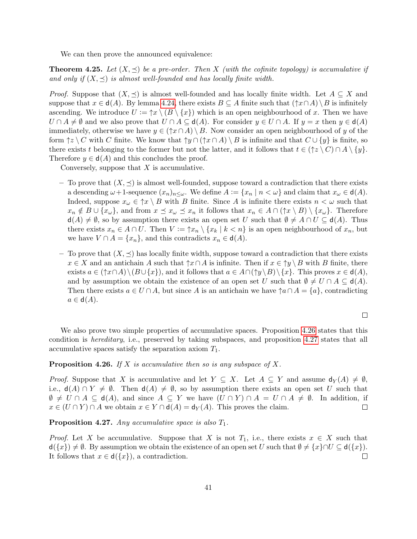We can then prove the announced equivalence:

<span id="page-42-2"></span>**Theorem 4.25.** Let  $(X, \leq)$  be a pre-order. Then X (with the cofinite topology) is accumulative if and only if  $(X, \preceq)$  is almost well-founded and has locally finite width.

*Proof.* Suppose that  $(X, \preceq)$  is almost well-founded and has locally finite width. Let  $A \subseteq X$  and suppose that  $x \in d(A)$ . By lemma [4.24,](#page-41-0) there exists  $B \subseteq A$  finite such that  $(\uparrow x \cap A) \setminus B$  is infinitely ascending. We introduce  $U := \hat{\tau}x \setminus (B \setminus \{x\})$  which is an open neighbourhood of x. Then we have  $U \cap A \neq \emptyset$  and we also prove that  $U \cap A \subseteq d(A)$ . For consider  $y \in U \cap A$ . If  $y = x$  then  $y \in d(A)$ immediately, otherwise we have  $y \in (\uparrow x \cap A) \setminus B$ . Now consider an open neighbourhood of y of the form  $\{\zeta \}\subset C$  with C finite. We know that  $\{\gamma \cap (\gamma \cap A) \setminus B$  is infinite and that  $C \cup \{y\}$  is finite, so there exists t belonging to the former but not the latter, and it follows that  $t \in (\uparrow z \setminus C) \cap A \setminus \{y\}.$ Therefore  $y \in d(A)$  and this concludes the proof.

Conversely, suppose that  $X$  is accumulative.

- To prove that  $(X, \preceq)$  is almost well-founded, suppose toward a contradiction that there exists a descending  $\omega+1$ -sequence  $(x_n)_{n\leq \omega}$ . We define  $A:=\{x_n \mid n<\omega\}$  and claim that  $x_\omega \in \mathsf{d}(A)$ . Indeed, suppose  $x_{\omega} \in \Upsilon \setminus B$  with B finite. Since A is infinite there exists  $n < \omega$  such that  $x_n \notin B \cup \{x_\omega\}$ , and from  $x \leq x_\omega \leq x_n$  it follows that  $x_n \in A \cap (\uparrow x \setminus B) \setminus \{x_\omega\}$ . Therefore  $d(A) \neq \emptyset$ , so by assumption there exists an open set U such that  $\emptyset \neq A \cap U \subseteq d(A)$ . Thus there exists  $x_n \in A \cap U$ . Then  $V := \uparrow x_n \setminus \{x_k \mid k < n\}$  is an open neighbourhood of  $x_n$ , but we have  $V \cap A = \{x_n\}$ , and this contradicts  $x_n \in d(A)$ .
- To prove that  $(X, \preceq)$  has locally finite width, suppose toward a contradiction that there exists  $x \in X$  and an antichain A such that  $\uparrow x \cap A$  is infinite. Then if  $x \in \uparrow y \setminus B$  with B finite, there exists  $a \in (\uparrow x \cap A) \setminus (B \cup \{x\})$ , and it follows that  $a \in A \cap (\uparrow y \setminus B) \setminus \{x\}$ . This proves  $x \in d(A)$ , and by assumption we obtain the existence of an open set U such that  $\emptyset \neq U \cap A \subseteq d(A)$ . Then there exists  $a \in U \cap A$ , but since A is an antichain we have  $\uparrow a \cap A = \{a\}$ , contradicting  $a \in d(A)$ .

$$
\square
$$

We also prove two simple properties of accumulative spaces. Proposition [4.26](#page-42-0) states that this condition is hereditary, i.e., preserved by taking subspaces, and proposition [4.27](#page-42-1) states that all accumulative spaces satisfy the separation axiom  $T_1$ .

<span id="page-42-0"></span>**Proposition 4.26.** If X is accumulative then so is any subspace of X.

*Proof.* Suppose that X is accumulative and let  $Y \subseteq X$ . Let  $A \subseteq Y$  and assume  $d_Y(A) \neq \emptyset$ , i.e.,  $d(A) \cap Y \neq \emptyset$ . Then  $d(A) \neq \emptyset$ , so by assumption there exists an open set U such that  $\emptyset \neq U \cap A \subseteq d(A)$ , and since  $A \subseteq Y$  we have  $(U \cap Y) \cap A = U \cap A \neq \emptyset$ . In addition, if  $x \in (U \cap Y) \cap A$  we obtain  $x \in Y \cap d(A) = d_Y(A)$ . This proves the claim.  $\Box$ 

<span id="page-42-1"></span>**Proposition 4.27.** Any accumulative space is also  $T_1$ .

*Proof.* Let X be accumulative. Suppose that X is not  $T_1$ , i.e., there exists  $x \in X$  such that  $\mathsf{d}(\{x\}) \neq \emptyset$ . By assumption we obtain the existence of an open set U such that  $\emptyset \neq \{x\} \cap U \subseteq \mathsf{d}(\{x\})$ . It follows that  $x \in d({x})$ , a contradiction.  $\Box$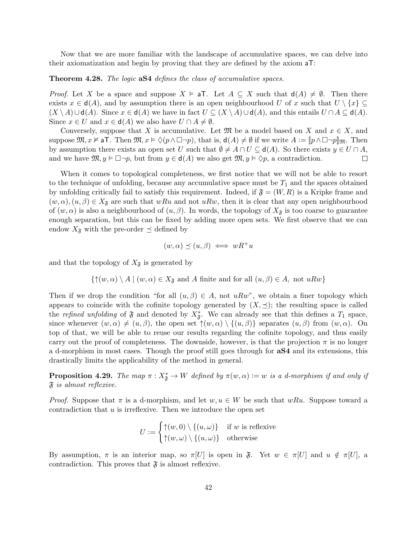Now that we are more familiar with the landscape of accumulative spaces, we can delve into their axiomatization and begin by proving that they are defined by the axiom aT:

#### <span id="page-43-1"></span>**Theorem 4.28.** The logic **aS4** defines the class of accumulative spaces.

*Proof.* Let X be a space and suppose  $X \models aT$ . Let  $A \subseteq X$  such that  $d(A) \neq \emptyset$ . Then there exists  $x \in d(A)$ , and by assumption there is an open neighbourhood U of x such that  $U \setminus \{x\} \subseteq$  $(X \setminus A) \cup d(A)$ . Since  $x \in d(A)$  we have in fact  $U \subseteq (X \setminus A) \cup d(A)$ , and this entails  $U \cap A \subseteq d(A)$ . Since  $x \in U$  and  $x \in d(A)$  we also have  $U \cap A \neq \emptyset$ .

Conversely, suppose that X is accumulative. Let  $\mathfrak{M}$  be a model based on X and  $x \in X$ , and suppose  $\mathfrak{M}, x \nvDash a$ T. Then  $\mathfrak{M}, x \vDash \Diamond (p \land \Box \neg p)$ , that is,  $d(A) \neq \emptyset$  if we write  $A := [p \land \Box \neg p]_{\mathfrak{M}}$ . Then by assumption there exists an open set U such that  $\emptyset \neq A \cap U \subseteq d(A)$ . So there exists  $y \in U \cap A$ , and we have  $\mathfrak{M}, y \vDash \Box \neg p$ , but from  $y \in d(A)$  we also get  $\mathfrak{M}, y \vDash \Diamond p$ , a contradiction.  $\Box$ 

When it comes to topological completeness, we first notice that we will not be able to resort to the technique of unfolding, because any accumulative space must be  $T_1$  and the spaces obtained by unfolding critically fail to satisfy this requirement. Indeed, if  $\mathfrak{F} = (W, R)$  is a Kripke frame and  $(w, \alpha), (u, \beta) \in X_{\mathfrak{F}}$  are such that wRu and not uRw, then it is clear that any open neighbourhood of  $(w, \alpha)$  is also a neighbourhood of  $(u, \beta)$ . In words, the topology of  $X_{\mathfrak{F}}$  is too coarse to guarantee enough separation, but this can be fixed by adding more open sets. We first observe that we can endow  $X_{\mathfrak{F}}$  with the pre-order  $\preceq$  defined by

$$
(w, \alpha) \preceq (u, \beta) \iff wR^+u
$$

and that the topology of  $X_{\mathfrak{F}}$  is generated by

$$
\{\uparrow(w, \alpha) \setminus A \mid (w, \alpha) \in X_{\mathfrak{F}}
$$
 and A finite and for all  $(u, \beta) \in A$ , not  $uRw\}$ 

Then if we drop the condition "for all  $(u, \beta) \in A$ , not uRw", we obtain a finer topology which appears to coincide with the cofinite topology generated by  $(X, \preceq)$ ; the resulting space is called the refined unfolding of  $\mathfrak F$  and denoted by  $X^*_{\mathfrak F}$ . We can already see that this defines a  $T_1$  space, since whenever  $(w, \alpha) \neq (u, \beta)$ , the open set  $\uparrow(w, \alpha) \setminus \{(u, \beta)\}\$  separates  $(u, \beta)$  from  $(w, \alpha)$ . On top of that, we will be able to reuse our results regarding the cofinite topology, and thus easily carry out the proof of completeness. The downside, however, is that the projection  $\pi$  is no longer a d-morphism in most cases. Though the proof still goes through for aS4 and its extensions, this drastically limits the applicability of the method in general.

<span id="page-43-0"></span>**Proposition 4.29.** The map  $\pi: X^*_{\mathfrak{F}} \to W$  defined by  $\pi(w, \alpha) := w$  is a d-morphism if and only if  $\mathfrak F$  is almost reflexive.

*Proof.* Suppose that  $\pi$  is a d-morphism, and let  $w, u \in W$  be such that wRu. Suppose toward a contradiction that u is irreflexive. Then we introduce the open set

$$
U := \begin{cases} \uparrow(w,0) \setminus \{(u,\omega)\} & \text{if } w \text{ is reflexive} \\ \uparrow(w,\omega) \setminus \{(u,\omega)\} & \text{otherwise} \end{cases}
$$

By assumption,  $\pi$  is an interior map, so  $\pi[U]$  is open in  $\mathfrak{F}$ . Yet  $w \in \pi[U]$  and  $u \notin \pi[U]$ , a contradiction. This proves that  $\mathfrak{F}$  is almost reflexive.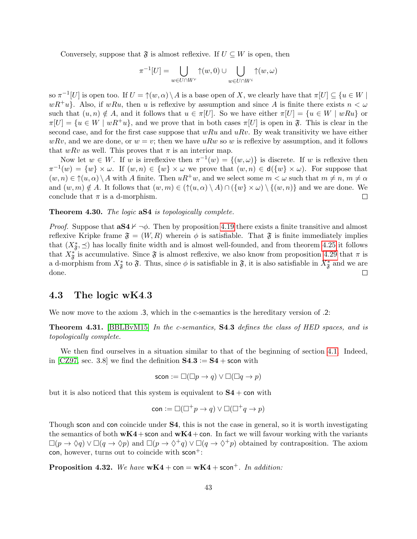Conversely, suppose that  $\mathfrak{F}$  is almost reflexive. If  $U \subseteq W$  is open, then

$$
\pi^{-1}[U] = \bigcup_{w \in U \cap W^r} \uparrow(w, 0) \cup \bigcup_{w \in U \cap W^i} \uparrow(w, \omega)
$$

so  $\pi^{-1}[U]$  is open too. If  $U = \uparrow(w, \alpha) \setminus A$  is a base open of X, we clearly have that  $\pi[U] \subseteq \{u \in W \mid$  $wR^+u$ . Also, if wRu, then u is reflexive by assumption and since A is finite there exists  $n < \omega$ such that  $(u, n) \notin A$ , and it follows that  $u \in \pi[U]$ . So we have either  $\pi[U] = \{u \in W \mid wRu\}$  or  $\pi[U] = \{u \in W \mid wR^+u\}$ , and we prove that in both cases  $\pi[U]$  is open in  $\mathfrak{F}$ . This is clear in the second case, and for the first case suppose that  $wRu$  and  $uRv$ . By weak transitivity we have either  $wRv$ , and we are done, or  $w = v$ ; then we have  $uRw$  so w is reflexive by assumption, and it follows that wRv as well. This proves that  $\pi$  is an interior map.

Now let  $w \in W$ . If w is irreflexive then  $\pi^{-1}(w) = \{(w, \omega)\}\$ is discrete. If w is reflexive then  $\pi^{-1}(w) = \{w\} \times \omega$ . If  $(w, n) \in \{w\} \times \omega$  we prove that  $(w, n) \in d({w\} \times \omega)$ . For suppose that  $(w, n) \in \mathcal{P}(u, \alpha) \setminus A$  with A finite. Then  $uR^+w$ , and we select some  $m < \omega$  such that  $m \neq n$ ,  $m \neq \alpha$ and  $(w, m) \notin A$ . It follows that  $(w, m) \in (\uparrow(u, \alpha) \setminus A) \cap (\{w\} \times \omega) \setminus \{(w, n)\}\)$  and we are done. We conclude that  $\pi$  is a d-morphism.  $\Box$ 

#### Theorem 4.30. The logic  $aS4$  is topologically complete.

*Proof.* Suppose that  $aS4 \nvdash \neg \phi$ . Then by proposition [4.19](#page-40-1) there exists a finite transitive and almost reflexive Kripke frame  $\mathfrak{F} = (W, R)$  wherein  $\phi$  is satisfiable. That  $\mathfrak{F}$  is finite immediately implies that  $(X^*_{\mathfrak{F}}, \preceq)$  has locally finite width and is almost well-founded, and from theorem [4.25](#page-42-2) it follows that  $X^*_{\mathfrak{F}}$  is accumulative. Since  $\mathfrak{F}$  is almost reflexive, we also know from proposition [4.29](#page-43-0) that  $\pi$  is a d-morphism from  $X^*_{\mathfrak{F}}$  to  $\mathfrak{F}$ . Thus, since  $\phi$  is satisfiable in  $\mathfrak{F}$ , it is also satisfiable in  $X^*_{\mathfrak{F}}$  and we are done.  $\Box$ 

#### <span id="page-44-0"></span>4.3 The logic wK4.3

We now move to the axiom .3, which in the c-semantics is the hereditary version of .2:

<span id="page-44-1"></span>**Theorem 4.31.** [\[BBLBvM15\]](#page-69-10) In the c-semantics, **S4.3** defines the class of HED spaces, and is topologically complete.

We then find ourselves in a situation similar to that of the beginning of section [4.1.](#page-31-1) Indeed, in [\[CZ97,](#page-69-5) sec. 3.8] we find the definition  $S4.3 := S4 +$  scon with

$$
\mathsf{scon} := \Box(\Box p \to q) \lor \Box(\Box q \to p)
$$

but it is also noticed that this system is equivalent to  $S4 + \text{con with}$ 

$$
\mathsf{con} := \Box(\Box^+ p \to q) \lor \Box(\Box^+ q \to p)
$$

Though scon and con coincide under S4, this is not the case in general, so it is worth investigating the semantics of both  $wK4 + \text{con}$  and  $wK4 + \text{con}$ . In fact we will favour working with the variants  $\Box(p \to \Diamond q) \lor \Box(q \to \Diamond p)$  and  $\Box(p \to \Diamond^+ q) \lor \Box(q \to \Diamond^+ p)$  obtained by contraposition. The axiom con, however, turns out to coincide with  $s$ con<sup>+</sup>:

<span id="page-44-2"></span>**Proposition 4.32.** We have  $wK4 + \text{con} = wK4 + \text{scon}^+$ . In addition: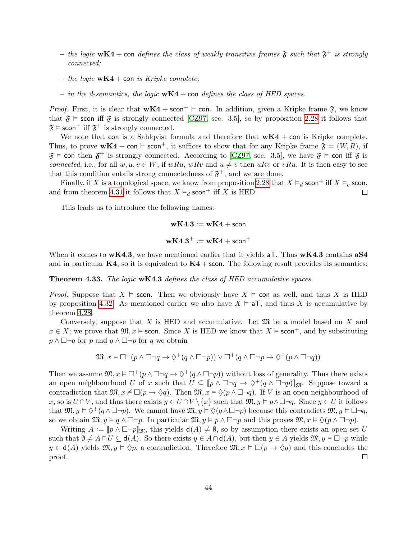- the logic  $wK4$  + con defines the class of weakly transitive frames  $\mathfrak F$  such that  $\mathfrak F^+$  is strongly connected;
- the logic  $wK4$  + con is Kripke complete;
- in the d-semantics, the logic  $wK4$  + con defines the class of HED spaces.

*Proof.* First, it is clear that  $wK4 + scon^+$   $\vdash$  con. In addition, given a Kripke frame  $\mathfrak{F}$ , we know that  $\mathfrak{F} \models$  scon iff  $\mathfrak{F}$  is strongly connected [\[CZ97,](#page-69-5) sec. 3.5], so by proposition [2.28](#page-14-0) it follows that  $\mathfrak{F} \models \mathsf{scon}^+$  iff  $\mathfrak{F}^+$  is strongly connected.

We note that con is a Sahlqvist formula and therefore that  $wK4 + con$  is Kripke complete. Thus, to prove  $wK4 + \text{con} + \text{scon}^+$ , it suffices to show that for any Kripke frame  $\mathfrak{F} = (W, R)$ , if  $\mathfrak{F} \models$  con then  $\mathfrak{F}^+$  is strongly connected. According to [\[CZ97,](#page-69-5) sec. 3.5], we have  $\mathfrak{F} \models$  con iff  $\mathfrak{F}$  is connected, i.e., for all  $w, u, v \in W$ , if wRu, wRv and  $u \neq v$  then uRv or vRu. It is then easy to see that this condition entails strong connectedness of  $\mathfrak{F}^+$ , and we are done.

Finally, if X is a topological space, we know from proposition [2.28](#page-14-0) that  $X \vDash_d \text{scon}^+$  iff  $X \vDash_c \text{scon}$ , and from theorem [4.31](#page-44-1) it follows that  $X \vDash_d \text{scon}^+$  iff X is HED.  $\Box$ 

This leads us to introduce the following names:

$$
\mathbf{wK4.3} \mathrel{\mathop:}= \mathbf{wK4} + \mathsf{scon}
$$

$$
\mathbf{wK4.3}^+ := \mathbf{wK4} + \mathsf{scon}^+
$$

When it comes to  $wK4.3$ , we have mentioned earlier that it yields aT. Thus  $wK4.3$  contains aS4 and in particular  $K4$ , so it is equivalent to  $K4$  + scon. The following result provides its semantics:

<span id="page-45-0"></span>Theorem 4.33. The logic wK4.3 defines the class of HED accumulative spaces.

*Proof.* Suppose that  $X \models$  scon. Then we obviously have  $X \models$  con as well, and thus X is HED by proposition [4.32.](#page-44-2) As mentioned earlier we also have  $X \models aT$ , and thus X is accumulative by theorem [4.28.](#page-43-1)

Conversely, suppose that X is HED and accumulative. Let  $\mathfrak{M}$  be a model based on X and  $x \in X$ ; we prove that  $\mathfrak{M}, x \models$  scon. Since X is HED we know that  $X \models$  scon<sup>+</sup>, and by substituting  $p \wedge \Box \neg q$  for p and  $q \wedge \Box \neg p$  for q we obtain

$$
\mathfrak{M}, x \vDash \Box^+(p \land \Box \neg q \rightarrow \Diamond^+(q \land \Box \neg p)) \lor \Box^+(q \land \Box \neg p \rightarrow \Diamond^+(p \land \Box \neg q))
$$

Then we assume  $\mathfrak{M}, x \models \Box^+(p \land \Box \neg q \rightarrow \Diamond^+(q \land \Box \neg p))$  without loss of generality. Thus there exists an open neighbourhood U of x such that  $U \subseteq [p \land \Box \neg q \rightarrow \Diamond^+(q \land \Box \neg p)]_{\mathfrak{M}}$ . Suppose toward a contradiction that  $\mathfrak{M}, x \nvDash \Box(p \rightarrow \Diamond q)$ . Then  $\mathfrak{M}, x \models \Diamond(p \land \Box \neg q)$ . If V is an open neighbourhood of x, so is  $U \cap V$ , and thus there exists  $y \in U \cap V \setminus \{x\}$  such that  $\mathfrak{M}, y \models p \land \Box \neg q$ . Since  $y \in U$  it follows that  $\mathfrak{M}, y \vDash \Diamond^+(q \wedge \Box \neg p)$ . We cannot have  $\mathfrak{M}, y \vDash \Diamond(q \wedge \Box \neg p)$  because this contradicts  $\mathfrak{M}, y \vDash \Box \neg q$ , so we obtain  $\mathfrak{M}, y \vDash q \wedge \Box \neg p$ . In particular  $\mathfrak{M}, y \vDash p \wedge \Box \neg p$  and this proves  $\mathfrak{M}, x \vDash \Diamond (p \wedge \Box \neg p)$ .

Writing  $A := [p \wedge \Box \neg p]_{\mathfrak{M}}$ , this yields  $d(A) \neq \emptyset$ , so by assumption there exists an open set U such that  $\emptyset \neq A \cap U \subseteq d(A)$ . So there exists  $y \in A \cap d(A)$ , but then  $y \in A$  yields  $\mathfrak{M}, y \models \Box \neg p$  while  $y \in d(A)$  yields  $\mathfrak{M}, y \models \Diamond p$ , a contradiction. Therefore  $\mathfrak{M}, x \models \Box(p \rightarrow \Diamond q)$  and this concludes the proof.  $\Box$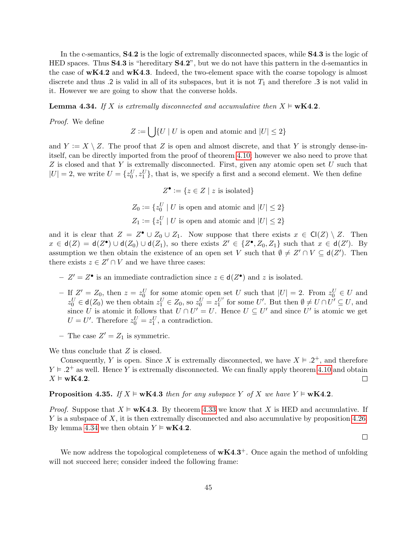In the c-semantics, S4.2 is the logic of extremally disconnected spaces, while S4.3 is the logic of HED spaces. Thus S4.3 is "hereditary S4.2", but we do not have this pattern in the d-semantics in the case of  $wK4.2$  and  $wK4.3$ . Indeed, the two-element space with the coarse topology is almost discrete and thus .2 is valid in all of its subspaces, but it is not  $T_1$  and therefore .3 is not valid in it. However we are going to show that the converse holds.

<span id="page-46-0"></span>**Lemma 4.34.** If X is extremally disconnected and accumulative then  $X \models wK4.2$ .

Proof. We define

 $Z := \bigcup \{ U \mid U \text{ is open and atomic and } |U| \leq 2 \}$ 

and  $Y := X \setminus Z$ . The proof that Z is open and almost discrete, and that Y is strongly dense-initself, can be directly imported from the proof of theorem [4.10;](#page-35-0) however we also need to prove that  $Z$  is closed and that Y is extremally disconnected. First, given any atomic open set  $U$  such that  $|U| = 2$ , we write  $U = \{z_0^U, z_1^U\}$ , that is, we specify a first and a second element. We then define

$$
Z^{\bullet} := \{ z \in Z \mid z \text{ is isolated} \}
$$

 $Z_0 := \{z_0^U \mid U \text{ is open and atomic and } |U| \leq 2\}$  $Z_1 := \{z_1^U \mid U \text{ is open and atomic and } |U| \leq 2\}$ 

and it is clear that  $Z = Z^{\bullet} \cup Z_0 \cup Z_1$ . Now suppose that there exists  $x \in \mathsf{Cl}(Z) \setminus Z$ . Then  $x \in d(Z) = d(Z^{\bullet}) \cup d(Z_0) \cup d(Z_1)$ , so there exists  $Z' \in \{Z^{\bullet}, Z_0, Z_1\}$  such that  $x \in d(Z')$ . By assumption we then obtain the existence of an open set V such that  $\emptyset \neq Z' \cap V \subseteq d(Z')$ . Then there exists  $z \in Z' \cap V$  and we have three cases:

- $-Z' = Z^{\bullet}$  is an immediate contradiction since  $z \in d(Z^{\bullet})$  and z is isolated.
- $-$  If  $Z' = Z_0$ , then  $z = z_0^U$  for some atomic open set U such that  $|U| = 2$ . From  $z_0^U \in U$  and  $z_0^U \in \mathsf{d}(Z_0)$  we then obtain  $z_1^U \in Z_0$ , so  $z_0^U = z_1^{U'}$  for some U'. But then  $\emptyset \neq U \cap U' \subseteq U$ , and since U is atomic it follows that  $U \cap U' = U$ . Hence  $U \subseteq U'$  and since U' is atomic we get  $U = U'$ . Therefore  $z_0^U = z_1^U$ , a contradiction.
- The case  $Z' = Z_1$  is symmetric.

We thus conclude that  $Z$  is closed.

Consequently, Y is open. Since X is extremally disconnected, we have  $X \models .2^+$ , and therefore  $Y \models .2^+$  as well. Hence Y is extremally disconnected. We can finally apply theorem [4.10](#page-35-0) and obtain  $X \models \mathbf{wK4.2}.$  $\Box$ 

**Proposition 4.35.** If  $X \models wK4.3$  then for any subspace Y of X we have  $Y \models wK4.2$ .

*Proof.* Suppose that  $X \models wK4.3$ . By theorem [4.33](#page-45-0) we know that X is HED and accumulative. If  $Y$  is a subspace of  $X$ , it is then extremally disconnected and also accumulative by proposition [4.26.](#page-42-0) By lemma [4.34](#page-46-0) we then obtain  $Y \models wK4.2$ .

 $\Box$ 

We now address the topological completeness of  $wK4.3^+$ . Once again the method of unfolding will not succeed here; consider indeed the following frame: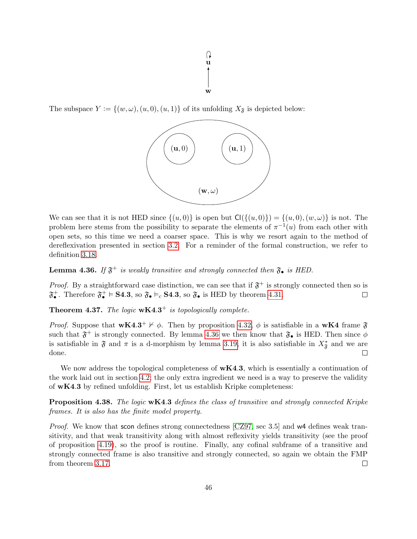

The subspace  $Y := \{(w, \omega), (u, 0), (u, 1)\}\$ of its unfolding  $X_{\mathfrak{F}}$  is depicted below:



We can see that it is not HED since  $\{(u,0)\}\$ is open but  $\text{Cl}(\{(u,0)\}) = \{(u,0),(w,\omega)\}\$ is not. The problem here stems from the possibility to separate the elements of  $\pi^{-1}(u)$  from each other with open sets, so this time we need a coarser space. This is why we resort again to the method of dereflexivation presented in section [3.2.](#page-19-0) For a reminder of the formal construction, we refer to definition [3.18.](#page-23-3)

<span id="page-47-0"></span>**Lemma 4.36.** If  $\mathfrak{F}^+$  is weakly transitive and strongly connected then  $\mathfrak{F}_\bullet$  is HED.

*Proof.* By a straightforward case distinction, we can see that if  $\mathfrak{F}^+$  is strongly connected then so is  $\mathfrak{F}_{\bullet}^+$ . Therefore  $\mathfrak{F}_{\bullet}^+ \models$  **S4.3**, so  $\mathfrak{F}_{\bullet} \models_c$  **S4.3**, so  $\mathfrak{F}_{\bullet}$  is HED by theorem [4.31.](#page-44-1)  $\Box$ 

**Theorem 4.37.** The logic  $wK4.3^+$  is topologically complete.

*Proof.* Suppose that  $wK4.3^+$   $\nvdash \phi$ . Then by proposition [4.32,](#page-44-2)  $\phi$  is satisfiable in a  $wK4$  frame  $\mathfrak{F}$ such that  $\mathfrak{F}^+$  is strongly connected. By lemma [4.36](#page-47-0) we then know that  $\mathfrak{F}_\bullet$  is HED. Then since  $\phi$ is satisfiable in  $\mathfrak F$  and  $\pi$  is a d-morphism by lemma [3.19,](#page-23-2) it is also satisfiable in  $X^*_{\mathfrak F}$  and we are done. ⊔

We now address the topological completeness of  $wK4.3$ , which is essentially a continuation of the work laid out in section [4.2;](#page-39-0) the only extra ingredient we need is a way to preserve the validity of  $wK4.3$  by refined unfolding. First, let us establish Kripke completeness:

<span id="page-47-1"></span>**Proposition 4.38.** The logic **wK4.3** defines the class of transitive and strongly connected Kripke frames. It is also has the finite model property.

Proof. We know that scon defines strong connectedness [\[CZ97,](#page-69-5) sec 3.5] and w4 defines weak transitivity, and that weak transitivity along with almost reflexivity yields transitivity (see the proof of proposition [4.19\)](#page-40-1), so the proof is routine. Finally, any cofinal subframe of a transitive and strongly connected frame is also transitive and strongly connected, so again we obtain the FMP from theorem [3.17.](#page-22-0)  $\Box$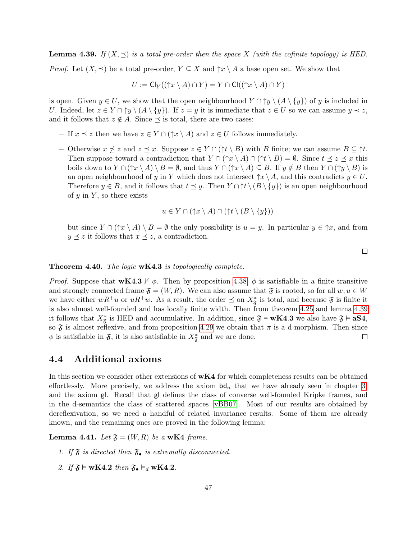<span id="page-48-1"></span>**Lemma 4.39.** If  $(X, \preceq)$  is a total pre-order then the space X (with the cofinite topology) is HED.

*Proof.* Let  $(X, \preceq)$  be a total pre-order,  $Y \subseteq X$  and  $\uparrow x \setminus A$  a base open set. We show that

$$
U := \mathsf{Cl}_Y((\uparrow x \setminus A) \cap Y) = Y \cap \mathsf{Cl}((\uparrow x \setminus A) \cap Y)
$$

is open. Given  $y \in U$ , we show that the open neighbourhood  $Y \cap \uparrow y \setminus (A \setminus \{y\})$  of y is included in U. Indeed, let  $z \in Y \cap \gamma y \setminus (A \setminus \{y\})$ . If  $z = y$  it is immediate that  $z \in U$  so we can assume  $y \prec z$ , and it follows that  $z \notin A$ . Since  $\preceq$  is total, there are two cases:

- If  $x \leq z$  then we have  $z \in Y \cap (\uparrow x \setminus A)$  and  $z \in U$  follows immediately.
- Otherwise  $x \nleq z$  and  $z \leq x$ . Suppose  $z \in Y \cap (\uparrow t \setminus B)$  with B finite; we can assume  $B \subseteq \uparrow t$ . Then suppose toward a contradiction that  $Y \cap (\uparrow x \setminus A) \cap (\uparrow t \setminus B) = \emptyset$ . Since  $t \preceq z \preceq x$  this boils down to  $Y \cap (\uparrow x \setminus A) \setminus B = \emptyset$ , and thus  $Y \cap (\uparrow x \setminus A) \subseteq B$ . If  $y \notin B$  then  $Y \cap (\uparrow y \setminus B)$  is an open neighbourhood of y in Y which does not intersect  $\uparrow x \setminus A$ , and this contradicts  $y \in U$ . Therefore  $y \in B$ , and it follows that  $t \preceq y$ . Then  $Y \cap \uparrow t \setminus (B \setminus \{y\})$  is an open neighbourhood of  $y$  in Y, so there exists

$$
u \in Y \cap (\uparrow x \setminus A) \cap (\uparrow t \setminus (B \setminus \{y\}))
$$

but since  $Y \cap (\uparrow x \setminus A) \setminus B = \emptyset$  the only possibility is  $u = y$ . In particular  $y \in \uparrow x$ , and from  $y \preceq z$  it follows that  $x \preceq z$ , a contradiction.

#### **Theorem 4.40.** The logic  $wK4.3$  is topologically complete.

*Proof.* Suppose that  $wK4.3 \nvdash \phi$ . Then by proposition [4.38,](#page-47-1)  $\phi$  is satisfiable in a finite transitive and strongly connected frame  $\mathfrak{F} = (W, R)$ . We can also assume that  $\mathfrak{F}$  is rooted, so for all  $w, u \in W$ we have either  $wR^+u$  or  $uR^+w$ . As a result, the order  $\preceq$  on  $X^*_{\mathfrak{F}}$  is total, and because  $\mathfrak{F}$  is finite it is also almost well-founded and has locally finite width. Then from theorem [4.25](#page-42-2) and lemma [4.39](#page-48-1) it follows that  $X^*_{\mathfrak{F}}$  is HED and accumulative. In addition, since  $\mathfrak{F} \models wK4.3$  we also have  $\mathfrak{F} \models aS4$ , so  $\mathfrak F$  is almost reflexive, and from proposition [4.29](#page-43-0) we obtain that  $\pi$  is a d-morphism. Then since  $\phi$  is satisfiable in  $\mathfrak{F}$ , it is also satisfiable in  $X^*_{\mathfrak{F}}$  and we are done.  $\Box$ 

#### <span id="page-48-0"></span>4.4 Additional axioms

In this section we consider other extensions of  $wK4$  for which completeness results can be obtained effortlessly. More precisely, we address the axiom  $\mathbf{b}\mathbf{d}_n$  that we have already seen in chapter [3,](#page-17-0) and the axiom gl. Recall that gl defines the class of converse well-founded Kripke frames, and in the d-semantics the class of scattered spaces [\[vBB07\]](#page-70-3). Most of our results are obtained by dereflexivation, so we need a handful of related invariance results. Some of them are already known, and the remaining ones are proved in the following lemma:

<span id="page-48-2"></span>**Lemma 4.41.** Let  $\mathfrak{F} = (W, R)$  be a w**K4** frame.

- 1. If  $\mathfrak F$  is directed then  $\mathfrak F_{\bullet}$  is extremally disconnected.
- 2. If  $\mathfrak{F} \models \mathbf{wK4.2}$  then  $\mathfrak{F}_{\bullet} \vDash_d \mathbf{wK4.2}$ .

 $\Box$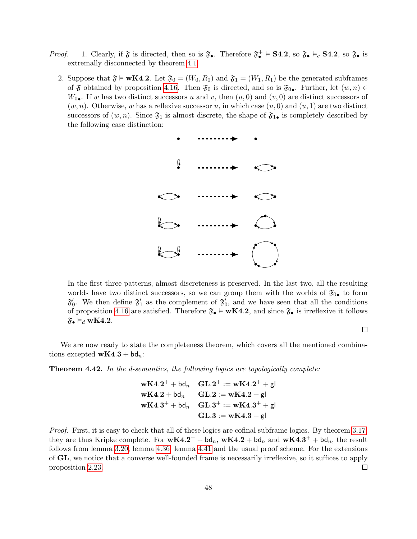- *Proof.* 1. Clearly, if  $\mathfrak{F}$  is directed, then so is  $\mathfrak{F}_{\bullet}$ . Therefore  $\mathfrak{F}_{\bullet}^{+} \models$  **S4.2**, so  $\mathfrak{F}_{\bullet} \models_{c}$  **S4.2**, so  $\mathfrak{F}_{\bullet}$  is extremally disconnected by theorem [4.1.](#page-32-0)
	- 2. Suppose that  $\mathfrak{F} \models wK4.2$ . Let  $\mathfrak{F}_0 = (W_0, R_0)$  and  $\mathfrak{F}_1 = (W_1, R_1)$  be the generated subframes of  $\mathfrak F$  obtained by proposition [4.16.](#page-37-1) Then  $\mathfrak F_0$  is directed, and so is  $\mathfrak F_0$ . Further, let  $(w, n) \in$  $W_0$ . If w has two distinct successors u and v, then  $(u, 0)$  and  $(v, 0)$  are distinct successors of  $(w, n)$ . Otherwise, w has a reflexive successor u, in which case  $(u, 0)$  and  $(u, 1)$  are two distinct successors of  $(w, n)$ . Since  $\mathfrak{F}_1$  is almost discrete, the shape of  $\mathfrak{F}_{1\bullet}$  is completely described by the following case distinction:



In the first three patterns, almost discreteness is preserved. In the last two, all the resulting worlds have two distinct successors, so we can group them with the worlds of  $\mathfrak{F}_{0\bullet}$  to form  $\mathfrak{F}'_0$ . We then define  $\mathfrak{F}'_1$  as the complement of  $\mathfrak{F}'_0$ , and we have seen that all the conditions of proposition [4.16](#page-37-1) are satisfied. Therefore  $\mathfrak{F}_{\bullet} \models \mathbf{wK4.2}$ , and since  $\mathfrak{F}_{\bullet}$  is irreflexive it follows  $\mathfrak{F}_{\bullet}\vDash_d$  wK4.2.

 $\Box$ 

We are now ready to state the completeness theorem, which covers all the mentioned combinations excepted  $wK4.3 + bd_n$ :

**Theorem 4.42.** In the d-semantics, the following logics are topologically complete:

 $\bold{wK4.2^+} + \bold{\b}d_n$   $\bold{GL.2^+} := \bold{wK4.2^+} + \bold{gl}$  $wK4.2 + bd_n$   $GL.2 := wK4.2 + gl$  $\bold{wK4.3^+} + \bold{\b}d_n$   $\bold{GL.3^+} := \bold{wK4.3^+} + \bold{gl}$  $GL.3 := wK4.3 + e$ 

Proof. First, it is easy to check that all of these logics are cofinal subframe logics. By theorem [3.17,](#page-22-0) they are thus Kripke complete. For  $wK4.2^+ + bd_n$ ,  $wK4.2 + bd_n$  and  $wK4.3^+ + bd_n$ , the result follows from lemma [3.20,](#page-23-1) lemma [4.36,](#page-47-0) lemma [4.41](#page-48-2) and the usual proof scheme. For the extensions of GL, we notice that a converse well-founded frame is necessarily irreflexive, so it suffices to apply proposition [2.23.](#page-13-0)  $\Box$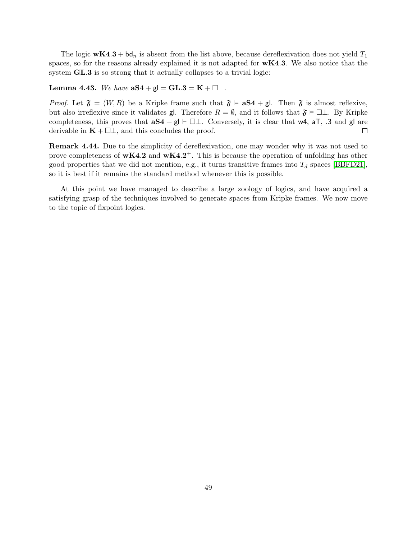The logic  $wK4.3 + bd_n$  is absent from the list above, because dereflexivation does not yield  $T_1$ spaces, so for the reasons already explained it is not adapted for  $wK4.3$ . We also notice that the system **GL.3** is so strong that it actually collapses to a trivial logic:

#### Lemma 4.43. We have  $aS4 + gI = GL.3 = K + \square \bot$ .

*Proof.* Let  $\mathfrak{F} = (W, R)$  be a Kripke frame such that  $\mathfrak{F} \models \mathbf{a}S4 + \mathbf{g}I$ . Then  $\mathfrak{F}$  is almost reflexive, but also irreflexive since it validates gl. Therefore  $R = \emptyset$ , and it follows that  $\mathfrak{F} \models \Box \bot$ . By Kripke completeness, this proves that  $aS4 + gl \vdash \Box \bot$ . Conversely, it is clear that w4, aT, .3 and gl are derivable in  $\mathbf{K} + \square \bot$ , and this concludes the proof.  $\Box$ 

Remark 4.44. Due to the simplicity of dereflexivation, one may wonder why it was not used to prove completeness of  $wK4.2$  and  $wK4.2^+$ . This is because the operation of unfolding has other good properties that we did not mention, e.g., it turns transitive frames into  $T_d$  spaces [\[BBFD21\]](#page-69-3), so it is best if it remains the standard method whenever this is possible.

At this point we have managed to describe a large zoology of logics, and have acquired a satisfying grasp of the techniques involved to generate spaces from Kripke frames. We now move to the topic of fixpoint logics.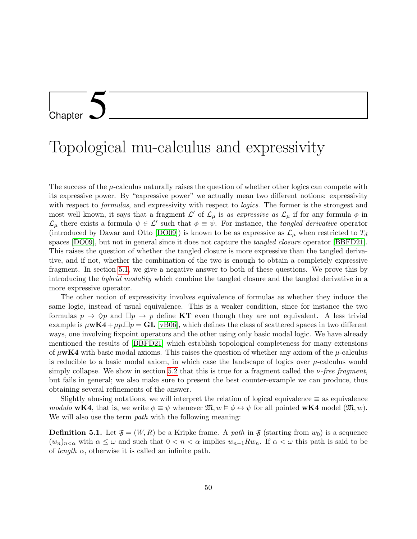# <span id="page-51-0"></span>Chapter 5

### Topological mu-calculus and expressivity

The success of the  $\mu$ -calculus naturally raises the question of whether other logics can compete with its expressive power. By "expressive power" we actually mean two different notions: expressivity with respect to *formulas*, and expressivity with respect to *logics*. The former is the strongest and most well known, it says that a fragment  $\mathcal{L}'$  of  $\mathcal{L}_{\mu}$  is as expressive as  $\mathcal{L}_{\mu}$  if for any formula  $\phi$  in  $\mathcal{L}_{\mu}$  there exists a formula  $\psi \in \mathcal{L}'$  such that  $\phi \equiv \psi$ . For instance, the *tangled derivative* operator (introduced by Dawar and Otto [\[DO09\]](#page-70-10)) is known to be as expressive as  $\mathcal{L}_{\mu}$  when restricted to  $T_d$ spaces [\[DO09\]](#page-70-10), but not in general since it does not capture the *tangled closure* operator [\[BBFD21\]](#page-69-3). This raises the question of whether the tangled closure is more expressive than the tangled derivative, and if not, whether the combination of the two is enough to obtain a completely expressive fragment. In section [5.1,](#page-51-1) we give a negative answer to both of these questions. We prove this by introducing the hybrid modality which combine the tangled closure and the tangled derivative in a more expressive operator.

The other notion of expressivity involves equivalence of formulas as whether they induce the same logic, instead of usual equivalence. This is a weaker condition, since for instance the two formulas  $p \to \Diamond p$  and  $\Box p \to p$  define **KT** even though they are not equivalent. A less trivial example is  $\mu$ **wK4** +  $\mu$ *p*.  $\Box$ *p* = **GL** [\[vB06\]](#page-69-11), which defines the class of scattered spaces in two different ways, one involving fixpoint operators and the other using only basic modal logic. We have already mentioned the results of [\[BBFD21\]](#page-69-3) which establish topological completeness for many extensions of  $\mu$ wK4 with basic modal axioms. This raises the question of whether any axiom of the  $\mu$ -calculus is reducible to a basic modal axiom, in which case the landscape of logics over  $\mu$ -calculus would simply collapse. We show in section [5.2](#page-56-0) that this is true for a fragment called the  $\nu$ -free fragment, but fails in general; we also make sure to present the best counter-example we can produce, thus obtaining several refinements of the answer.

Slightly abusing notations, we will interpret the relation of logical equivalence  $\equiv$  as equivalence modulo **wK4**, that is, we write  $\phi \equiv \psi$  whenever  $\mathfrak{M}, w \models \phi \leftrightarrow \psi$  for all pointed **wK4** model  $(\mathfrak{M}, w)$ . We will also use the term *path* with the following meaning:

<span id="page-51-1"></span>**Definition 5.1.** Let  $\mathfrak{F} = (W, R)$  be a Kripke frame. A path in  $\mathfrak{F}$  (starting from  $w_0$ ) is a sequence  $(w_n)_{n \leq \alpha}$  with  $\alpha \leq \omega$  and such that  $0 < n < \alpha$  implies  $w_{n-1}Rw_n$ . If  $\alpha < \omega$  this path is said to be of *length*  $\alpha$ , otherwise it is called an infinite path.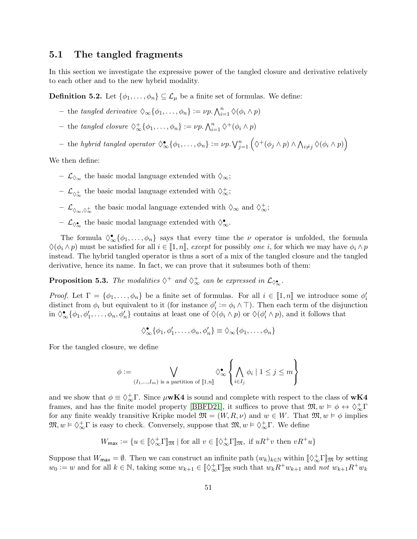#### 5.1 The tangled fragments

In this section we investigate the expressive power of the tangled closure and derivative relatively to each other and to the new hybrid modality.

**Definition 5.2.** Let  $\{\phi_1, \ldots, \phi_n\} \subseteq \mathcal{L}_{\mu}$  be a finite set of formulas. We define:

- the tangled derivative  $\Diamond_{\infty}\{\phi_1,\ldots,\phi_n\} := \nu p \cdot \bigwedge_{i=1}^n \Diamond(\phi_i \land p)$
- the tangled closure  $\Diamond_{\infty}^{\dagger} {\{\phi_1, \ldots, \phi_n\}} := \nu p \cdot \bigwedge_{i=1}^n \Diamond^+(\phi_i \land p)$
- $-$  the hybrid tangled operator  $\Diamond_{\infty}^{\bullet} \{\phi_1, \ldots, \phi_n\} := \nu p. \bigvee_{j=1}^n (\Diamond^+(\phi_j \land p) \land \bigwedge_{i \neq j} \Diamond(\phi_i \land p)\big)$

We then define:

- $\mathcal{L}_{\lozenge_{\infty}}$  the basic modal language extended with  $\lozenge_{\infty}$ ;
- $\mathcal{L}_{\Diamond^+_\infty}$  the basic modal language extended with  $\Diamond^+_\infty;$
- −  $\mathcal{L}_{\Diamond_{\infty},\Diamond^{+}_{\infty}}$  the basic modal language extended with  $\Diamond_{\infty}$  and  $\Diamond^{+}_{\infty}$ ;
- −  $\mathcal{L}_{\lozenge_{\infty}^{\bullet}}$  the basic modal language extended with  $\lozenge_{\infty}^{\bullet}$ .

The formula  $\Diamond_{\infty}^{\bullet} {\{\phi_1,\ldots,\phi_n\}}$  says that every time the  $\nu$  operator is unfolded, the formula  $\Diamond(\phi_i \land p)$  must be satisfied for all  $i \in [1, n]$ , except for possibly one i, for which we may have  $\phi_i \land p$ instead. The hybrid tangled operator is thus a sort of a mix of the tangled closure and the tangled derivative, hence its name. In fact, we can prove that it subsumes both of them:

<span id="page-52-0"></span>**Proposition 5.3.** The modalities  $\diamondsuit^+$  and  $\diamondsuit^+_{\infty}$  can be expressed in  $\mathcal{L}_{\diamondsuit_{\infty}}$ .

*Proof.* Let  $\Gamma = \{\phi_1, \ldots, \phi_n\}$  be a finite set of formulas. For all  $i \in [1, n]$  we introduce some  $\phi'_i$ distinct from  $\phi_i$  but equivalent to it (for instance  $\phi'_i := \phi_i \wedge \top$ ). Then each term of the disjunction in  $\Diamond_{\infty}^{\bullet} \{\phi_1, \phi_1', \dots, \phi_n, \phi_n'\}$  contains at least one of  $\Diamond(\phi_i \land p)$  or  $\Diamond(\phi_i' \land p)$ , and it follows that

$$
\Diamond_{\infty}^{\bullet}\{\phi_1,\phi_1',\ldots,\phi_n,\phi_n'\}\equiv \Diamond_{\infty}\{\phi_1,\ldots,\phi_n\}
$$

For the tangled closure, we define

$$
\phi := \bigvee_{(I_1,\ldots,I_m) \text{ is a partition of } [\![1,n]\!]} \Diamond^{\bullet}_{\infty} \left\{ \bigwedge_{i \in I_j} \phi_i \mid 1 \leq j \leq m \right\}
$$

and we show that  $\phi \equiv \Diamond_{\infty}^{+}\Gamma$ . Since  $\mu$ **wK4** is sound and complete with respect to the class of **wK4** frames, and has the finite model property [\[BBFD21\]](#page-69-3), it suffices to prove that  $\mathfrak{M}, w \models \phi \leftrightarrow \Diamond_{\infty}^{\dagger} \Gamma$ for any finite weakly transitive Kripke model  $\mathfrak{M} = (W, R, \nu)$  and  $w \in W$ . That  $\mathfrak{M}, w \models \phi$  implies  $\mathfrak{M}, w \models \Diamond_{\infty}^{\dagger} \Gamma$  is easy to check. Conversely, suppose that  $\mathfrak{M}, w \models \Diamond_{\infty}^{\dagger} \Gamma$ . We define

$$
W_{\max} := \{ u \in [\![ \Diamond_\infty^+ \Gamma ]\!]_{\mathfrak{M}} \mid \text{for all } v \in [\![ \Diamond_\infty^+ \Gamma ]\!]_{\mathfrak{M}}, \text{ if } uR^+v \text{ then } vR^+u \}
$$

Suppose that  $W_{\text{max}} = \emptyset$ . Then we can construct an infinite path  $(w_k)_{k \in \mathbb{N}}$  within  $[\![\Diamond^+_{\infty}]\!]_{\mathfrak{M}}$  by setting  $w_0 := w$  and for all  $k \in \mathbb{N}$ , taking some  $w_{k+1} \in [\![ \Diamond_\infty^+ \Gamma ]\!]_{\mathfrak{M}}$  such that  $w_k R^+ w_{k+1}$  and not  $w_{k+1} R^+ w_k$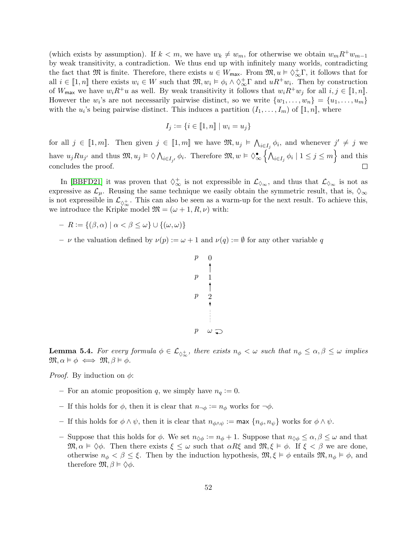(which exists by assumption). If  $k < m$ , we have  $w_k \neq w_m$ , for otherwise we obtain  $w_m R^+ w_{m-1}$ by weak transitivity, a contradiction. We thus end up with infinitely many worlds, contradicting the fact that  $\mathfrak{M}$  is finite. Therefore, there exists  $u \in W_{\mathsf{max}}$ . From  $\mathfrak{M}, u \models \Diamond_{\infty}^{\perp} \Gamma$ , it follows that for all  $i \in [1, n]$  there exists  $w_i \in W$  such that  $\mathfrak{M}, w_i \models \phi_i \land \Diamond_{\infty}^{\dagger} \Gamma$  and  $uR^+w_i$ . Then by construction of  $W_{\text{max}}$  we have  $w_i R^+u$  as well. By weak transitivity it follows that  $w_i R^+w_j$  for all  $i, j \in [1, n]$ . However the  $w_i$ 's are not necessarily pairwise distinct, so we write  $\{w_1, \ldots, w_n\} = \{u_1, \ldots, u_m\}$ with the  $u_i$ 's being pairwise distinct. This induces a partition  $(I_1, \ldots, I_m)$  of  $[\![1, n]\!]$ , where

$$
I_j := \{ i \in [\![1,n]\!] \mid w_i = u_j \}
$$

for all  $j \in [1, m]$ . Then given  $j \in [1, m]$  we have  $\mathfrak{M}, u_j \models \bigwedge_{i \in I_j} \phi_i$ , and whenever  $j' \neq j$  we have  $u_j R u_{j'}$  and thus  $\mathfrak{M}, u_j \models \Diamond \bigwedge_{i \in I_{j'}} \phi_i$ . Therefore  $\mathfrak{M}, w \models \Diamond_{\infty}^{\bullet} \left\{ \bigwedge_{i \in I_j} \phi_i \mid 1 \leq j \leq m \right\}$  and this concludes the proof.

In [\[BBFD21\]](#page-69-3) it was proven that  $\diamondsuit^+_{\infty}$  is not expressible in  $\mathcal{L}_{\diamondsuit_{\infty}}$ , and thus that  $\mathcal{L}_{\diamondsuit_{\infty}}$  is not as expressive as  $\mathcal{L}_{\mu}$ . Reusing the same technique we easily obtain the symmetric result, that is,  $\Diamond_{\infty}$ is not expressible in  $\mathcal{L}_{\lozenge_{\infty}^+}$ . This can also be seen as a warm-up for the next result. To achieve this, we introduce the Kripke model  $\mathfrak{M} = (\omega + 1, R, \nu)$  with:

- $-R := \{(\beta, \alpha) \mid \alpha < \beta \leq \omega\} \cup \{(\omega, \omega)\}\$
- *ν* the valuation defined by  $\nu(p) := \omega + 1$  and  $\nu(q) := \emptyset$  for any other variable q

$$
\begin{array}{ccc}\np & 0 \\
p & 1 \\
p & 2 \\
\hline\np & \omega\n\end{array}
$$

<span id="page-53-0"></span>**Lemma 5.4.** For every formula  $\phi \in \mathcal{L}_{\Diamond_{\infty}^+}$ , there exists  $n_{\phi} < \omega$  such that  $n_{\phi} \leq \alpha, \beta \leq \omega$  implies  $\mathfrak{M}, \alpha \models \phi \iff \mathfrak{M}, \beta \models \phi.$ 

*Proof.* By induction on  $\phi$ :

- For an atomic proposition q, we simply have  $n_q := 0$ .
- If this holds for  $\phi$ , then it is clear that  $n_{\neg \phi} := n_{\phi}$  works for  $\neg \phi$ .
- If this holds for  $\phi \wedge \psi$ , then it is clear that  $n_{\phi \wedge \psi} := \max \{n_{\phi}, n_{\psi}\}\$  works for  $\phi \wedge \psi$ .
- Suppose that this holds for  $\phi$ . We set  $n_{\Diamond \phi} := n_{\phi} + 1$ . Suppose that  $n_{\Diamond \phi} \leq \alpha, \beta \leq \omega$  and that  $\mathfrak{M}, \alpha \models \Diamond \phi$ . Then there exists  $\xi \leq \omega$  such that  $\alpha R\xi$  and  $\mathfrak{M}, \xi \models \phi$ . If  $\xi < \beta$  we are done, otherwise  $n_{\phi} < \beta \leq \xi$ . Then by the induction hypothesis,  $\mathfrak{M}, \xi \models \phi$  entails  $\mathfrak{M}, n_{\phi} \models \phi$ , and therefore  $\mathfrak{M}, \beta \vDash \Diamond \phi$ .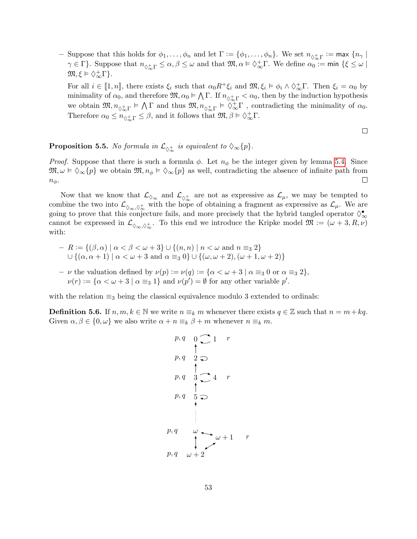- Suppose that this holds for  $\phi_1,\ldots,\phi_n$  and let  $\Gamma:=\{\phi_1,\ldots,\phi_n\}$ . We set  $n_{\phi^+_{\infty}\Gamma}:=\max\{n_{\gamma}\mid$  $\gamma \in \Gamma$ }. Suppose that  $n_{\Diamond^{\pm}_{\infty} \Gamma} \leq \alpha, \beta \leq \omega$  and that  $\mathfrak{M}, \alpha \models \Diamond^{\pm}_{\infty} \Gamma$ . We define  $\alpha_0 = \min \{\xi \leq \omega \mid \xi \leq \omega \}$  $\mathfrak{M}, \xi \vDash \Diamond_{\infty}^{+}\Gamma$ .

For all  $i \in [1, n]$ , there exists  $\xi_i$  such that  $\alpha_0 R^+ \xi_i$  and  $\mathfrak{M}, \xi_i \models \phi_i \wedge \Diamond_{\infty}^+ \Gamma$ . Then  $\xi_i = \alpha_0$  by minimality of  $\alpha_0$ , and therefore  $\mathfrak{M}, \alpha_0 \models \bigwedge \Gamma$ . If  $n_{\Diamond^+_{\infty} \Gamma} < \alpha_0$ , then by the induction hypothesis we obtain  $\mathfrak{M}, n_{\Diamond_{\infty}^{\pm} \Gamma} \models \bigwedge \Gamma$  and thus  $\mathfrak{M}, n_{\Diamond_{\infty}^{\pm} \Gamma} \models \Diamond_{\infty}^{\pm} \Gamma$ , contradicting the minimality of  $\alpha_0$ . Therefore  $\alpha_0 \leq n_{\diamondsuit_{\infty}^+} \leq \beta$ , and it follows that  $\mathfrak{M}, \beta \models \diamondsuit_{\infty}^+ \Gamma$ .

 $\Box$ 

#### <span id="page-54-0"></span>**Proposition 5.5.** No formula in  $\mathcal{L}_{\lozenge_{\infty}^{+}}$  is equivalent to  $\lozenge_{\infty} \{p\}.$

*Proof.* Suppose that there is such a formula  $\phi$ . Let  $n_{\phi}$  be the integer given by lemma [5.4.](#page-53-0) Since  $\mathfrak{M}, \omega \models \Diamond_{\infty}{p}$  we obtain  $\mathfrak{M}, n_{\phi} \models \Diamond_{\infty}{p}$  as well, contradicting the absence of infinite path from  $\Box$  $n_{\phi}$ .

Now that we know that  $\mathcal{L}_{\Diamond_{\infty}}$  and  $\mathcal{L}_{\Diamond_{\infty}^+}$  are not as expressive as  $\mathcal{L}_{\mu}$ , we may be tempted to combine the two into  $\mathcal{L}_{\Diamond_{\infty},\Diamond_{\infty}^+}$  with the hope of obtaining a fragment as expressive as  $\mathcal{L}_{\mu}$ . We are going to prove that this conjecture fails, and more precisely that the hybrid tangled operator  $\Diamond_{\infty}^{\bullet}$ cannot be expressed in  $\mathcal{L}_{\Diamond_{\infty},\Diamond_{\infty}^+}$ . To this end we introduce the Kripke model  $\mathfrak{M} := (\omega + 3, R, \nu)$ with:

$$
- R := \{ (\beta, \alpha) \mid \alpha < \beta < \omega + 3 \} \cup \{ (n, n) \mid n < \omega \text{ and } n \equiv_3 2 \}
$$
\n
$$
\cup \{ (\alpha, \alpha + 1) \mid \alpha < \omega + 3 \text{ and } \alpha \equiv_3 0 \} \cup \{ (\omega, \omega + 2), (\omega + 1, \omega + 2) \}
$$

– *ν* the valuation defined by  $\nu(p) := \nu(q) := {\alpha < \omega + 3 \mid \alpha \equiv_3 0 \text{ or } \alpha \equiv_3 2},$  $\nu(r) := {\alpha < \omega + 3 \mid \alpha \equiv_3 1}$  and  $\nu(p') = \emptyset$  for any other variable  $p'.$ 

with the relation  $\equiv_3$  being the classical equivalence modulo 3 extended to ordinals:

**Definition 5.6.** If  $n, m, k \in \mathbb{N}$  we write  $n \equiv_k m$  whenever there exists  $q \in \mathbb{Z}$  such that  $n = m + kq$ . Given  $\alpha, \beta \in \{0, \omega\}$  we also write  $\alpha + n \equiv_k \beta + m$  whenever  $n \equiv_k m$ .

$$
p, q \quad 0 \quad 1 \quad r
$$
\n
$$
p, q \quad 2 \quad \bigcirc
$$
\n
$$
p, q \quad 3 \quad \bigcirc
$$
\n
$$
q \quad 4 \quad r
$$
\n
$$
p, q \quad 5 \quad \bigcirc
$$
\n
$$
p, q \quad \omega \quad \bigcirc
$$
\n
$$
p, q \quad \omega \quad \bigcirc
$$
\n
$$
p, q \quad \omega + 2
$$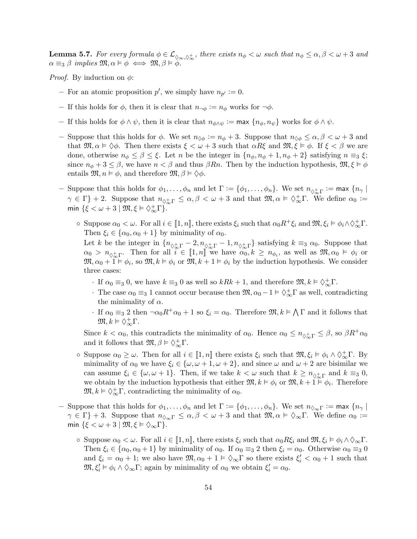<span id="page-55-0"></span>**Lemma 5.7.** For every formula  $\phi \in \mathcal{L}_{\Diamond_{\infty},\Diamond_{\infty}^+}$ , there exists  $n_\phi < \omega$  such that  $n_\phi \leq \alpha, \beta < \omega + 3$  and  $\alpha \equiv_3 \beta$  implies  $\mathfrak{M}, \alpha \models \phi \iff \mathfrak{M}, \beta \models \phi$ .

*Proof.* By induction on  $\phi$ :

- For an atomic proposition  $p'$ , we simply have  $n_{p'} := 0$ .
- If this holds for  $\phi$ , then it is clear that  $n_{\neg \phi} := n_{\phi}$  works for  $\neg \phi$ .
- If this holds for  $\phi \wedge \psi$ , then it is clear that  $n_{\phi \wedge \psi} := \max \{n_{\phi}, n_{\psi}\}\$  works for  $\phi \wedge \psi$ .
- Suppose that this holds for  $\phi$ . We set  $n_{\Diamond \phi} := n_{\phi} + 3$ . Suppose that  $n_{\Diamond \phi} \leq \alpha, \beta < \omega + 3$  and that  $\mathfrak{M}, \alpha \models \Diamond \phi$ . Then there exists  $\xi < \omega + 3$  such that  $\alpha R\xi$  and  $\mathfrak{M}, \xi \models \phi$ . If  $\xi < \beta$  we are done, otherwise  $n_{\phi} \leq \beta \leq \xi$ . Let n be the integer in  $\{n_{\phi}, n_{\phi} + 1, n_{\phi} + 2\}$  satisfying  $n \equiv_3 \xi$ ; since  $n_{\phi} + 3 \leq \beta$ , we have  $n < \beta$  and thus  $\beta Rn$ . Then by the induction hypothesis,  $\mathfrak{M}, \xi \models \phi$ entails  $\mathfrak{M}, n \models \phi$ , and therefore  $\mathfrak{M}, \beta \models \Diamond \phi$ .
- Suppose that this holds for  $\phi_1,\ldots,\phi_n$  and let  $\Gamma:=\{\phi_1,\ldots,\phi_n\}$ . We set  $n_{\phi^+_{\infty}\Gamma}:=\max\{n_{\gamma}\mid$  $\gamma \in \Gamma$  + 2. Suppose that  $n_{\lozenge_{\infty}^+} \leq \alpha, \beta < \omega + 3$  and that  $\mathfrak{M}, \alpha \models \lozenge_{\infty}^+ \Gamma$ . We define  $\alpha_0 :=$ min  $\{\xi < \omega + 3 \mid \mathfrak{M}, \xi \vDash \Diamond_{\infty}^+ \Gamma\}.$ 
	- $\circ$  Suppose  $\alpha_0 < \omega$ . For all  $i \in [1, n]$ , there exists  $\xi_i$  such that  $\alpha_0 R^+ \xi_i$  and  $\mathfrak{M}, \xi_i \vDash \phi_i \wedge \Diamond_{\infty}^+ \Gamma$ . Then  $\xi_i \in {\alpha_0, \alpha_0 + 1}$  by minimality of  $\alpha_0$ .

Let k be the integer in  $\{n_{\Diamond^+_{\infty} \Gamma} - 2, n_{\Diamond^+_{\infty} \Gamma} - 1, n_{\Diamond^+_{\infty} \Gamma}\}\$  satisfying  $k \equiv_3 \alpha_0$ . Suppose that  $\alpha_0 > n_{\Diamond^+_{\infty} \Gamma}$ . Then for all  $\widetilde{i} \in [1,n]$  we have  $\alpha_0, k \geq n_{\phi_i}$ , as well as  $\mathfrak{M}, \alpha_0 \models \phi_i$  or  $\mathfrak{M}, \alpha_0 + 1 \models \phi_i$ , so  $\mathfrak{M}, k \models \phi_i$  or  $\mathfrak{M}, k + 1 \models \phi_i$  by the induction hypothesis. We consider three cases:

- If  $\alpha_0 \equiv_3 0$ , we have  $k \equiv_3 0$  as well so  $kRk + 1$ , and therefore  $\mathfrak{M}, k \models \Diamond_{\infty}^{\perp} \Gamma$ .
- The case  $\alpha_0 \equiv_3 1$  cannot occur because then  $\mathfrak{M}, \alpha_0 1 \vDash \Diamond_{\infty}^{\perp} \Gamma$  as well, contradicting the minimality of  $\alpha$ .
- If  $\alpha_0 \equiv_3 2$  then  $\neg \alpha_0 R^+ \alpha_0 + 1$  so  $\xi_i = \alpha_0$ . Therefore  $\mathfrak{M}, k \vDash \bigwedge \Gamma$  and it follows that  $\mathfrak{M}, k \vDash \Diamond_{\infty}^+\Gamma.$

Since  $k < \alpha_0$ , this contradicts the minimality of  $\alpha_0$ . Hence  $\alpha_0 \leq n_{\lozenge_{\infty} \Gamma} \leq \beta$ , so  $\beta R^+ \alpha_0$ and it follows that  $\mathfrak{M}, \beta \models \Diamond_{\infty}^+ \Gamma$ .

- $\circ$  Suppose  $\alpha_0 \geq \omega$ . Then for all  $i \in [1, n]$  there exists  $\xi_i$  such that  $\mathfrak{M}, \xi_i \vDash \phi_i \wedge \Diamond_{\infty}^{\perp} \Gamma$ . By minimality of  $\alpha_0$  we have  $\xi_i \in {\{\omega, \omega + 1, \omega + 2\}}$ , and since  $\omega$  and  $\omega + 2$  are bisimilar we can assume  $\xi_i \in \{\omega, \omega+1\}$ . Then, if we take  $k < \omega$  such that  $k \geq n_{\lozenge_{\infty}^{\pm}}$  and  $k \equiv_3 0$ , we obtain by the induction hypothesis that either  $\mathfrak{M}, k \models \phi_i$  or  $\mathfrak{M}, k + 1 \models \phi_i$ . Therefore  $\mathfrak{M}, k \models \Diamond_{\infty}^{\dagger} \Gamma$ , contradicting the minimality of  $\alpha_0$ .
- Suppose that this holds for  $\phi_1, \ldots, \phi_n$  and let  $\Gamma := \{\phi_1, \ldots, \phi_n\}$ . We set  $n_{\Diamond_{\infty} \Gamma} := \max \{n_{\Diamond} \mid$  $\gamma \in \Gamma$  + 3. Suppose that  $n_{\mathcal{O}_{\infty} \Gamma} \leq \alpha, \beta < \omega + 3$  and that  $\mathfrak{M}, \alpha \models \mathcal{O}_{\infty} \Gamma$ . We define  $\alpha_0 :=$ min  $\{\xi < \omega + 3 \mid \mathfrak{M}, \xi \models \Diamond_{\infty} \Gamma\}.$ 
	- $\circ$  Suppose  $\alpha_0 < \omega$ . For all  $i \in [1, n]$ , there exists  $\xi_i$  such that  $\alpha_0 R \xi_i$  and  $\mathfrak{M}, \xi_i \models \phi_i \land \Diamond_{\infty} \Gamma$ . Then  $\xi_i \in {\alpha_0, \alpha_0 + 1}$  by minimality of  $\alpha_0$ . If  $\alpha_0 \equiv_3 2$  then  $\xi_i = \alpha_0$ . Otherwise  $\alpha_0 \equiv_3 0$ and  $\xi_i = \alpha_0 + 1$ ; we also have  $\mathfrak{M}, \alpha_0 + 1 \vDash \Diamond_{\infty} \Gamma$  so there exists  $\xi'_i < \alpha_0 + 1$  such that  $\mathfrak{M}, \xi_i' \vDash \phi_i \land \Diamond_{\infty} \Gamma$ ; again by minimality of  $\alpha_0$  we obtain  $\xi_i' = \alpha_0$ .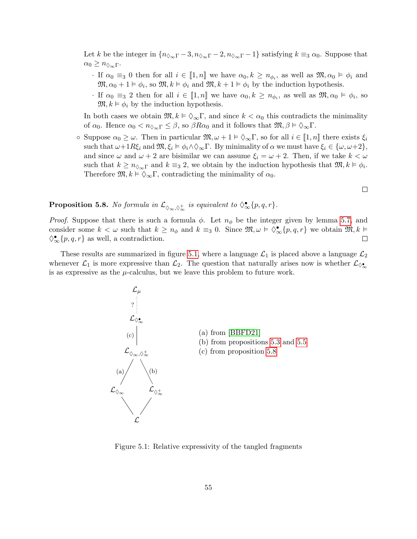Let k be the integer in  $\{n_{\Diamond_{\infty} \Gamma} - 3, n_{\Diamond_{\infty} \Gamma} - 2, n_{\Diamond_{\infty} \Gamma} - 1\}$  satisfying  $k \equiv_3 \alpha_0$ . Suppose that  $\alpha_0 \geq n_{\lozenge_{\infty} \Gamma}.$ 

- · If  $\alpha_0 \equiv_3 0$  then for all  $i \in [1, n]$  we have  $\alpha_0, k \geq n_{\phi_i}$ , as well as  $\mathfrak{M}, \alpha_0 \models \phi_i$  and  $\mathfrak{M}, \alpha_0 + 1 \vDash \phi_i$ , so  $\mathfrak{M}, k \vDash \phi_i$  and  $\mathfrak{M}, k + 1 \vDash \phi_i$  by the induction hypothesis.
- · If  $\alpha_0 \equiv_3 2$  then for all  $i \in [1, n]$  we have  $\alpha_0, k \geq n_{\phi_i}$ , as well as  $\mathfrak{M}, \alpha_0 \models \phi_i$ , so  $\mathfrak{M}, k \vDash \phi_i$  by the induction hypothesis.

In both cases we obtain  $\mathfrak{M}, k \models \Diamond_{\infty} \Gamma$ , and since  $k < \alpha_0$  this contradicts the minimality of  $\alpha_0$ . Hence  $\alpha_0 < n_{\infty} \leq \beta$ , so  $\beta R \alpha_0$  and it follows that  $\mathfrak{M}, \beta \models \Diamond_{\infty} \Gamma$ .

 $\circ$  Suppose  $\alpha_0 \geq \omega$ . Then in particular  $\mathfrak{M}, \omega + 1 \vDash \Diamond_{\infty} \Gamma$ , so for all  $i \in [1, n]$  there exists  $\xi_i$ such that  $\omega+1R\xi_i$  and  $\mathfrak{M}, \xi_i \models \phi_i \land \Diamond_{\infty} \Gamma$ . By minimality of  $\alpha$  we must have  $\xi_i \in {\{\omega, \omega+2\}}$ , and since  $\omega$  and  $\omega + 2$  are bisimilar we can assume  $\xi_i = \omega + 2$ . Then, if we take  $k < \omega$ such that  $k \geq n_{\lozenge \infty \Gamma}$  and  $k \equiv_3 2$ , we obtain by the induction hypothesis that  $\mathfrak{M}, k \models \phi_i$ . Therefore  $\mathfrak{M}, k \models \Diamond_{\infty} \Gamma$ , contradicting the minimality of  $\alpha_0$ .

 $\Box$ 

<span id="page-56-2"></span>**Proposition 5.8.** No formula in  $\mathcal{L}_{\Diamond \infty, \Diamond \infty}$  is equivalent to  $\Diamond^{\bullet}_{\infty} \{p, q, r\}$ .

*Proof.* Suppose that there is such a formula  $\phi$ . Let  $n_{\phi}$  be the integer given by lemma [5.7,](#page-55-0) and consider some  $k < \omega$  such that  $k \geq n_\phi$  and  $k \equiv_3 0$ . Since  $\mathfrak{M}, \omega \models \Diamond_{\infty}^{\bullet} \{p, q, r\}$  we obtain  $\mathfrak{M}, k \models$  $\Diamond_{\infty}^{\bullet} \{p, q, r\}$  as well, a contradiction.  $\Box$ 

These results are summarized in figure [5.1,](#page-56-1) where a language  $\mathcal{L}_1$  is placed above a language  $\mathcal{L}_2$ whenever  $\mathcal{L}_1$  is more expressive than  $\mathcal{L}_2$ . The question that naturally arises now is whether  $\mathcal{L}_{\Diamond \bullet}$ is as expressive as the  $\mu$ -calculus, but we leave this problem to future work.



<span id="page-56-1"></span><span id="page-56-0"></span>Figure 5.1: Relative expressivity of the tangled fragments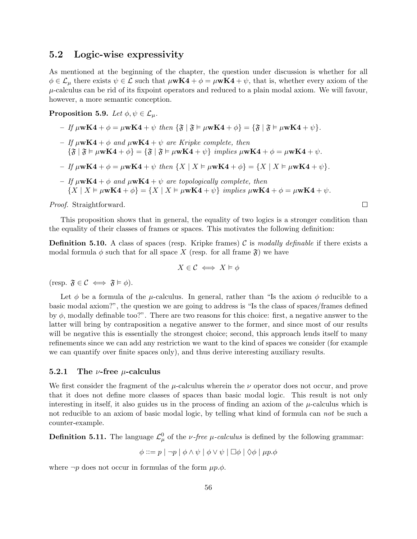#### 5.2 Logic-wise expressivity

As mentioned at the beginning of the chapter, the question under discussion is whether for all  $\phi \in \mathcal{L}_{\mu}$  there exists  $\psi \in \mathcal{L}$  such that  $\mu \mathbf{w} \mathbf{K} \mathbf{4} + \phi = \mu \mathbf{w} \mathbf{K} \mathbf{4} + \psi$ , that is, whether every axiom of the  $\mu$ -calculus can be rid of its fixpoint operators and reduced to a plain modal axiom. We will favour, however, a more semantic conception.

**Proposition 5.9.** Let  $\phi, \psi \in \mathcal{L}_{\mu}$ .

- If  $\mu$ wK4 +  $\phi = \mu$ wK4 +  $\psi$  then  $\{\mathfrak{F} \mid \mathfrak{F} \models \mu$ wK4 +  $\phi\} = \{\mathfrak{F} \mid \mathfrak{F} \models \mu$ wK4 +  $\psi\}$ .
- If  $\mu$ wK4 +  $\phi$  and  $\mu$ wK4 +  $\psi$  are Kripke complete, then  ${\mathcal{F}} \setminus {\mathcal{F}} = \mu \mathbf{w} \mathbf{K} + \phi = {\mathcal{F}} \setminus {\mathcal{F}} = \mu \mathbf{w} \mathbf{K} + \psi$  implies  $\mu \mathbf{w} \mathbf{K} + \phi = \mu \mathbf{w} \mathbf{K} + \psi$ .
- If  $\mu$ wK4 +  $\phi = \mu$ wK4 +  $\psi$  then  $\{X \mid X \models \mu$ wK4 +  $\phi\} = \{X \mid X \models \mu$ wK4 +  $\psi\}.$
- If  $\mu$ wK4 +  $\phi$  and  $\mu$ wK4 +  $\psi$  are topologically complete, then  ${X \mid X \models \mu wK4 + \phi} = {X \mid X \models \mu wK4 + \psi} \implies \mu wK4 + \phi = \mu wK4 + \psi.$

Proof. Straightforward.

This proposition shows that in general, the equality of two logics is a stronger condition than the equality of their classes of frames or spaces. This motivates the following definition:

 $\Box$ 

**Definition 5.10.** A class of spaces (resp. Kripke frames) C is modally definable if there exists a modal formula  $\phi$  such that for all space X (resp. for all frame  $\mathfrak{F}$ ) we have

$$
X \in \mathcal{C} \iff X \vDash \phi
$$

(resp.  $\mathfrak{F} \in \mathcal{C} \iff \mathfrak{F} \models \phi$ ).

Let  $\phi$  be a formula of the *µ*-calculus. In general, rather than "Is the axiom  $\phi$  reducible to a basic modal axiom?", the question we are going to address is "Is the class of spaces/frames defined by  $\phi$ , modally definable too?". There are two reasons for this choice: first, a negative answer to the latter will bring by contraposition a negative answer to the former, and since most of our results will be negative this is essentially the strongest choice; second, this approach lends itself to many refinements since we can add any restriction we want to the kind of spaces we consider (for example we can quantify over finite spaces only), and thus derive interesting auxiliary results.

#### <span id="page-57-0"></span>5.2.1 The  $\nu$ -free  $\mu$ -calculus

We first consider the fragment of the  $\mu$ -calculus wherein the  $\nu$  operator does not occur, and prove that it does not define more classes of spaces than basic modal logic. This result is not only interesting in itself, it also guides us in the process of finding an axiom of the  $\mu$ -calculus which is not reducible to an axiom of basic modal logic, by telling what kind of formula can not be such a counter-example.

**Definition 5.11.** The language  $\mathcal{L}_{\mu}^{0}$  of the *v*-free *µ*-calculus is defined by the following grammar:

$$
\phi ::= p | \neg p | \phi \land \psi | \phi \lor \psi | \Box \phi | \Diamond \phi | \mu p. \phi
$$

where  $\neg p$  does not occur in formulas of the form  $\mu p.\phi$ .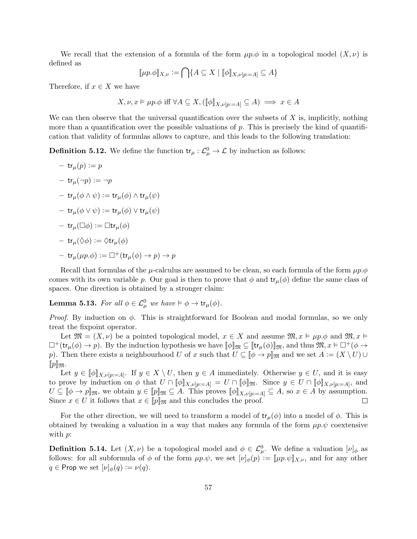We recall that the extension of a formula of the form  $\mu p.\phi$  in a topological model  $(X,\nu)$  is defined as

$$
[\![\mu p.\phi]\!]_{X,\nu} := \bigcap \{ A \subseteq X \mid [\![\phi]\!]_{X,\nu[p:=A]} \subseteq A \}
$$

Therefore, if  $x \in X$  we have

$$
X, \nu, x \vDash \mu p. \phi \text{ iff } \forall A \subseteq X, ([\![\phi]\!]_{X, \nu[p:=A]} \subseteq A) \implies x \in A
$$

We can then observe that the universal quantification over the subsets of  $X$  is, implicitly, nothing more than a quantification over the possible valuations of  $p$ . This is precisely the kind of quantification that validity of formulas allows to capture, and this leads to the following translation:

**Definition 5.12.** We define the function  $tr_{\mu}: \mathcal{L}_{\mu}^{0} \to \mathcal{L}$  by induction as follows:

 $-$  tr<sub>u</sub> $(p) := p$  $-$  tr<sub>u</sub> $(\neg p) := \neg p$  $-$  tr<sub> $\mu$ </sub> $(\phi \wedge \psi) := \text{tr}_{\mu}(\phi) \wedge \text{tr}_{\mu}(\psi)$  $-$  tr<sub>u</sub> $(\phi \vee \psi) := \mathsf{tr}_{\mu}(\phi) \vee \mathsf{tr}_{\mu}(\psi)$  $-$  tr<sub>u</sub> $(\Box \phi) := \Box$ tr<sub>u</sub> $(\phi)$  $-$  tr<sub>u</sub> $(\Diamond \phi) := \Diamond$ tr<sub>u</sub> $(\phi)$  $-$  tr<sub>u</sub> $(\mu p.\phi) := \Box^+(\text{tr}_\mu(\phi) \to p) \to p$ 

Recall that formulas of the  $\mu$ -calculus are assumed to be clean, so each formula of the form  $\mu p.\phi$ comes with its own variable p. Our goal is then to prove that  $\phi$  and  $tr_{\mu}(\phi)$  define the same class of spaces. One direction is obtained by a stronger claim:

<span id="page-58-0"></span>**Lemma 5.13.** For all  $\phi \in \mathcal{L}_{\mu}^0$  we have  $\models \phi \rightarrow \text{tr}_{\mu}(\phi)$ .

*Proof.* By induction on  $\phi$ . This is straightforward for Boolean and modal formulas, so we only treat the fixpoint operator.

Let  $\mathfrak{M} = (X, \nu)$  be a pointed topological model,  $x \in X$  and assume  $\mathfrak{M}, x \models \mu p.\phi$  and  $\mathfrak{M}, x \models$  $\Box^+(\text{tr}_{\mu}(\phi) \to p)$ . By the induction hypothesis we have  $[\![\phi]\!]_{\mathfrak{M}} \subseteq [\![\text{tr}_{\mu}(\phi)]\!]_{\mathfrak{M}}$ , and thus  $\mathfrak{M}, x \models \Box^+(\phi \to \bot)$ p). Then there exists a neighbourhood U of x such that  $U \subseteq [\![\phi \to p]\!]$  and we set  $A := (X \setminus U) \cup$  $[$ p $]$ m.

Let  $y \in [\![\phi]\!]_{X,\nu[p:=A]}$ . If  $y \in X \setminus U$ , then  $y \in A$  immediately. Otherwise  $y \in U$ , and it is easy to prove by induction on  $\phi$  that  $U \cap [\![\phi]\!]_{X,\nu[p:=A]} = U \cap [\![\phi]\!]_{\mathfrak{M}}$ . Since  $y \in U \cap [\![\phi]\!]_{X,\nu[p:=A]},$  and  $U \subseteq [\![\phi \to p]\!]_{\mathfrak{M}}$ , we obtain  $y \in [p]\!]_{\mathfrak{M}} \subseteq A$ . This proves  $[\![\phi]\!]_{X,\nu[p:=A]} \subseteq A$ , so  $x \in A$  by assumption. Since  $x \in U$  it follows that  $x \in [p]_{\mathfrak{M}}$  and this concludes the proof.  $\Box$ 

For the other direction, we will need to transform a model of  $tr_{\mu}(\phi)$  into a model of  $\phi$ . This is obtained by tweaking a valuation in a way that makes any formula of the form  $\mu p.\psi$  coextensive with  $p$ :

**Definition 5.14.** Let  $(X, \nu)$  be a topological model and  $\phi \in \mathcal{L}_{\mu}^0$ . We define a valuation  $[\nu]_{\phi}$  as follows: for all subformula of  $\phi$  of the form  $\mu p.\psi$ , we set  $[\nu]_{\phi}(p) := [\mu p.\psi]_{X,\nu}$ , and for any other  $q \in \mathsf{Prop}$  we set  $[\nu]_{\phi}(q) := \nu(q)$ .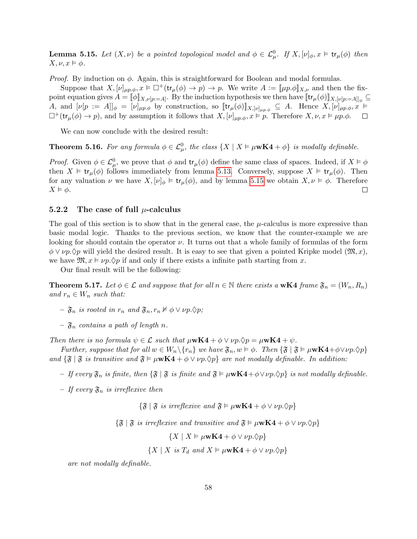<span id="page-59-1"></span>**Lemma 5.15.** Let  $(X, \nu)$  be a pointed topological model and  $\phi \in \mathcal{L}_{\mu}^0$ . If  $X, [\nu]_{\phi}, x \models \text{tr}_{\mu}(\phi)$  then  $X, \nu, x \vDash \phi.$ 

*Proof.* By induction on  $\phi$ . Again, this is straightforward for Boolean and modal formulas.

Suppose that  $X, [\nu]_{\mu p,\phi}, x \models \Box^+(\text{tr}_{\mu}(\phi) \to p) \to p$ . We write  $A := [\mu p.\phi]_{X,\nu}$  and then the fixpoint equation gives  $A = [\![\phi]\!]_{X,\nu[p:=A]}$ . By the induction hypothesis we then have  $[\![\mathsf{tr}_{\mu}(\phi)]\!]_{X,[\nu[p:=A]]\phi} \subseteq$ A, and  $[\nu[p := A]]_{\phi} = [\nu]_{\mu p, \phi}$  by construction, so  $[\![\text{tr}_{\mu}(\phi)]\!]_{X, [\nu]\mu p, \phi} \subseteq A$ . Hence  $X, [\nu]_{\mu p, \phi}, x \models$  $\Box^+$ (tr<sub> $\mu$ </sub>( $\phi$ )  $\rightarrow$  p), and by assumption it follows that  $X$ ,  $[\nu]_{\mu p,\phi}$ ,  $x \vDash p$ . Therefore  $X$ ,  $\nu$ ,  $x \vDash \mu p.\phi$ .  $\Box$ 

We can now conclude with the desired result:

**Theorem 5.16.** For any formula  $\phi \in \mathcal{L}_{\mu}^0$ , the class  $\{X \mid X \vDash \mu \mathbf{wK4} + \phi\}$  is modally definable.

*Proof.* Given  $\phi \in \mathcal{L}_{\mu}^0$ , we prove that  $\phi$  and  $tr_\mu(\phi)$  define the same class of spaces. Indeed, if  $X \models \phi$ then  $X \models \mathsf{tr}_{\mu}(\phi)$  follows immediately from lemma [5.13.](#page-58-0) Conversely, suppose  $X \models \mathsf{tr}_{\mu}(\phi)$ . Then for any valuation  $\nu$  we have  $X, [\nu]_{\phi} \models \text{tr}_{\mu}(\phi)$ , and by lemma [5.15](#page-59-1) we obtain  $X, \nu \models \phi$ . Therefore  $\Box$  $X \vDash \phi$ .

#### <span id="page-59-0"></span>5.2.2 The case of full  $\mu$ -calculus

The goal of this section is to show that in the general case, the  $\mu$ -calculus is more expressive than basic modal logic. Thanks to the previous section, we know that the counter-example we are looking for should contain the operator  $\nu$ . It turns out that a whole family of formulas of the form  $\phi \vee \nu_p \Diamond p$  will yield the desired result. It is easy to see that given a pointed Kripke model  $(\mathfrak{M}, x)$ , we have  $\mathfrak{M}, x \models \nu p. \Diamond p$  if and only if there exists a infinite path starting from x.

Our final result will be the following:

<span id="page-59-2"></span>**Theorem 5.17.** Let  $\phi \in \mathcal{L}$  and suppose that for all  $n \in \mathbb{N}$  there exists a wK4 frame  $\mathfrak{F}_n = (W_n, R_n)$ and  $r_n \in W_n$  such that:

- $-\mathfrak{F}_n$  is rooted in  $r_n$  and  $\mathfrak{F}_n, r_n \nvDash \phi \lor \nu p. \Diamond p;$
- $\mathfrak{F}_n$  contains a path of length n.

Then there is no formula  $\psi \in \mathcal{L}$  such that  $\mu \mathbf{w} \mathbf{K4} + \phi \vee \nu \rho \cdot \mathbf{\Diamond} p = \mu \mathbf{w} \mathbf{K4} + \psi$ .

Further, suppose that for all  $w \in W_n \backslash \{r_n\}$  we have  $\mathfrak{F}_n, w \vDash \phi$ . Then  $\{\mathfrak{F} \mid \mathfrak{F} \vDash \mu$ w $\mathbf{K4+} \phi \lor \nu p. \Diamond p\}$ and  $\{\mathfrak{F} \mid \mathfrak{F}$  is transitive and  $\mathfrak{F} \models \mu \mathbf{wK4} + \phi \lor \nu p.\Diamond p\}$  are not modally definable. In addition:

- If every  $\mathfrak{F}_n$  is finite, then  $\{\mathfrak{F} \mid \mathfrak{F}$  is finite and  $\mathfrak{F} \models \mu \mathbf{w} \mathbf{K4} + \phi \vee \nu p \cdot \Diamond p\}$  is not modally definable.
- If every  $\mathfrak{F}_n$  is irreflexive then

 $\{\mathfrak{F} \mid \mathfrak{F} \text{ is irreflexive and } \mathfrak{F} \models \mu \mathbf{wK4} + \phi \vee \nu \rho. \Diamond p\}$ 

 ${\mathfrak{F} \mid \mathfrak{F}$  is irreflexive and transitive and  $\mathfrak{F} \models \mu \mathbf{wK4} + \phi \vee \nu \rho. \Diamond p$ 

 ${X \mid X \models \mu \mathbf{wK4} + \phi \lor \nu p.\Diamond p}$ 

 $\{X \mid X \text{ is } T_d \text{ and } X \models \mu \mathbf{wK4} + \phi \vee \nu p. \Diamond p\}$ 

are not modally definable.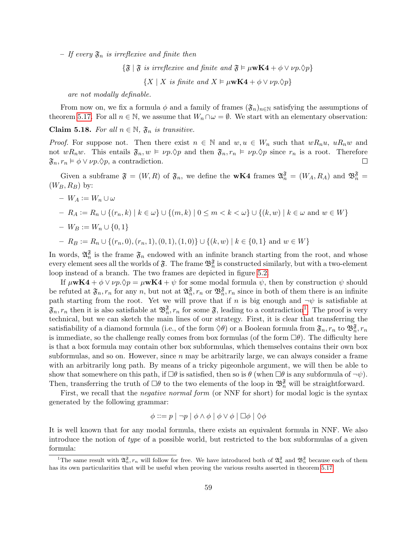– If every  $\mathfrak{F}_n$  is irreflexive and finite then

 ${\mathfrak{F}} \mid {\mathfrak{F}}$  is irreflexive and finite and  ${\mathfrak{F}} \models \mu \mathbf{wK4} + \phi \vee \nu p.\Diamond p$ 

 $\{X \mid X \text{ is finite and } X \models \mu \mathbf{wK4} + \phi \lor \nu p. \Diamond p\}$ 

are not modally definable.

From now on, we fix a formula  $\phi$  and a family of frames  $(\mathfrak{F}_n)_{n\in\mathbb{N}}$  satisfying the assumptions of theorem [5.17.](#page-59-2) For all  $n \in \mathbb{N}$ , we assume that  $W_n \cap \omega = \emptyset$ . We start with an elementary observation:

<span id="page-60-1"></span>Claim 5.18. For all  $n \in \mathbb{N}$ ,  $\mathfrak{F}_n$  is transitive.

*Proof.* For suppose not. Then there exist  $n \in \mathbb{N}$  and  $w, u \in W_n$  such that  $wR_nu$ ,  $uR_nw$  and not  $wR_nw$ . This entails  $\mathfrak{F}_n, w \models \nu p.\Diamond p$  and then  $\mathfrak{F}_n, r_n \models \nu p.\Diamond p$  since  $r_n$  is a root. Therefore  $\mathfrak{F}_n$ ,  $r_n \models \phi \lor \nu p. \Diamond p$ , a contradiction.  $\Box$ 

Given a subframe  $\mathfrak{F} = (W, R)$  of  $\mathfrak{F}_n$ , we define the **wK4** frames  $\mathfrak{A}_n^{\mathfrak{F}} = (W_A, R_A)$  and  $\mathfrak{B}_n^{\mathfrak{F}} =$  $(W_B, R_B)$  by:

$$
- W_A := W_n \cup \omega
$$
  
\n
$$
- R_A := R_n \cup \{(r_n, k) \mid k \in \omega\} \cup \{(m, k) \mid 0 \le m < k < \omega\} \cup \{(k, w) \mid k \in \omega \text{ and } w \in W\}
$$
  
\n
$$
- W_B := W_n \cup \{0, 1\}
$$
  
\n
$$
- R_B := R_n \cup \{(r_n, 0), (r_n, 1), (0, 1), (1, 0)\} \cup \{(k, w) \mid k \in \{0, 1\} \text{ and } w \in W\}
$$

In words,  $\mathfrak{A}_n^{\mathfrak{F}}$  is the frame  $\mathfrak{F}_n$  endowed with an infinite branch starting from the root, and whose every element sees all the worlds of  $\mathfrak{F}$ . The frame  $\mathfrak{B}_n^{\mathfrak{F}}$  is constructed similarly, but with a two-element loop instead of a branch. The two frames are depicted in figure [5.2.](#page-61-0)

If  $\mu$ wK4 +  $\phi \vee \nu p.\Diamond p = \mu$ wK4 +  $\psi$  for some modal formula  $\psi$ , then by construction  $\psi$  should be refuted at  $\mathfrak{F}_n$ ,  $r_n$  for any n, but not at  $\mathfrak{A}_n^{\mathfrak{F}}, r_n$  or  $\mathfrak{B}_n^{\mathfrak{F}}, r_n$  since in both of them there is an infinite path starting from the root. Yet we will prove that if n is big enough and  $\neg \psi$  is satisfiable at  $\mathfrak{F}_n$ ,  $r_n$  then it is also satisfiable at  $\mathfrak{B}_n^{\mathfrak{F}}, r_n$  for some  $\mathfrak{F}$ , leading to a contradiction<sup>[1](#page-60-0)</sup>. The proof is very technical, but we can sketch the main lines of our strategy. First, it is clear that transferring the satisfiability of a diamond formula (i.e., of the form  $\Diamond \theta$ ) or a Boolean formula from  $\mathfrak{F}_n$ ,  $r_n$  to  $\mathfrak{B}_n^{\mathfrak{F}}, r_n$ is immediate, so the challenge really comes from box formulas (of the form  $\Box \theta$ ). The difficulty here is that a box formula may contain other box subformulas, which themselves contains their own box subformulas, and so on. However, since  $n$  may be arbitrarily large, we can always consider a frame with an arbitrarily long path. By means of a tricky pigeonhole argument, we will then be able to show that somewhere on this path, if  $\Box \theta$  is satisfied, then so is  $\theta$  (when  $\Box \theta$  is any subformula of  $\neg \psi$ ). Then, transferring the truth of  $\Box \theta$  to the two elements of the loop in  $\mathfrak{B}_n^{\mathfrak{F}}$  will be straightforward.

First, we recall that the *negative normal form* (or NNF for short) for modal logic is the syntax generated by the following grammar:

$$
\phi ::= p \mid \neg p \mid \phi \land \phi \mid \phi \lor \phi \mid \Box \phi \mid \Diamond \phi
$$

It is well known that for any modal formula, there exists an equivalent formula in NNF. We also introduce the notion of type of a possible world, but restricted to the box subformulas of a given formula:

<span id="page-60-0"></span><sup>&</sup>lt;sup>1</sup>The same result with  $\mathfrak{A}_n^{\mathfrak{F}}, r_n$  will follow for free. We have introduced both of  $\mathfrak{A}_n^{\mathfrak{F}}$  and  $\mathfrak{B}_n^{\mathfrak{F}}$  because each of them has its own particularities that will be useful when proving the various results asserted in theorem [5.17](#page-59-2)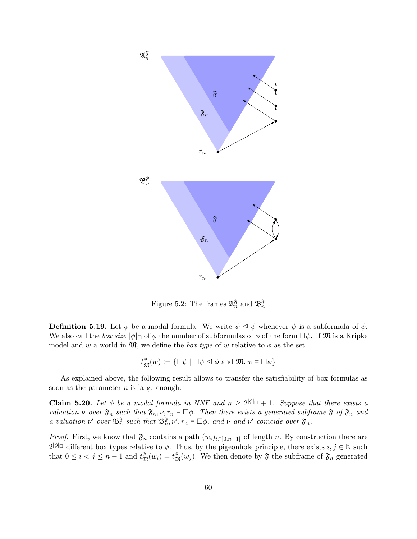

<span id="page-61-0"></span>Figure 5.2: The frames  $\mathfrak{A}_n^{\mathfrak{F}}$  and  $\mathfrak{B}_n^{\mathfrak{F}}$ 

**Definition 5.19.** Let  $\phi$  be a modal formula. We write  $\psi \leq \phi$  whenever  $\psi$  is a subformula of  $\phi$ . We also call the *box size*  $|\phi|_{\Box}$  of  $\phi$  the number of subformulas of  $\phi$  of the form  $\Box \psi$ . If M is a Kripke model and w a world in  $\mathfrak{M}$ , we define the *box type* of w relative to  $\phi$  as the set

 $t_{\mathfrak{M}}^{\phi}(w) \vcentcolon= \{\Box \psi \mid \Box \psi \trianglelefteq \phi \text{ and } \mathfrak{M}, w \vDash \Box \psi\}$ 

As explained above, the following result allows to transfer the satisfiability of box formulas as soon as the parameter  $n$  is large enough:

<span id="page-61-1"></span>**Claim 5.20.** Let  $\phi$  be a modal formula in NNF and  $n \geq 2^{|\phi|_D} + 1$ . Suppose that there exists a valuation  $\nu$  over  $\mathfrak{F}_n$  such that  $\mathfrak{F}_n, \nu, r_n \models \Box \phi$ . Then there exists a generated subframe  $\mathfrak{F}$  of  $\mathfrak{F}_n$  and a valuation  $\nu'$  over  $\mathfrak{B}_n^{\mathfrak{F}}$  such that  $\mathfrak{B}_n^{\mathfrak{F}}, \nu', r_n \models \Box \phi$ , and  $\nu$  and  $\nu'$  coincide over  $\mathfrak{F}_n$ .

*Proof.* First, we know that  $\mathfrak{F}_n$  contains a path  $(w_i)_{i\in [0,n-1]}$  of length n. By construction there are  $2^{|\phi|}\Box$  different box types relative to  $\phi$ . Thus, by the pigeonhole principle, there exists  $i, j \in \mathbb{N}$  such that  $0 \leq i < j \leq n-1$  and  $t_{\mathfrak{M}}^{\phi}(w_i) = t_{\mathfrak{M}}^{\phi}(w_j)$ . We then denote by  $\mathfrak{F}$  the subframe of  $\mathfrak{F}_n$  generated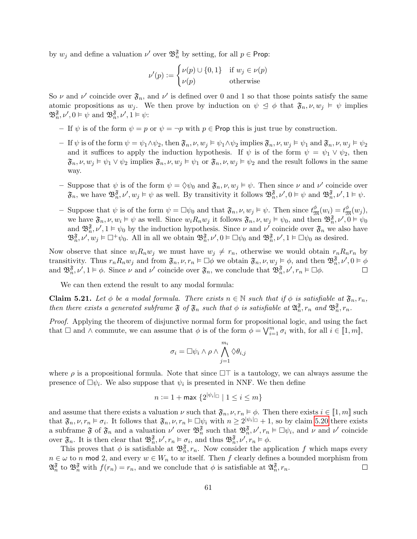by  $w_j$  and define a valuation  $\nu'$  over  $\mathfrak{B}_n^{\mathfrak{F}}$  by setting, for all  $p \in \text{Prop}$ :

$$
\nu'(p) := \begin{cases} \nu(p) \cup \{0, 1\} & \text{if } w_j \in \nu(p) \\ \nu(p) & \text{otherwise} \end{cases}
$$

So  $\nu$  and  $\nu'$  coincide over  $\mathfrak{F}_n$ , and  $\nu'$  is defined over 0 and 1 so that those points satisfy the same atomic propositions as  $w_j$ . We then prove by induction on  $\psi \leq \phi$  that  $\mathfrak{F}_n, \nu, w_j \models \psi$  implies  $\mathfrak{B}_n^{\mathfrak{F}}, \nu', 0 \models \psi \text{ and } \mathfrak{B}_n^{\mathfrak{F}}, \nu', 1 \models \psi:$ 

– If  $\psi$  is of the form  $\psi = p$  or  $\psi = \neg p$  with  $p \in \text{Prop this}$  is just true by construction.

- If  $\psi$  is of the form  $\psi = \psi_1 \wedge \psi_2$ , then  $\mathfrak{F}_n, \nu, w_j \models \psi_1 \wedge \psi_2$  implies  $\mathfrak{F}_n, \nu, w_j \models \psi_1$  and  $\mathfrak{F}_n, \nu, w_j \models \psi_2$ and it suffices to apply the induction hypothesis. If  $\psi$  is of the form  $\psi = \psi_1 \vee \psi_2$ , then  $\mathfrak{F}_n, \nu, w_j \vDash \psi_1 \vee \psi_2$  implies  $\mathfrak{F}_n, \nu, w_j \vDash \psi_1$  or  $\mathfrak{F}_n, \nu, w_j \vDash \psi_2$  and the result follows in the same way.
- Suppose that  $\psi$  is of the form  $\psi = \Diamond \psi_0$  and  $\mathfrak{F}_n, \nu, w_j \models \psi$ . Then since  $\nu$  and  $\nu'$  coincide over  $\mathfrak{F}_n$ , we have  $\mathfrak{B}_n^{\mathfrak{F}}, \nu', w_j \models \psi$  as well. By transitivity it follows  $\mathfrak{B}_n^{\mathfrak{F}}, \nu', 0 \models \psi$  and  $\mathfrak{B}_n^{\mathfrak{F}}, \nu', 1 \models \psi$ .
- Suppose that  $\psi$  is of the form  $\psi = \Box \psi_0$  and that  $\mathfrak{F}_n, \nu, w_j \models \psi$ . Then since  $t_{\mathfrak{M}}^{\phi}(w_i) = t_{\mathfrak{M}}^{\phi}(w_j)$ , we have  $\mathfrak{F}_n, \nu, w_i \models \psi$  as well. Since  $w_i R_n w_j$  it follows  $\mathfrak{F}_n, \nu, w_j \models \psi_0$ , and then  $\mathfrak{B}_n^{\mathfrak{F}}, \nu', 0 \models \psi_0$ and  $\mathfrak{B}_{n}^{\mathfrak{F}}, \nu', 1 \models \psi_0$  by the induction hypothesis. Since  $\nu$  and  $\nu'$  coincide over  $\mathfrak{F}_n$  we also have  $\mathfrak{B}_n^{\mathfrak{F}}, \nu', w_j \models \Box^+ \psi_0$ . All in all we obtain  $\mathfrak{B}_n^{\mathfrak{F}}, \nu', 0 \models \Box \psi_0$  and  $\mathfrak{B}_n^{\mathfrak{F}}, \nu', 1 \models \Box \psi_0$  as desired.

Now observe that since  $w_i R_n w_j$  we must have  $w_j \neq r_n$ , otherwise we would obtain  $r_n R_n r_n$  by transitivity. Thus  $r_n R_n w_j$  and from  $\mathfrak{F}_n, \nu, r_n \models \Box \phi$  we obtain  $\mathfrak{F}_n, \nu, w_j \models \phi$ , and then  $\mathfrak{B}_n^{\mathfrak{F}}, \nu', 0 \models \phi$ and  $\mathfrak{B}_{n}^{\mathfrak{F}}, \nu', 1 \models \phi$ . Since  $\nu$  and  $\nu'$  coincide over  $\mathfrak{F}_{n}$ , we conclude that  $\mathfrak{B}_{n}^{\mathfrak{F}}, \nu', r_{n} \models \Box \phi$ .  $\Box$ 

We can then extend the result to any modal formula:

<span id="page-62-0"></span>**Claim 5.21.** Let  $\phi$  be a modal formula. There exists  $n \in \mathbb{N}$  such that if  $\phi$  is satisfiable at  $\mathfrak{F}_n$ ,  $r_n$ , then there exists a generated subframe  $\mathfrak F$  of  $\mathfrak F_n$  such that  $\phi$  is satisfiable at  $\mathfrak A_n^{\mathfrak F},r_n$  and  $\mathfrak B_n^{\mathfrak F},r_n$ .

Proof. Applying the theorem of disjunctive normal form for propositional logic, and using the fact that  $\Box$  and  $\land$  commute, we can assume that  $\phi$  is of the form  $\phi = \bigvee_{i=1}^{m} \sigma_i$  with, for all  $i \in [\![1,m]\!]$ ,

$$
\sigma_i = \Box \psi_i \wedge \rho \wedge \bigwedge_{j=1}^{m_i} \Diamond \theta_{i,j}
$$

where  $\rho$  is a propositional formula. Note that since  $\Box\top$  is a tautology, we can always assume the presence of  $\Box \psi_i$ . We also suppose that  $\psi_i$  is presented in NNF. We then define

$$
n := 1 + \max \left\{ 2^{|\psi_i|_{\square}} \mid 1 \le i \le m \right\}
$$

and assume that there exists a valuation  $\nu$  such that  $\mathfrak{F}_n$ ,  $\nu$ ,  $r_n \models \phi$ . Then there exists  $i \in [1, m]$  such that  $\mathfrak{F}_n, \nu, r_n \models \sigma_i$ . It follows that  $\mathfrak{F}_n, \nu, r_n \models \Box \psi_i$  with  $n \geq 2^{|\psi_i|}\Box + 1$ , so by claim [5.20](#page-61-1) there exists a subframe  $\mathfrak{F}$  of  $\mathfrak{F}_n$  and a valuation  $\nu'$  over  $\mathfrak{B}_n^{\mathfrak{F}}$  such that  $\mathfrak{B}_n^{\mathfrak{F}}, \nu', r_n \models \Box \psi_i$ , and  $\nu$  and  $\nu'$  coincide over  $\mathfrak{F}_n$ . It is then clear that  $\mathfrak{B}_n^{\mathfrak{F}}, \nu', r_n \models \sigma_i$ , and thus  $\mathfrak{B}_n^{\mathfrak{F}}, \nu', r_n \models \phi$ .

This proves that  $\phi$  is satisfiable at  $\mathfrak{B}_n^{\mathfrak{F}}, r_n$ . Now consider the application f which maps every  $n \in \omega$  to n mod 2, and every  $w \in W_n$  to w itself. Then f clearly defines a bounded morphism from  $\mathfrak{A}_n^{\mathfrak{F}}$  to  $\mathfrak{B}_n^{\mathfrak{F}}$  with  $f(r_n) = r_n$ , and we conclude that  $\phi$  is satisfiable at  $\mathfrak{A}_n^{\mathfrak{F}}, r_n$ .  $\Box$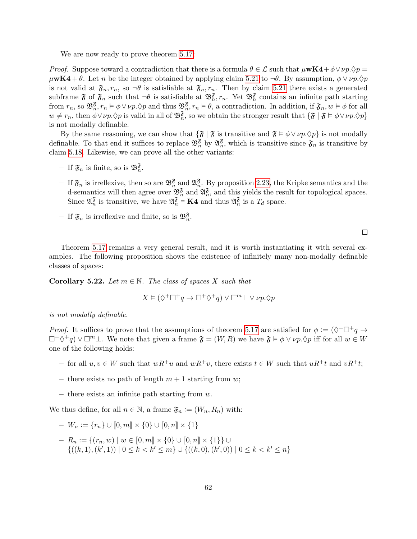We are now ready to prove theorem [5.17:](#page-59-2)

*Proof.* Suppose toward a contradiction that there is a formula  $\theta \in \mathcal{L}$  such that  $\mu \mathbf{w} \mathbf{K4} + \phi \vee \nu \rho \cdot \mathcal{D} \rho =$  $\mu$ **wK4** +  $\theta$ . Let n be the integer obtained by applying claim [5.21](#page-62-0) to  $\neg \theta$ . By assumption,  $\phi \vee \nu p.\Diamond p$ is not valid at  $\mathfrak{F}_n$ ,  $r_n$ , so  $\neg \theta$  is satisfiable at  $\mathfrak{F}_n$ ,  $r_n$ . Then by claim [5.21](#page-62-0) there exists a generated subframe  $\mathfrak F$  of  $\mathfrak F_n$  such that  $\neg \theta$  is satisfiable at  $\mathfrak B_n^{\mathfrak F}$ ,  $r_n$ . Yet  $\mathfrak B_n^{\mathfrak F}$  contains an infinite path starting from  $r_n$ , so  $\mathfrak{B}_n^{\mathfrak{F}}, r_n \models \phi \vee \nu p. \Diamond p$  and thus  $\mathfrak{B}_n^{\mathfrak{F}}, r_n \models \theta$ , a contradiction. In addition, if  $\mathfrak{F}_n, w \models \phi$  for all  $w \neq r_n$ , then  $\phi \vee \nu p \cdot \Diamond p$  is valid in all of  $\mathfrak{B}_n^{\mathfrak{F}}$ , so we obtain the stronger result that  $\{\mathfrak{F} \mid \mathfrak{F} \models \phi \vee \nu p \cdot \Diamond p\}$ is not modally definable.

By the same reasoning, we can show that  $\{\mathfrak{F} \mid \mathfrak{F}$  is transitive and  $\mathfrak{F} \models \phi \lor \nu p. \Diamond p\}$  is not modally definable. To that end it suffices to replace  $\mathfrak{B}_n^{\mathfrak{F}}$  by  $\mathfrak{A}_n^{\mathfrak{F}}$ , which is transitive since  $\mathfrak{F}_n$  is transitive by claim [5.18.](#page-60-1) Likewise, we can prove all the other variants:

- If  $\mathfrak{F}_n$  is finite, so is  $\mathfrak{B}_n^{\mathfrak{F}}$ .
- $-$  If  $\mathfrak{F}_n$  is irreflexive, then so are  $\mathfrak{B}_n^{\mathfrak{F}}$  and  $\mathfrak{A}_n^{\mathfrak{F}}$ . By proposition [2.23,](#page-13-0) the Kripke semantics and the d-semantics will then agree over  $\mathfrak{B}_n^{\mathfrak{F}}$  and  $\mathfrak{A}_n^{\mathfrak{F}}$ , and this yields the result for topological spaces. Since  $\mathfrak{A}_n^{\mathfrak{F}}$  is transitive, we have  $\mathfrak{A}_n^{\mathfrak{F}} \models \mathbf{K4}$  and thus  $\mathfrak{A}_n^{\mathfrak{F}}$  is a  $T_d$  space.
- If  $\mathfrak{F}_n$  is irreflexive and finite, so is  $\mathfrak{B}_n^{\mathfrak{F}}$ .

 $\Box$ 

Theorem [5.17](#page-59-2) remains a very general result, and it is worth instantiating it with several examples. The following proposition shows the existence of infinitely many non-modally definable classes of spaces:

**Corollary 5.22.** Let  $m \in \mathbb{N}$ . The class of spaces X such that

$$
X \vDash (\Diamond^+ \Box^+ q \to \Box^+ \Diamond^+ q) \lor \Box^m \bot \lor \nu p. \Diamond p
$$

is not modally definable.

*Proof.* It suffices to prove that the assumptions of theorem [5.17](#page-59-2) are satisfied for  $\phi := (\Diamond^+\Box^+q \to \Diamond^+\Box^-)$  $\Box^+\Diamond^+ q$ )  $\lor \Box^m \bot$ . We note that given a frame  $\mathfrak{F} = (W, R)$  we have  $\mathfrak{F} \models \phi \lor \nu p. \Diamond p$  iff for all  $w \in W$ one of the following holds:

- for all  $u, v ∈ W$  such that  $wR^+u$  and  $wR^+v$ , there exists  $t ∈ W$  such that  $uR^+t$  and  $vR^+t$ ;
- there exists no path of length  $m + 1$  starting from w;
- there exists an infinite path starting from  $w$ .

We thus define, for all  $n \in \mathbb{N}$ , a frame  $\mathfrak{F}_n := (W_n, R_n)$  with:

$$
- W_n := \{r_n\} \cup [0, m] \times \{0\} \cup [0, n] \times \{1\}
$$

 $- R_n := \{(r_n, w) \mid w \in [0, m] \times \{0\} \cup [0, n] \times \{1\}\}\cup$  $\{((k,1),(k',1)) \mid 0 \leq k < k' \leq m\} \cup \{((k,0),(k',0)) \mid 0 \leq k < k' \leq n\}$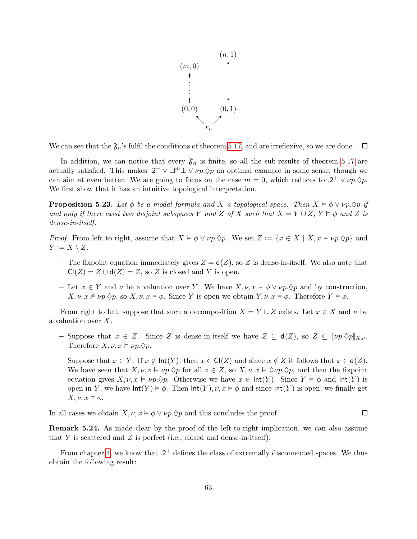

We can see that the  $\mathfrak{F}_n$ 's fulfil the conditions of theorem [5.17,](#page-59-2) and are irreflexive, so we are done.  $\Box$ 

In addition, we can notice that every  $\mathfrak{F}_n$  is finite, so all the sub-results of theorem [5.17](#page-59-2) are actually satisfied. This makes  $.2^+ \vee \square^m \perp \vee \nu p.\Diamond p$  an optimal example in some sense, though we can aim at even better. We are going to focus on the case  $m = 0$ , which reduces to  $.2^+ \vee \nu p. \lozenge p$ . We first show that it has an intuitive topological interpretation.

<span id="page-64-0"></span>**Proposition 5.23.** Let  $\phi$  be a modal formula and X a topological space. Then  $X \vDash \phi \lor \nu p. \Diamond p$  if and only if there exist two disjoint subspaces Y and Z of X such that  $X = Y \cup Z$ ,  $Y \models \phi$  and Z is dense-in-itself.

*Proof.* From left to right, assume that  $X \models \phi \lor \nu p.\Diamond p$ . We set  $Z := \{x \in X \mid X, x \models \nu p.\Diamond p\}$  and  $Y := X \setminus Z$ .

- The fixpoint equation immediately gives  $Z = d(Z)$ , so Z is dense-in-itself. We also note that  $Cl(Z) = Z \cup d(Z) = Z$ , so Z is closed and Y is open.
- Let  $x \in Y$  and  $\nu$  be a valuation over Y. We have  $X, \nu, x \models \phi \lor \nu p. \Diamond p$  and by construction,  $X, \nu, x \nvDash \nu p. \Diamond p$ , so  $X, \nu, x \models \phi$ . Since Y is open we obtain  $Y, \nu, x \models \phi$ . Therefore  $Y \models \phi$ .

From right to left, suppose that such a decomposition  $X = Y \cup Z$  exists. Let  $x \in X$  and  $\nu$  be a valuation over X.

- Suppose that  $x \in Z$ . Since Z is dense-in-itself we have  $Z \subseteq d(Z)$ , so  $Z \subseteq [\![\nu p.\Diamond p]\!]_{X,\nu}$ . Therefore  $X, \nu, x \vDash \nu p. \lozenge p.$
- Suppose that  $x \in Y$ . If  $x \notin \text{Int}(Y)$ , then  $x \in \text{Cl}(Z)$  and since  $x \notin Z$  it follows that  $x \in \text{d}(Z)$ . We have seen that  $X, \nu, z \models \nu p. \Diamond p$  for all  $z \in Z$ , so  $X, \nu, x \models \Diamond \nu p. \Diamond p$ , and then the fixpoint equation gives  $X, \nu, x \models \nu p. \Diamond p$ . Otherwise we have  $x \in \text{Int}(Y)$ . Since  $Y \models \phi$  and  $\text{Int}(Y)$  is open in Y, we have  $\text{Int}(Y) \models \phi$ . Then  $\text{Int}(Y)$ ,  $\nu, x \models \phi$  and since  $\text{Int}(Y)$  is open, we finally get  $X, \nu, x \models \phi.$

In all cases we obtain  $X, \nu, x \models \phi \lor \nu p. \Diamond p$  and this concludes the proof.  $\Box$ 

Remark 5.24. As made clear by the proof of the left-to-right implication, we can also assume that  $Y$  is scattered and  $Z$  is perfect (i.e., closed and dense-in-itself).

From chapter [4,](#page-31-0) we know that  $.2^+$  defines the class of extremally disconnected spaces. We thus obtain the following result: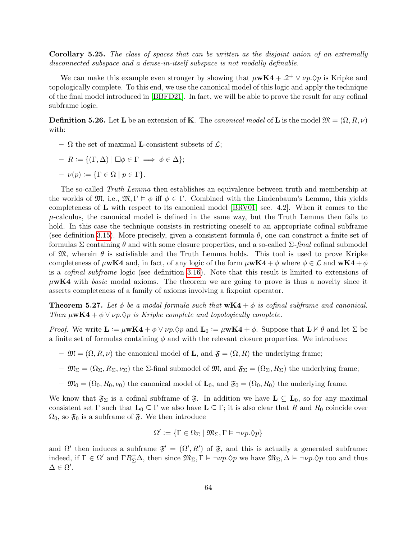Corollary 5.25. The class of spaces that can be written as the disjoint union of an extremally disconnected subspace and a dense-in-itself subspace is not modally definable.

We can make this example even stronger by showing that  $\mu$ **wK4** + .2<sup>+</sup>  $\lor \nu p.\Diamond p$  is Kripke and topologically complete. To this end, we use the canonical model of this logic and apply the technique of the final model introduced in [\[BBFD21\]](#page-69-3). In fact, we will be able to prove the result for any cofinal subframe logic.

**Definition 5.26.** Let **L** be an extension of **K**. The *canonical model* of **L** is the model  $\mathfrak{M} = (\Omega, R, \nu)$ with:

- $\Omega$  the set of maximal **L**-consistent subsets of  $\mathcal{L}$ ;
- $R := \{ (\Gamma, \Delta) \mid \Box \phi \in \Gamma \implies \phi \in \Delta \};$
- $-\nu(p) := {\Gamma \in \Omega \mid p \in \Gamma}.$

The so-called Truth Lemma then establishes an equivalence between truth and membership at the worlds of  $\mathfrak{M}$ , i.e.,  $\mathfrak{M}$ ,  $\Gamma \models \phi$  iff  $\phi \in \Gamma$ . Combined with the Lindenbaum's Lemma, this yields completeness of L with respect to its canonical model [\[BRV01,](#page-69-4) sec. 4.2]. When it comes to the  $\mu$ -calculus, the canonical model is defined in the same way, but the Truth Lemma then fails to hold. In this case the technique consists in restricting oneself to an appropriate cofinal subframe (see definition [3.15\)](#page-22-3). More precisely, given a consistent formula  $\theta$ , one can construct a finite set of formulas Σ containing θ and with some closure properties, and a so-called Σ-final cofinal submodel of  $\mathfrak{M}$ , wherein  $\theta$  is satisfiable and the Truth Lemma holds. This tool is used to prove Kripke completeness of  $\mu$ wK4 and, in fact, of any logic of the form  $\mu$ wK4 +  $\phi$  where  $\phi \in \mathcal{L}$  and wK4 +  $\phi$ is a cofinal subframe logic (see definition [3.16\)](#page-22-4). Note that this result is limited to extensions of  $\mu$ **wK4** with basic modal axioms. The theorem we are going to prove is thus a novelty since it asserts completeness of a family of axioms involving a fixpoint operator.

**Theorem 5.27.** Let  $\phi$  be a modal formula such that  $wK4 + \phi$  is cofinal subframe and canonical. Then  $\mu$ **wK4** +  $\phi \lor \nu p.\Diamond p$  is Kripke complete and topologically complete.

*Proof.* We write  $\mathbf{L} := \mu \mathbf{w} \mathbf{K} \mathbf{4} + \phi \vee \nu \rho \cdot \phi \rho$  and  $\mathbf{L}_0 := \mu \mathbf{w} \mathbf{K} \mathbf{4} + \phi$ . Suppose that  $\mathbf{L} \nvdash \theta$  and let  $\Sigma$  be a finite set of formulas containing  $\phi$  and with the relevant closure properties. We introduce:

- $-\mathfrak{M} = (\Omega, R, \nu)$  the canonical model of **L**, and  $\mathfrak{F} = (\Omega, R)$  the underlying frame;
- $-\mathfrak{M}_{\Sigma} = (\Omega_{\Sigma}, R_{\Sigma}, \nu_{\Sigma})$  the  $\Sigma$ -final submodel of  $\mathfrak{M}$ , and  $\mathfrak{F}_{\Sigma} = (\Omega_{\Sigma}, R_{\Sigma})$  the underlying frame;
- $-\mathfrak{M}_0 = (\Omega_0, R_0, \nu_0)$  the canonical model of  $\mathbf{L}_0$ , and  $\mathfrak{F}_0 = (\Omega_0, R_0)$  the underlying frame.

We know that  $\mathfrak{F}_{\Sigma}$  is a cofinal subframe of  $\mathfrak{F}$ . In addition we have  $\mathbf{L} \subseteq \mathbf{L}_0$ , so for any maximal consistent set Γ such that  $\mathbf{L}_0 \subseteq \Gamma$  we also have  $\mathbf{L} \subseteq \Gamma$ ; it is also clear that R and R<sub>0</sub> coincide over  $\Omega_0$ , so  $\mathfrak{F}_0$  is a subframe of  $\mathfrak{F}$ . We then introduce

$$
\Omega' := \{ \Gamma \in \Omega_\Sigma \mid \mathfrak{M}_\Sigma, \Gamma \vDash \neg \nu p. \Diamond p \}
$$

and  $\Omega'$  then induces a subframe  $\mathfrak{F}' = (\Omega', R')$  of  $\mathfrak{F}$ , and this is actually a generated subframe: indeed, if  $\Gamma \in \Omega'$  and  $\Gamma R_{\Sigma}^{\perp} \Delta$ , then since  $\mathfrak{M}_{\Sigma}, \Gamma \models \neg \nu p. \Diamond p$  we have  $\mathfrak{M}_{\Sigma}, \Delta \models \neg \nu p. \Diamond p$  too and thus  $\Delta \in \Omega'.$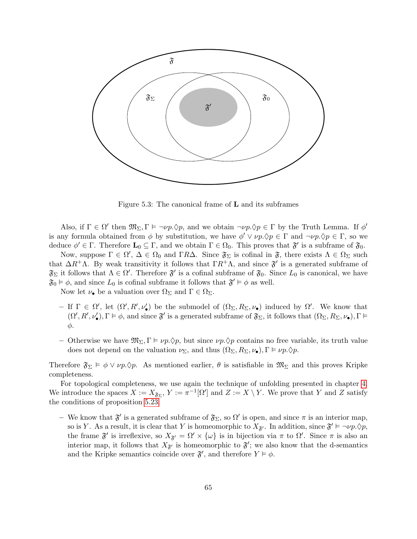

Figure 5.3: The canonical frame of L and its subframes

Also, if  $\Gamma \in \Omega'$  then  $\mathfrak{M}_{\Sigma}, \Gamma \models \neg \nu p.\Diamond p$ , and we obtain  $\neg \nu p.\Diamond p \in \Gamma$  by the Truth Lemma. If  $\phi'$ is any formula obtained from  $\phi$  by substitution, we have  $\phi' \lor \nu p \lor p \in \Gamma$  and  $\neg \nu p \lor p \in \Gamma$ , so we deduce  $\phi' \in \Gamma$ . Therefore  $\mathbf{L}_0 \subseteq \Gamma$ , and we obtain  $\Gamma \in \Omega_0$ . This proves that  $\mathfrak{F}'$  is a subframe of  $\mathfrak{F}_0$ .

Now, suppose  $\Gamma \in \Omega'$ ,  $\Delta \in \Omega_0$  and  $\Gamma R\Delta$ . Since  $\mathfrak{F}_{\Sigma}$  is cofinal in  $\mathfrak{F}$ , there exists  $\Lambda \in \Omega_{\Sigma}$  such that  $\Delta R^+ \Lambda$ . By weak transitivity it follows that  $\Gamma R^+ \Lambda$ , and since  $\mathfrak{F}'$  is a generated subframe of  $\mathfrak{F}_{\Sigma}$  it follows that  $\Lambda \in \Omega'$ . Therefore  $\mathfrak{F}'$  is a cofinal subframe of  $\mathfrak{F}_{0}$ . Since  $L_{0}$  is canonical, we have  $\mathfrak{F}_0 \models \phi$ , and since  $L_0$  is cofinal subframe it follows that  $\mathfrak{F}' \models \phi$  as well.

Now let  $\nu_{\bullet}$  be a valuation over  $\Omega_{\Sigma}$  and  $\Gamma \in \Omega_{\Sigma}$ .

- If Γ ∈ Ω', let  $(Ω', R', ν'_{\bullet})$  be the submodel of  $(Ω<sub>Σ</sub>, R<sub>Σ</sub>, ν<sub>•</sub>)$  induced by Ω'. We know that  $(\Omega', R', \nu'_{\bullet}), \Gamma \models \phi$ , and since  $\mathfrak{F}'$  is a generated subframe of  $\mathfrak{F}_{\Sigma}$ , it follows that  $(\Omega_{\Sigma}, R_{\Sigma}, \nu_{\bullet}), \Gamma \models$ φ.
- Otherwise we have  $\mathfrak{M}_{\Sigma}$ ,  $\Gamma \models \nu p.\Diamond p$ , but since  $\nu p.\Diamond p$  contains no free variable, its truth value does not depend on the valuation  $\nu_{\Sigma}$ , and thus  $(\Omega_{\Sigma}, R_{\Sigma}, \nu_{\bullet}), \Gamma \models \nu p.\Diamond p.$

Therefore  $\mathfrak{F}_{\Sigma} \models \phi \vee \nu p \hat{\vee} \varphi$ . As mentioned earlier,  $\theta$  is satisfiable in  $\mathfrak{M}_{\Sigma}$  and this proves Kripke completeness.

For topological completeness, we use again the technique of unfolding presented in chapter [4.](#page-31-0) We introduce the spaces  $X := X_{\mathfrak{F}_{\Sigma}}$ ,  $Y := \pi^{-1}[\Omega']$  and  $Z := X \setminus Y$ . We prove that Y and Z satisfy the conditions of proposition [5.23.](#page-64-0)

– We know that  $\mathfrak{F}'$  is a generated subframe of  $\mathfrak{F}_{\Sigma}$ , so  $\Omega'$  is open, and since  $\pi$  is an interior map, so is Y. As a result, it is clear that Y is homeomorphic to  $X_{\mathfrak{F}'}$ . In addition, since  $\mathfrak{F}' \models \neg \nu p. \Diamond p$ , the frame  $\mathfrak{F}'$  is irreflexive, so  $X_{\mathfrak{F}'} = \Omega' \times {\{\omega\}}$  is in bijection via  $\pi$  to  $\Omega'$ . Since  $\pi$  is also an interior map, it follows that  $X_{\mathfrak{F}'}$  is homeomorphic to  $\mathfrak{F}'$ ; we also know that the d-semantics and the Kripke semantics coincide over  $\mathfrak{F}'$ , and therefore  $Y \models \phi$ .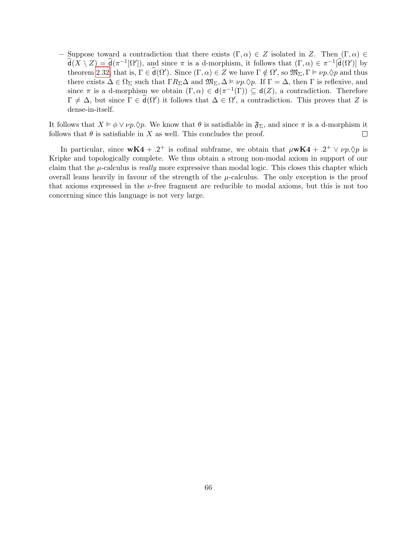– Suppose toward a contradiction that there exists  $(\Gamma, \alpha) \in Z$  isolated in Z. Then  $(\Gamma, \alpha) \in Z$  $\hat{\mathsf{d}}(X \setminus Z) = \hat{\mathsf{d}}(\pi^{-1}[\Omega'])$ , and since  $\pi$  is a d-morphism, it follows that  $(\Gamma, \alpha) \in \pi^{-1}[\hat{\mathsf{d}}(\Omega')]$  by theorem [2.32,](#page-15-1) that is,  $\Gamma \in \hat{\mathsf{d}}(\Omega')$ . Since  $(\Gamma, \alpha) \in Z$  we have  $\Gamma \notin \Omega'$ , so  $\mathfrak{M}_{\Sigma}, \Gamma \models \nu p. \Diamond p$  and thus there exists  $\Delta \in \Omega_{\Sigma}$  such that  $\Gamma R_{\Sigma}\Delta$  and  $\mathfrak{M}_{\Sigma}, \Delta \models \nu p.\Diamond p$ . If  $\Gamma = \Delta$ , then  $\Gamma$  is reflexive, and since  $\pi$  is a d-morphism we obtain  $(\Gamma, \alpha) \in d(\pi^{-1}(\Gamma)) \subseteq d(Z)$ , a contradiction. Therefore  $\Gamma \neq \Delta$ , but since  $\Gamma \in \hat{\mathsf{d}}(\Omega')$  it follows that  $\Delta \in \Omega'$ , a contradiction. This proves that Z is dense-in-itself.

It follows that  $X \vDash \phi \lor \nu_p \Diamond \phi$ . We know that  $\theta$  is satisfiable in  $\mathfrak{F}_{\Sigma}$ , and since  $\pi$  is a d-morphism it follows that  $\theta$  is satisfiable in X as well. This concludes the proof.  $\Box$ 

In particular, since  $wK4 + .2^+$  is cofinal subframe, we obtain that  $\mu wK4 + .2^+ \vee \nu p.\Diamond p$  is Kripke and topologically complete. We thus obtain a strong non-modal axiom in support of our claim that the  $\mu$ -calculus is *really* more expressive than modal logic. This closes this chapter which overall leans heavily in favour of the strength of the  $\mu$ -calculus. The only exception is the proof that axioms expressed in the  $\nu$ -free fragment are reducible to modal axioms, but this is not too concerning since this language is not very large.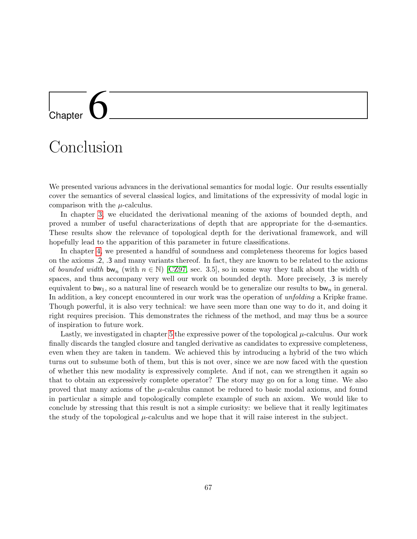# <span id="page-68-0"></span>l<br>Chapter

### Conclusion

We presented various advances in the derivational semantics for modal logic. Our results essentially cover the semantics of several classical logics, and limitations of the expressivity of modal logic in comparison with the  $\mu$ -calculus.

In chapter [3,](#page-17-0) we elucidated the derivational meaning of the axioms of bounded depth, and proved a number of useful characterizations of depth that are appropriate for the d-semantics. These results show the relevance of topological depth for the derivational framework, and will hopefully lead to the apparition of this parameter in future classifications.

In chapter [4,](#page-31-0) we presented a handful of soundness and completeness theorems for logics based on the axioms .2, .3 and many variants thereof. In fact, they are known to be related to the axioms of bounded width bw<sub>n</sub> (with  $n \in \mathbb{N}$ ) [\[CZ97,](#page-69-5) sec. 3.5], so in some way they talk about the width of spaces, and thus accompany very well our work on bounded depth. More precisely, .3 is merely equivalent to  $bw_1$ , so a natural line of research would be to generalize our results to  $bw_n$  in general. In addition, a key concept encountered in our work was the operation of *unfolding* a Kripke frame. Though powerful, it is also very technical: we have seen more than one way to do it, and doing it right requires precision. This demonstrates the richness of the method, and may thus be a source of inspiration to future work.

Lastly, we investigated in chapter [5](#page-51-0) the expressive power of the topological  $\mu$ -calculus. Our work finally discards the tangled closure and tangled derivative as candidates to expressive completeness, even when they are taken in tandem. We achieved this by introducing a hybrid of the two which turns out to subsume both of them, but this is not over, since we are now faced with the question of whether this new modality is expressively complete. And if not, can we strengthen it again so that to obtain an expressively complete operator? The story may go on for a long time. We also proved that many axioms of the  $\mu$ -calculus cannot be reduced to basic modal axioms, and found in particular a simple and topologically complete example of such an axiom. We would like to conclude by stressing that this result is not a simple curiosity: we believe that it really legitimates the study of the topological  $\mu$ -calculus and we hope that it will raise interest in the subject.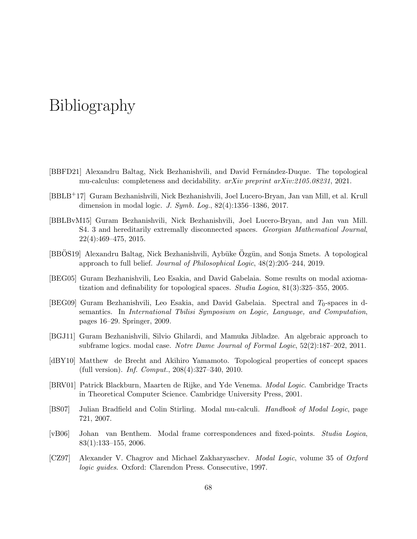### Bibliography

- <span id="page-69-3"></span>[BBFD21] Alexandru Baltag, Nick Bezhanishvili, and David Fernández-Duque. The topological mu-calculus: completeness and decidability. arXiv preprint arXiv:2105.08231, 2021.
- <span id="page-69-2"></span>[BBLB+17] Guram Bezhanishvili, Nick Bezhanishvili, Joel Lucero-Bryan, Jan van Mill, et al. Krull dimension in modal logic. J. Symb. Log., 82(4):1356–1386, 2017.
- <span id="page-69-10"></span>[BBLBvM15] Guram Bezhanishvili, Nick Bezhanishvili, Joel Lucero-Bryan, and Jan van Mill. S4. 3 and hereditarily extremally disconnected spaces. Georgian Mathematical Journal, 22(4):469–475, 2015.
- <span id="page-69-0"></span>[BBOS19] Alexandru Baltag, Nick Bezhanishvili, Aybüke Özgün, and Sonja Smets. A topological approach to full belief. Journal of Philosophical Logic, 48(2):205–244, 2019.
- <span id="page-69-6"></span>[BEG05] Guram Bezhanishvili, Leo Esakia, and David Gabelaia. Some results on modal axiomatization and definability for topological spaces. Studia Logica, 81(3):325–355, 2005.
- <span id="page-69-9"></span>[BEG09] Guram Bezhanishvili, Leo Esakia, and David Gabelaia. Spectral and  $T_0$ -spaces in dsemantics. In International Tbilisi Symposium on Logic, Language, and Computation, pages 16–29. Springer, 2009.
- <span id="page-69-8"></span>[BGJ11] Guram Bezhanishvili, Silvio Ghilardi, and Mamuka Jibladze. An algebraic approach to subframe logics. modal case. Notre Dame Journal of Formal Logic, 52(2):187–202, 2011.
- <span id="page-69-1"></span>[dBY10] Matthew de Brecht and Akihiro Yamamoto. Topological properties of concept spaces (full version). Inf. Comput., 208(4):327–340, 2010.
- <span id="page-69-4"></span>[BRV01] Patrick Blackburn, Maarten de Rijke, and Yde Venema. Modal Logic. Cambridge Tracts in Theoretical Computer Science. Cambridge University Press, 2001.
- <span id="page-69-7"></span>[BS07] Julian Bradfield and Colin Stirling. Modal mu-calculi. Handbook of Modal Logic, page 721, 2007.
- <span id="page-69-11"></span>[vB06] Johan van Benthem. Modal frame correspondences and fixed-points. Studia Logica, 83(1):133–155, 2006.
- <span id="page-69-5"></span>[CZ97] Alexander V. Chagrov and Michael Zakharyaschev. Modal Logic, volume 35 of Oxford logic guides. Oxford: Clarendon Press. Consecutive, 1997.